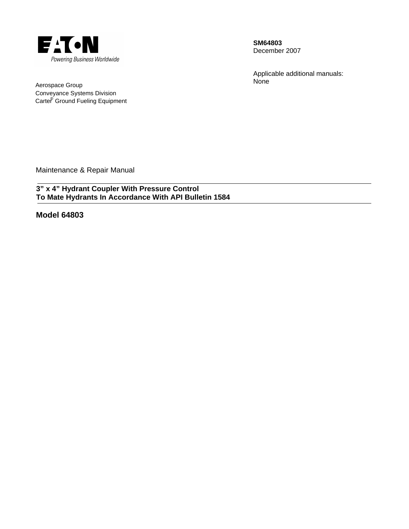

**SM64803**  December 2007

Applicable additional manuals: None

Aerospace Group Conveyance Systems Division Carte<sup>®</sup> Ground Fueling Equipment

Maintenance & Repair Manual

**3" x 4" Hydrant Coupler With Pressure Control To Mate Hydrants In Accordance With API Bulletin 1584** 

**Model 64803**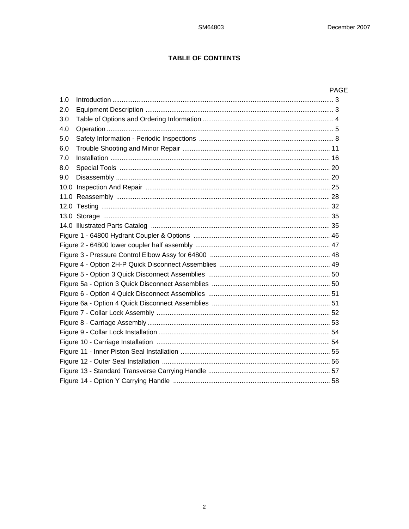# **TABLE OF CONTENTS**

|     | <b>PAGE</b> |
|-----|-------------|
| 1.0 |             |
| 2.0 |             |
| 3.0 |             |
| 4.0 |             |
| 5.0 |             |
| 6.0 |             |
| 7.0 |             |
| 8.0 |             |
| 9.0 |             |
|     |             |
|     |             |
|     |             |
|     |             |
|     |             |
|     |             |
|     |             |
|     |             |
|     |             |
|     |             |
|     |             |
|     |             |
|     |             |
|     |             |
|     |             |
|     |             |
|     |             |
|     |             |
|     |             |
|     |             |
|     |             |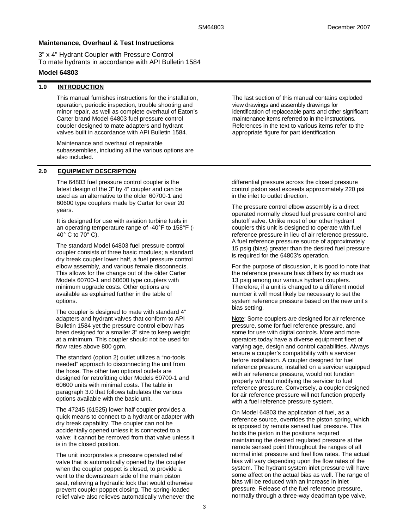# **Maintenance, Overhaul & Test Instructions**

3" x 4" Hydrant Coupler with Pressure Control To mate hydrants in accordance with API Bulletin 1584

# **Model 64803**

# **1.0 INTRODUCTION**

This manual furnishes instructions for the installation, operation, periodic inspection, trouble shooting and minor repair, as well as complete overhaul of Eaton's Carter brand Model 64803 fuel pressure control coupler designed to mate adapters and hydrant valves built in accordance with API Bulletin 1584.

Maintenance and overhaul of repairable subassemblies, including all the various options are also included.

# **2.0 EQUIPMENT DESCRIPTION**

The 64803 fuel pressure control coupler is the latest design of the 3" by 4" coupler and can be used as an alternative to the older 60700-1 and 60600 type couplers made by Carter for over 20 years.

It is designed for use with aviation turbine fuels in an operating temperature range of -40°F to 158°F (- 40° C to 70° C).

The standard Model 64803 fuel pressure control coupler consists of three basic modules; a standard dry break coupler lower half, a fuel pressure control elbow assembly, and various female disconnects. This allows for the change out of the older Carter Models 60700-1 and 60600 type couplers with minimum upgrade costs. Other options are available as explained further in the table of options.

The coupler is designed to mate with standard 4" adapters and hydrant valves that conform to API Bulletin 1584 yet the pressure control elbow has been designed for a smaller 3" size to keep weight at a minimum. This coupler should not be used for flow rates above 800 gpm.

The standard (option 2) outlet utilizes a "no-tools needed" approach to disconnecting the unit from the hose. The other two optional outlets are designed for retrofitting older Models 60700-1 and 60600 units with minimal costs. The table in paragraph 3.0 that follows tabulates the various options available with the basic unit.

The 47245 (61525) lower half coupler provides a quick means to connect to a hydrant or adapter with dry break capability. The coupler can not be accidentally opened unless it is connected to a valve; it cannot be removed from that valve unless it is in the closed position.

The unit incorporates a pressure operated relief valve that is automatically opened by the coupler when the coupler poppet is closed, to provide a vent to the downstream side of the main piston seat, relieving a hydraulic lock that would otherwise prevent coupler poppet closing. The spring-loaded relief valve also relieves automatically whenever the

The last section of this manual contains exploded view drawings and assembly drawings for identification of replaceable parts and other significant maintenance items referred to in the instructions. References in the text to various items refer to the appropriate figure for part identification.

differential pressure across the closed pressure control piston seat exceeds approximately 220 psi in the inlet to outlet direction.

The pressure control elbow assembly is a direct operated normally closed fuel pressure control and shutoff valve. Unlike most of our other hydrant couplers this unit is designed to operate with fuel reference pressure in lieu of air reference pressure. A fuel reference pressure source of approximately 15 psig (bias) greater than the desired fuel pressure is required for the 64803's operation.

For the purpose of discussion, it is good to note that the reference pressure bias differs by as much as 13 psig among our various hydrant couplers. Therefore, if a unit is changed to a different model number it will most likely be necessary to set the system reference pressure based on the new unit's bias setting.

Note: Some couplers are designed for air reference pressure, some for fuel reference pressure, and some for use with digital controls. More and more operators today have a diverse equipment fleet of varying age, design and control capabilities. Always ensure a coupler's compatibility with a servicer before installation. A coupler designed for fuel reference pressure, installed on a servicer equipped with air reference pressure, would not function properly without modifying the servicer to fuel reference pressure. Conversely, a coupler designed for air reference pressure will not function properly with a fuel reference pressure system.

On Model 64803 the application of fuel, as a reference source, overrides the piston spring, which is opposed by remote sensed fuel pressure. This holds the piston in the positions required maintaining the desired regulated pressure at the remote sensed point throughout the ranges of all normal inlet pressure and fuel flow rates. The actual bias will vary depending upon the flow rates of the system. The hydrant system inlet pressure will have some affect on the actual bias as well. The range of bias will be reduced with an increase in inlet pressure. Release of the fuel reference pressure, normally through a three-way deadman type valve,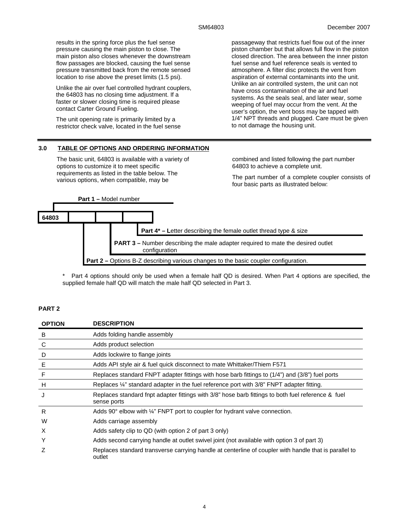results in the spring force plus the fuel sense pressure causing the main piston to close. The main piston also closes whenever the downstream flow passages are blocked, causing the fuel sense pressure transmitted back from the remote sensed location to rise above the preset limits (1.5 psi).

Unlike the air over fuel controlled hydrant couplers, the 64803 has no closing time adjustment. If a faster or slower closing time is required please contact Carter Ground Fueling.

The unit opening rate is primarily limited by a restrictor check valve, located in the fuel sense

### **3.0 TABLE OF OPTIONS AND ORDERING INFORMATION**

The basic unit, 64803 is available with a variety of options to customize it to meet specific requirements as listed in the table below. The various options, when compatible, may be

passageway that restricts fuel flow out of the inner piston chamber but that allows full flow in the piston closed direction. The area between the inner piston fuel sense and fuel reference seals is vented to atmosphere. A filter disc protects the vent from aspiration of external contaminants into the unit. Unlike an air controlled system, the unit can not have cross contamination of the air and fuel systems. As the seals seal, and later wear, some weeping of fuel may occur from the vent. At the user's option, the vent boss may be tapped with 1/4" NPT threads and plugged. Care must be given to not damage the housing unit.

combined and listed following the part number 64803 to achieve a complete unit.

The part number of a complete coupler consists of four basic parts as illustrated below:



\* Part 4 options should only be used when a female half QD is desired. When Part 4 options are specified, the supplied female half QD will match the male half QD selected in Part 3.

# **PART 2**

| <b>OPTION</b> | <b>DESCRIPTION</b>                                                                                                 |
|---------------|--------------------------------------------------------------------------------------------------------------------|
| B             | Adds folding handle assembly                                                                                       |
| C             | Adds product selection                                                                                             |
| D             | Adds lockwire to flange joints                                                                                     |
| E             | Adds API style air & fuel quick disconnect to mate Whittaker/Thiem F571                                            |
| F             | Replaces standard FNPT adapter fittings with hose barb fittings to (1/4") and (3/8") fuel ports                    |
| H             | Replaces 1/4" standard adapter in the fuel reference port with 3/8" FNPT adapter fitting.                          |
| J             | Replaces standard finpt adapter fittings with 3/8" hose barb fittings to both fuel reference & fuel<br>sense ports |
| R             | Adds $90^{\circ}$ elbow with $\frac{1}{4}$ " FNPT port to coupler for hydrant valve connection.                    |
| W             | Adds carriage assembly                                                                                             |
| X             | Adds safety clip to QD (with option 2 of part 3 only)                                                              |
| Υ             | Adds second carrying handle at outlet swivel joint (not available with option 3 of part 3)                         |
| Ζ             | Replaces standard transverse carrying handle at centerline of coupler with handle that is parallel to<br>outlet    |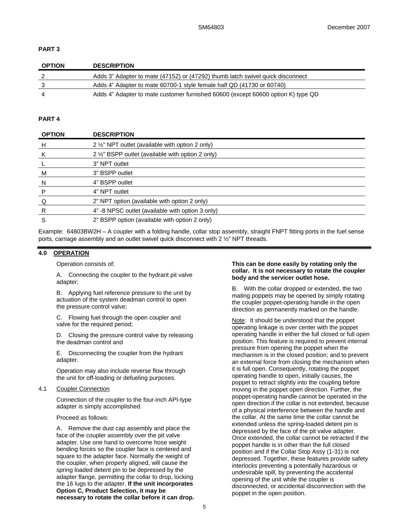# **PART 3**

| <b>OPTION</b> | <b>DESCRIPTION</b>                                                               |
|---------------|----------------------------------------------------------------------------------|
|               | Adds 3" Adapter to mate (47152) or (47292) thumb latch swivel quick disconnect   |
|               | Adds 4" Adapter to mate 60700-1 style female half QD (41730 or 60740)            |
|               | Adds 4" Adapter to mate customer furnished 60600 (except 60600 option K) type QD |

# **PART 4**

| <b>OPTION</b> | <b>DESCRIPTION</b>                                |
|---------------|---------------------------------------------------|
| H             | 2 1/2" NPT outlet (available with option 2 only)  |
| K             | 2 1/2" BSPP outlet (available with option 2 only) |
|               | 3" NPT outlet                                     |
| M             | 3" BSPP outlet                                    |
| -N            | 4" BSPP outlet                                    |
| P             | 4" NPT outlet                                     |
| Q             | 2" NPT option (available with option 2 only)      |
| R             | 4" -8 NPSC outlet (available with option 3 only)  |
| S             | 2" BSPP option (available with option 2 only)     |

Example: 64803BW2H – A coupler with a folding handle, collar stop assembly, straight FNPT fitting ports in the fuel sense ports, carriage assembly and an outlet swivel quick disconnect with 2 ½" NPT threads.

# **4.0 OPERATION**

Operation consists of:

A. Connecting the coupler to the hydrant pit valve adapter;

B. Applying fuel reference pressure to the unit by actuation of the system deadman control to open the pressure control valve;

C. Flowing fuel through the open coupler and valve for the required period:

D. Closing the pressure control valve by releasing the deadman control and

E. Disconnecting the coupler from the hydrant adapter.

Operation may also include reverse flow through the unit for off-loading or defueling purposes.

### 4.1 Coupler Connection

Connection of the coupler to the four-inch API-type adapter is simply accomplished.

Proceed as follows:

A. Remove the dust cap assembly and place the face of the coupler assembly over the pit valve adapter. Use one hand to overcome hose weight bending forces so the coupler face is centered and square to the adapter face. Normally the weight of the coupler, when properly aligned, will cause the spring loaded detent pin to be depressed by the adapter flange, permitting the collar to drop, locking the 16 lugs to the adapter. **If the unit incorporates Option C, Product Selection, it may be necessary to rotate the collar before it can drop.** 

#### **This can be done easily by rotating only the collar. It is not necessary to rotate the coupler body and the servicer outlet hose.**

B. With the collar dropped or extended, the two mating poppets may be opened by simply rotating the coupler poppet-operating handle in the open direction as permanently marked on the handle.

Note: It should be understood that the poppet operating linkage is over center with the poppet operating handle in either the full closed or full open position. This feature is required to prevent internal pressure from opening the poppet when the mechanism is in the closed position; and to prevent an external force from closing the mechanism when it is full open. Consequently, rotating the poppet operating handle to open, initially causes, the poppet to retract slightly into the coupling before moving in the poppet open direction. Further, the poppet-operating handle cannot be operated in the open direction if the collar is not extended, because of a physical interference between the handle and the collar. At the same time the collar cannot be extended unless the spring-loaded detent pin is depressed by the face of the pit valve adapter. Once extended, the collar cannot be retracted if the poppet handle is in other than the full closed position and if the Collar Stop Assy (1-31) is not depressed. Together, these features provide safety interlocks preventing a potentially hazardous or undesirable spill, by preventing the accidental opening of the unit while the coupler is disconnected, or accidental disconnection with the poppet in the open position.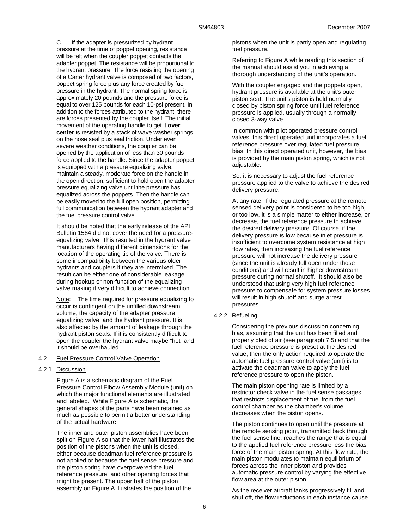C. If the adapter is pressurized by hydrant pressure at the time of poppet opening, resistance will be felt when the coupler poppet contacts the adapter poppet. The resistance will be proportional to the hydrant pressure. The force resisting the opening of a Carter hydrant valve is composed of two factors, poppet spring force plus any force created by fuel pressure in the hydrant. The normal spring force is approximately 20 pounds and the pressure force is equal to over 125 pounds for each 10-psi present. In addition to the forces attributed to the hydrant, there are forces presented by the coupler itself. The initial movement of the operating handle to get it **over center** is resisted by a stack of wave washer springs on the nose seal plus seal friction. Under even severe weather conditions, the coupler can be opened by the application of less than 30 pounds force applied to the handle. Since the adapter poppet is equipped with a pressure equalizing valve, maintain a steady, moderate force on the handle in the open direction, sufficient to hold open the adapter pressure equalizing valve until the pressure has equalized across the poppets. Then the handle can be easily moved to the full open position, permitting full communication between the hydrant adapter and the fuel pressure control valve.

It should be noted that the early release of the API Bulletin 1584 did not cover the need for a pressureequalizing valve. This resulted in the hydrant valve manufacturers having different dimensions for the location of the operating tip of the valve. There is some incompatibility between the various older hydrants and couplers if they are intermixed. The result can be either one of considerable leakage during hookup or non-function of the equalizing valve making it very difficult to achieve connection.

Note: The time required for pressure equalizing to occur is contingent on the unfilled downstream volume, the capacity of the adapter pressure equalizing valve, and the hydrant pressure. It is also affected by the amount of leakage through the hydrant piston seals. If it is consistently difficult to open the coupler the hydrant valve maybe "hot" and it should be overhauled.

#### 4.2 Fuel Pressure Control Valve Operation

#### 4.2.1 Discussion

Figure A is a schematic diagram of the Fuel Pressure Control Elbow Assembly Module (unit) on which the major functional elements are illustrated and labeled. While Figure A is schematic, the general shapes of the parts have been retained as much as possible to permit a better understanding of the actual hardware.

The inner and outer piston assemblies have been split on Figure A so that the lower half illustrates the position of the pistons when the unit is closed, either because deadman fuel reference pressure is not applied or because the fuel sense pressure and the piston spring have overpowered the fuel reference pressure, and other opening forces that might be present. The upper half of the piston assembly on Figure A illustrates the position of the

pistons when the unit is partly open and regulating fuel pressure.

Referring to Figure A while reading this section of the manual should assist you in achieving a thorough understanding of the unit's operation.

With the coupler engaged and the poppets open, hydrant pressure is available at the unit's outer piston seat. The unit's piston is held normally closed by piston spring force until fuel reference pressure is applied, usually through a normally closed 3-way valve.

In common with pilot operated pressure control valves, this direct operated unit incorporates a fuel reference pressure over regulated fuel pressure bias. In this direct operated unit, however, the bias is provided by the main piston spring, which is not adjustable.

So, it is necessary to adjust the fuel reference pressure applied to the valve to achieve the desired delivery pressure.

At any rate, if the regulated pressure at the remote sensed delivery point is considered to be too high, or too low, it is a simple matter to either increase, or decrease, the fuel reference pressure to achieve the desired delivery pressure. Of course, if the delivery pressure is low because inlet pressure is insufficient to overcome system resistance at high flow rates, then increasing the fuel reference pressure will not increase the delivery pressure (since the unit is already full open under those conditions) and will result in higher downstream pressure during normal shutoff. It should also be understood that using very high fuel reference pressure to compensate for system pressure losses will result in high shutoff and surge arrest pressures.

#### 4.2.2 Refueling

Considering the previous discussion concerning bias, assuming that the unit has been filled and properly bled of air (see paragraph 7.5) and that the fuel reference pressure is preset at the desired value, then the only action required to operate the automatic fuel pressure control valve (unit) is to activate the deadman valve to apply the fuel reference pressure to open the piston.

The main piston opening rate is limited by a restrictor check valve in the fuel sense passages that restricts displacement of fuel from the fuel control chamber as the chamber's volume decreases when the piston opens.

The piston continues to open until the pressure at the remote sensing point, transmitted back through the fuel sense line, reaches the range that is equal to the applied fuel reference pressure less the bias force of the main piston spring. At this flow rate, the main piston modulates to maintain equilibrium of forces across the inner piston and provides automatic pressure control by varying the effective flow area at the outer piston.

As the receiver aircraft tanks progressively fill and shut off, the flow reductions in each instance cause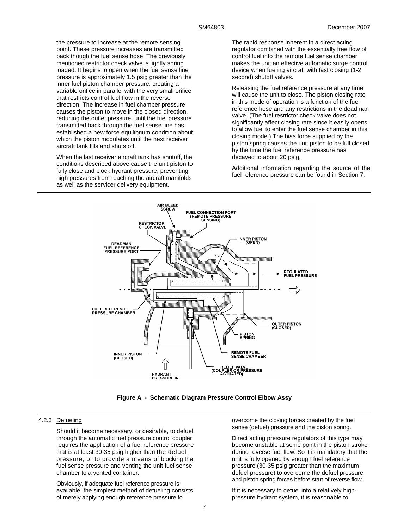the pressure to increase at the remote sensing point. These pressure increases are transmitted back though the fuel sense hose. The previously mentioned restrictor check valve is lightly spring loaded. It begins to open when the fuel sense line pressure is approximately 1.5 psig greater than the inner fuel piston chamber pressure, creating a variable orifice in parallel with the very small orifice that restricts control fuel flow in the reverse direction. The increase in fuel chamber pressure causes the piston to move in the closed direction, reducing the outlet pressure, until the fuel pressure transmitted back through the fuel sense line has established a new force equilibrium condition about which the piston modulates until the next receiver aircraft tank fills and shuts off.

When the last receiver aircraft tank has shutoff, the conditions described above cause the unit piston to fully close and block hydrant pressure, preventing high pressures from reaching the aircraft manifolds as well as the servicer delivery equipment.

The rapid response inherent in a direct acting regulator combined with the essentially free flow of control fuel into the remote fuel sense chamber makes the unit an effective automatic surge control device when fueling aircraft with fast closing (1-2 second) shutoff valves.

Releasing the fuel reference pressure at any time will cause the unit to close. The piston closing rate in this mode of operation is a function of the fuel reference hose and any restrictions in the deadman valve. (The fuel restrictor check valve does not significantly affect closing rate since it easily opens to allow fuel to enter the fuel sense chamber in this closing mode.) The bias force supplied by the piston spring causes the unit piston to be full closed by the time the fuel reference pressure has decayed to about 20 psig.

Additional information regarding the source of the fuel reference pressure can be found in Section 7.



**Figure A - Schematic Diagram Pressure Control Elbow Assy** 

# 4.2.3 Defueling

Should it become necessary, or desirable, to defuel through the automatic fuel pressure control coupler requires the application of a fuel reference pressure that is at least 30-35 psig higher than the defuel pressure, or to provide a means of blocking the fuel sense pressure and venting the unit fuel sense chamber to a vented container.

Obviously, if adequate fuel reference pressure is available, the simplest method of defueling consists of merely applying enough reference pressure to

overcome the closing forces created by the fuel sense (defuel) pressure and the piston spring.

Direct acting pressure regulators of this type may become unstable at some point in the piston stroke during reverse fuel flow. So it is mandatory that the unit is fully opened by enough fuel reference pressure (30-35 psig greater than the maximum defuel pressure) to overcome the defuel pressure and piston spring forces before start of reverse flow.

If it is necessary to defuel into a relatively highpressure hydrant system, it is reasonable to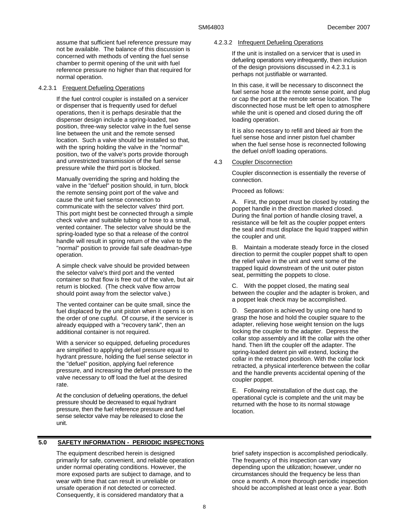assume that sufficient fuel reference pressure may not be available. The balance of this discussion is concerned with methods of venting the fuel sense chamber to permit opening of the unit with fuel reference pressure no higher than that required for normal operation.

### 4.2.3.1 Frequent Defueling Operations

If the fuel control coupler is installed on a servicer or dispenser that is frequently used for defuel operations, then it is perhaps desirable that the dispenser design include a spring-loaded, two position, three-way selector valve in the fuel sense line between the unit and the remote sensed location. Such a valve should be installed so that, with the spring holding the valve in the "normal" position, two of the valve's ports provide thorough and unrestricted transmission of the fuel sense pressure while the third port is blocked.

Manually overriding the spring and holding the valve in the "defuel" position should, in turn, block the remote sensing point port of the valve and cause the unit fuel sense connection to communicate with the selector valves' third port. This port might best be connected through a simple check valve and suitable tubing or hose to a small, vented container. The selector valve should be the spring-loaded type so that a release of the control handle will result in spring return of the valve to the "normal" position to provide fail safe deadman-type operation.

A simple check valve should be provided between the selector valve's third port and the vented container so that flow is free out of the valve, but air return is blocked. (The check valve flow arrow should point away from the selector valve.)

The vented container can be quite small, since the fuel displaced by the unit piston when it opens is on the order of one cupful. Of course, if the servicer is already equipped with a "recovery tank", then an additional container is not required.

With a servicer so equipped, defueling procedures are simplified to applying defuel pressure equal to hydrant pressure, holding the fuel sense selector in the "defuel" position, applying fuel reference pressure, and increasing the defuel pressure to the valve necessary to off load the fuel at the desired rate.

At the conclusion of defueling operations, the defuel pressure should be decreased to equal hydrant pressure, then the fuel reference pressure and fuel sense selector valve may be released to close the unit.

# **5.0 SAFETY INFORMATION - PERIODIC INSPECTIONS**

The equipment described herein is designed primarily for safe, convenient, and reliable operation under normal operating conditions. However, the more exposed parts are subject to damage, and to wear with time that can result in unreliable or unsafe operation if not detected or corrected. Consequently, it is considered mandatory that a

### 4.2.3.2 Infrequent Defueling Operations

If the unit is installed on a servicer that is used in defueling operations very infrequently, then inclusion of the design provisions discussed in 4.2.3.1 is perhaps not justifiable or warranted.

In this case, it will be necessary to disconnect the fuel sense hose at the remote sense point, and plug or cap the port at the remote sense location. The disconnected hose must be left open to atmosphere while the unit is opened and closed during the off loading operation.

It is also necessary to refill and bleed air from the fuel sense hose and inner piston fuel chamber when the fuel sense hose is reconnected following the defuel on/off loading operations.

# 4.3 Coupler Disconnection

Coupler disconnection is essentially the reverse of connection.

Proceed as follows:

A. First, the poppet must be closed by rotating the poppet handle in the direction marked closed. During the final portion of handle closing travel, a resistance will be felt as the coupler poppet enters the seal and must displace the liquid trapped within the coupler and unit.

B. Maintain a moderate steady force in the closed direction to permit the coupler poppet shaft to open the relief valve in the unit and vent some of the trapped liquid downstream of the unit outer piston seat, permitting the poppets to close.

C. With the poppet closed, the mating seal between the coupler and the adapter is broken, and a poppet leak check may be accomplished.

D. Separation is achieved by using one hand to grasp the hose and hold the coupler square to the adapter, relieving hose weight tension on the lugs locking the coupler to the adapter. Depress the collar stop assembly and lift the collar with the other hand. Then lift the coupler off the adapter. The spring-loaded detent pin will extend, locking the collar in the retracted position. With the collar lock retracted, a physical interference between the collar and the handle prevents accidental opening of the coupler poppet.

E. Following reinstallation of the dust cap, the operational cycle is complete and the unit may be returned with the hose to its normal stowage location.

brief safety inspection is accomplished periodically. The frequency of this inspection can vary depending upon the utilization; however, under no circumstances should the frequency be less than once a month. A more thorough periodic inspection should be accomplished at least once a year. Both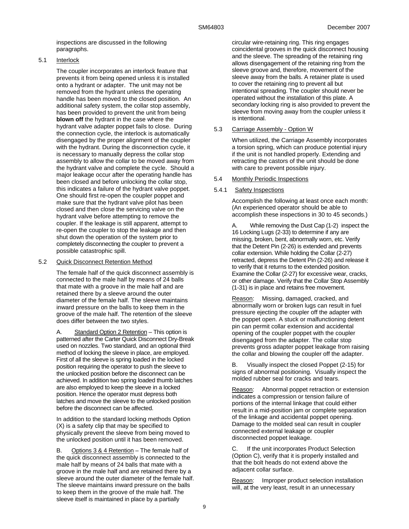inspections are discussed in the following paragraphs.

### 5.1 Interlock

The coupler incorporates an interlock feature that prevents it from being opened unless it is installed onto a hydrant or adapter. The unit may not be removed from the hydrant unless the operating handle has been moved to the closed position. An additional safety system, the collar stop assembly, has been provided to prevent the unit from being **blown off** the hydrant in the case where the hydrant valve adapter poppet fails to close. During the connection cycle, the interlock is automatically disengaged by the proper alignment of the coupler with the hydrant. During the disconnection cycle, it is necessary to manually depress the collar stop assembly to allow the collar to be moved away from the hydrant valve and complete the cycle. Should a major leakage occur after the operating handle has been closed and before unlocking the collar stop, this indicates a failure of the hydrant valve poppet. One should first re-open the coupler poppet and make sure that the hydrant valve pilot has been closed and then close the servicing valve on the hydrant valve before attempting to remove the coupler. If the leakage is still apparent, attempt to re-open the coupler to stop the leakage and then shut down the operation of the system prior to completely disconnecting the coupler to prevent a possible catastrophic spill.

### 5.2 Quick Disconnect Retention Method

The female half of the quick disconnect assembly is connected to the male half by means of 24 balls that mate with a groove in the male half and are retained there by a sleeve around the outer diameter of the female half. The sleeve maintains inward pressure on the balls to keep them in the groove of the male half. The retention of the sleeve does differ between the two styles.

A. Standard Option 2 Retention – This option is patterned after the Carter Quick Disconnect Dry-Break used on nozzles. Two standard, and an optional third method of locking the sleeve in place, are employed. First of all the sleeve is spring loaded in the locked position requiring the operator to push the sleeve to the unlocked position before the disconnect can be achieved. In addition two spring loaded thumb latches are also employed to keep the sleeve in a locked position. Hence the operator must depress both latches and move the sleeve to the unlocked position before the disconnect can be affected.

In addition to the standard locking methods Option (X) is a safety clip that may be specified to physically prevent the sleeve from being moved to the unlocked position until it has been removed.

B. Options 3 & 4 Retention – The female half of the quick disconnect assembly is connected to the male half by means of 24 balls that mate with a groove in the male half and are retained there by a sleeve around the outer diameter of the female half. The sleeve maintains inward pressure on the balls to keep them in the groove of the male half. The sleeve itself is maintained in place by a partially

circular wire-retaining ring. This ring engages coincidental grooves in the quick disconnect housing and the sleeve. The spreading of the retaining ring allows disengagement of the retaining ring from the sleeve groove and, therefore, movement of the sleeve away from the balls. A retainer plate is used to cover the retaining ring to prevent all but intentional spreading. The coupler should never be operated without the installation of this plate. A secondary locking ring is also provided to prevent the sleeve from moving away from the coupler unless it is intentional.

### 5.3 Carriage Assembly - Option W

When utilized, the Carriage Assembly incorporates a torsion spring, which can produce potential injury if the unit is not handled properly. Extending and retracting the castors of the unit should be done with care to prevent possible injury.

#### 5.4 Monthly Periodic Inspections

#### 5.4.1 Safety Inspections

Accomplish the following at least once each month: (An experienced operator should be able to accomplish these inspections in 30 to 45 seconds.)

While removing the Dust Cap (1-2) inspect the 16 Locking Lugs (2-33) to determine if any are missing, broken, bent, abnormally worn, etc. Verify that the Detent Pin (2-26) is extended and prevents collar extension. While holding the Collar (2-27) retracted, depress the Detent Pin (2-26) and release it to verify that it returns to the extended position. Examine the Collar (2-27) for excessive wear, cracks, or other damage. Verify that the Collar Stop Assembly (1-31) is in place and retains free movement.

Reason: Missing, damaged, cracked, and abnormally worn or broken lugs can result in fuel pressure ejecting the coupler off the adapter with the poppet open. A stuck or malfunctioning detent pin can permit collar extension and accidental opening of the coupler poppet with the coupler disengaged from the adapter. The collar stop prevents gross adapter poppet leakage from raising the collar and blowing the coupler off the adapter.

B. Visually inspect the closed Poppet (2-15) for signs of abnormal positioning. Visually inspect the molded rubber seal for cracks and tears.

Reason: Abnormal poppet retraction or extension indicates a compression or tension failure of portions of the internal linkage that could either result in a mid-position jam or complete separation of the linkage and accidental poppet opening. Damage to the molded seal can result in coupler connected external leakage or coupler disconnected poppet leakage.

C. If the unit incorporates Product Selection (Option C), verify that it is properly installed and that the bolt heads do not extend above the adjacent collar surface.

Reason: Improper product selection installation will, at the very least, result in an unnecessary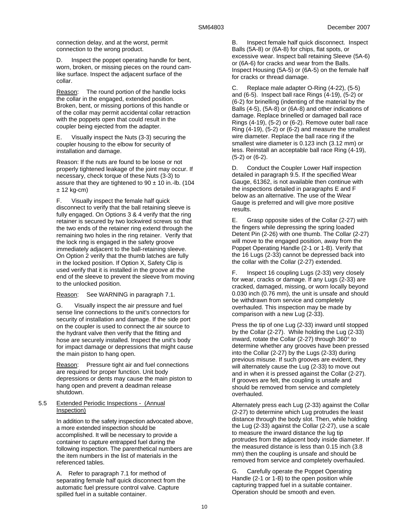connection delay, and at the worst, permit connection to the wrong product.

D. Inspect the poppet operating handle for bent. worn, broken, or missing pieces on the round camlike surface. Inspect the adjacent surface of the collar.

Reason: The round portion of the handle locks the collar in the engaged, extended position. Broken, bent, or missing portions of this handle or of the collar may permit accidental collar retraction with the poppets open that could result in the coupler being ejected from the adapter.

E. Visually inspect the Nuts (3-3) securing the coupler housing to the elbow for security of installation and damage.

Reason: If the nuts are found to be loose or not properly tightened leakage of the joint may occur. If necessary, check torque of these Nuts (3-3) to assure that they are tightened to  $90 \pm 10$  in.-lb. (104  $± 12$  kg-cm)

F. Visually inspect the female half quick disconnect to verify that the ball retaining sleeve is fully engaged. On Options 3 & 4 verify that the ring retainer is secured by two lockwired screws so that the two ends of the retainer ring extend through the remaining two holes in the ring retainer. Verify that the lock ring is engaged in the safety groove immediately adjacent to the ball-retaining sleeve. On Option 2 verify that the thumb latches are fully in the locked position. If Option X, Safety Clip is used verify that it is installed in the groove at the end of the sleeve to prevent the sleeve from moving to the unlocked position.

Reason: See WARNING in paragraph 7.1.

G. Visually inspect the air pressure and fuel sense line connections to the unit's connectors for security of installation and damage. If the side port on the coupler is used to connect the air source to the hydrant valve then verify that the fitting and hose are securely installed. Inspect the unit's body for impact damage or depressions that might cause the main piston to hang open.

Reason: Pressure tight air and fuel connections are required for proper function. Unit body depressions or dents may cause the main piston to hang open and prevent a deadman release shutdown.

### 5.5 Extended Periodic Inspections - (Annual Inspection)

In addition to the safety inspection advocated above, a more extended inspection should be accomplished. It will be necessary to provide a container to capture entrapped fuel during the following inspection. The parenthetical numbers are the item numbers in the list of materials in the referenced tables.

A. Refer to paragraph 7.1 for method of separating female half quick disconnect from the automatic fuel pressure control valve. Capture spilled fuel in a suitable container.

B. Inspect female half quick disconnect. Inspect Balls (5A-8) or (6A-8) for chips, flat spots, or excessive wear. Inspect ball retaining Sleeve (5A-6) or (6A-6) for cracks and wear from the Balls. Inspect Housing (5A-5) or (6A-5) on the female half for cracks or thread damage.

C. Replace male adapter O-Ring (4-22), (5-5) and (6-5). Inspect ball race Rings (4-19), (5-2) or (6-2) for brinelling (indenting of the material by the Balls (4-5), (5A-8) or (6A-8) and other indications of damage. Replace brinelled or damaged ball race Rings (4-19), (5-2) or (6-2). Remove outer ball race Ring (4-19), (5-2) or (6-2) and measure the smallest wire diameter. Replace the ball race ring if the smallest wire diameter is 0.123 inch (3.12 mm) or less. Reinstall an acceptable ball race Ring (4-19), (5-2) or (6-2).

D. Conduct the Coupler Lower Half inspection detailed in paragraph 9.5. If the specified Wear Gauge, 61362, is not available then continue with the inspections detailed in paragraphs E and F below as an alternative. The use of the Wear Gauge is preferred and will give more positive results.

E. Grasp opposite sides of the Collar (2-27) with the fingers while depressing the spring loaded Detent Pin (2-26) with one thumb. The Collar (2-27) will move to the engaged position, away from the Poppet Operating Handle (2-1 or 1-B). Verify that the 16 Lugs (2-33) cannot be depressed back into the collar with the Collar (2-27) extended.

F. Inspect 16 coupling Lugs (2-33) very closely for wear, cracks or damage. If any Lugs (2-33) are cracked, damaged, missing, or worn locally beyond 0.030 inch (0.76 mm), the unit is unsafe and should be withdrawn from service and completely overhauled. This inspection may be made by comparison with a new Lug (2-33).

Press the tip of one Lug (2-33) inward until stopped by the Collar (2-27). While holding the Lug (2-33) inward, rotate the Collar (2-27) through 360° to determine whether any grooves have been pressed into the Collar (2-27) by the Lugs (2-33) during previous misuse. If such grooves are evident, they will alternately cause the Lug (2-33) to move out and in when it is pressed against the Collar (2-27). If grooves are felt, the coupling is unsafe and should be removed from service and completely overhauled.

Alternately press each Lug (2-33) against the Collar (2-27) to determine which Lug protrudes the least distance through the body slot. Then, while holding the Lug (2-33) against the Collar (2-27), use a scale to measure the inward distance the lug tip protrudes from the adjacent body inside diameter. If the measured distance is less than 0.15 inch (3.8 mm) then the coupling is unsafe and should be removed from service and completely overhauled.

G. Carefully operate the Poppet Operating Handle (2-1 or 1-B) to the open position while capturing trapped fuel in a suitable container. Operation should be smooth and even.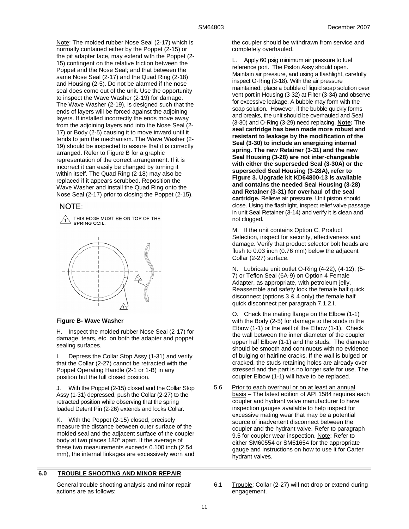Note: The molded rubber Nose Seal (2-17) which is normally contained either by the Poppet (2-15) or the pit adapter face, may extend with the Poppet (2- 15) contingent on the relative friction between the Poppet and the Nose Seal; and that between the same Nose Seal (2-17) and the Quad Ring (2-18) and Housing (2-5). Do not be alarmed if the nose seal does come out of the unit. Use the opportunity to inspect the Wave Washer (2-19) for damage. The Wave Washer (2-19), is designed such that the ends of layers will be forced against the adjoining layers. If installed incorrectly the ends move away from the adjoining layers and into the Nose Seal (2- 17) or Body (2-5) causing it to move inward until it tends to jam the mechanism. The Wave Washer (2- 19) should be inspected to assure that it is correctly arranged. Refer to Figure B for a graphic representation of the correct arrangement. If it is incorrect it can easily be changed by turning it within itself. The Quad Ring (2-18) may also be replaced if it appears scrubbed. Reposition the Wave Washer and install the Quad Ring onto the Nose Seal (2-17) prior to closing the Poppet (2-15).

# NOTE:

THIS EDGE MUST BE ON TOP OF THE SPRING COIL



#### **Figure B- Wave Washer**

H. Inspect the molded rubber Nose Seal (2-17) for damage, tears, etc. on both the adapter and poppet sealing surfaces.

I. Depress the Collar Stop Assy (1-31) and verify that the Collar (2-27) cannot be retracted with the Poppet Operating Handle (2-1 or 1-B) in any position but the full closed position.

J. With the Poppet (2-15) closed and the Collar Stop Assy (1-31) depressed, push the Collar (2-27) to the retracted position while observing that the spring loaded Detent Pin (2-26) extends and locks Collar.

K. With the Poppet (2-15) closed, precisely measure the distance between outer surface of the molded seal and the adjacent surface of the coupler body at two places 180° apart. If the average of these two measurements exceeds 0.100 inch (2.54 mm), the internal linkages are excessively worn and

# **6.0 TROUBLE SHOOTING AND MINOR REPAIR**

General trouble shooting analysis and minor repair actions are as follows:

the coupler should be withdrawn from service and completely overhauled.

L. Apply 60 psig minimum air pressure to fuel reference port. The Piston Assy should open. Maintain air pressure, and using a flashlight, carefully inspect O-Ring (3-18). With the air pressure maintained, place a bubble of liquid soap solution over vent port in Housing (3-32) at Filter (3-34) and observe for excessive leakage. A bubble may form with the soap solution. However, if the bubble quickly forms and breaks, the unit should be overhauled and Seal (3-30) and O-Ring (3-29) need replacing. **Note: The seal cartridge has been made more robust and resistant to leakage by the modification of the Seal (3-30) to include an energizing internal spring. The new Retainer (3-31) and the new Seal Housing (3-28) are not inter-changeable with either the superseded Seal (3-30A) or the superseded Seal Housing (3-28A), refer to Figure 3. Upgrade kit KD64800-13 is available and contains the needed Seal Housing (3-28) and Retainer (3-31) for overhaul of the seal cartridge.** Relieve air pressure. Unit piston should close. Using the flashlight, inspect relief valve passage in unit Seal Retainer (3-14) and verify it is clean and not clogged.

M. If the unit contains Option C, Product Selection, inspect for security, effectiveness and damage. Verify that product selector bolt heads are flush to 0.03 inch (0.76 mm) below the adjacent Collar (2-27) surface.

N. Lubricate unit outlet O-Ring (4-22), (4-12), (5- 7) or Teflon Seal (6A-9) on Option 4 Female Adapter, as appropriate, with petroleum jelly. Reassemble and safety lock the female half quick disconnect (options 3 & 4 only) the female half quick disconnect per paragraph 7.1.2.I.

O. Check the mating flange on the Elbow (1-1) with the Body (2-5) for damage to the studs in the Elbow (1-1) or the wall of the Elbow (1-1). Check the wall between the inner diameter of the coupler upper half Elbow (1-1) and the studs. The diameter should be smooth and continuous with no evidence of bulging or hairline cracks. If the wall is bulged or cracked, the studs retaining holes are already over stressed and the part is no longer safe for use. The coupler Elbow (1-1) will have to be replaced.

- 5.6 Prior to each overhaul or on at least an annual basis – The latest edition of API 1584 requires each coupler and hydrant valve manufacturer to have inspection gauges available to help inspect for excessive mating wear that may be a potential source of inadvertent disconnect between the coupler and the hydrant valve. Refer to paragraph 9.5 for coupler wear inspection. Note: Refer to either SM60554 or SM61654 for the appropriate gauge and instructions on how to use it for Carter hydrant valves.
- 6.1 Trouble: Collar (2-27) will not drop or extend during engagement.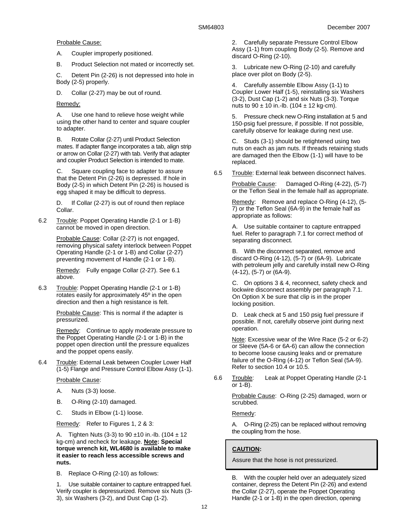Probable Cause:

- A. Coupler improperly positioned.
- B. Product Selection not mated or incorrectly set.

C. Detent Pin (2-26) is not depressed into hole in Body (2-5) properly.

D. Collar (2-27) may be out of round.

Remedy:

A. Use one hand to relieve hose weight while using the other hand to center and square coupler to adapter.

B. Rotate Collar (2-27) until Product Selection mates. If adapter flange incorporates a tab, align strip or arrow on Collar (2-27) with tab. Verify that adapter and coupler Product Selection is intended to mate.

C. Square coupling face to adapter to assure that the Detent Pin (2-26) is depressed. If hole in Body (2-5) in which Detent Pin (2-26) is housed is egg shaped it may be difficult to depress.

D. If Collar (2-27) is out of round then replace Collar.

6.2 Trouble: Poppet Operating Handle (2-1 or 1-B) cannot be moved in open direction.

> Probable Cause: Collar (2-27) is not engaged, removing physical safety interlock between Poppet Operating Handle (2-1 or 1-B) and Collar (2-27) preventing movement of Handle (2-1 or 1-B).

Remedy: Fully engage Collar (2-27). See 6.1 above.

6.3 Trouble: Poppet Operating Handle (2-1 or 1-B) rotates easily for approximately 45º in the open direction and then a high resistance is felt.

> Probable Cause: This is normal if the adapter is pressurized.

Remedy: Continue to apply moderate pressure to the Poppet Operating Handle (2-1 or 1-B) in the poppet open direction until the pressure equalizes and the poppet opens easily.

6.4 Trouble: External Leak between Coupler Lower Half (1-5) Flange and Pressure Control Elbow Assy (1-1).

Probable Cause:

- A. Nuts (3-3) loose.
- B. O-Ring (2-10) damaged.
- C. Studs in Elbow (1-1) loose.

Remedy: Refer to Figures 1, 2 & 3:

A. Tighten Nuts (3-3) to 90  $\pm$ 10 in.-lb. (104  $\pm$  12 kg-cm) and recheck for leakage. **Note: Special torque wrench kit, WL4680 is available to make it easier to reach less accessible screws and nuts.** 

B. Replace O-Ring (2-10) as follows:

1. Use suitable container to capture entrapped fuel. Verify coupler is depressurized. Remove six Nuts (3- 3), six Washers (3-2), and Dust Cap (1-2).

2. Carefully separate Pressure Control Elbow Assy (1-1) from coupling Body (2-5). Remove and discard O-Ring (2-10).

3. Lubricate new O-Ring (2-10) and carefully place over pilot on Body (2-5).

4. Carefully assemble Elbow Assy (1-1) to Coupler Lower Half (1-5), reinstalling six Washers (3-2), Dust Cap (1-2) and six Nuts (3-3). Torque nuts to  $90 \pm 10$  in.-lb. (104  $\pm$  12 kg-cm).

5. Pressure check new O-Ring installation at 5 and 150-psig fuel pressure, if possible. If not possible, carefully observe for leakage during next use.

C. Studs (3-1) should be retightened using two nuts on each as jam nuts. If threads retaining studs are damaged then the Elbow (1-1) will have to be replaced.

6.5 Trouble: External leak between disconnect halves.

Probable Cause: Damaged O-Ring (4-22), (5-7) or the Teflon Seal in the female half as appropriate.

Remedy: Remove and replace O-Ring (4-12), (5-7) or the Teflon Seal (6A-9) in the female half as appropriate as follows:

A. Use suitable container to capture entrapped fuel. Refer to paragraph 7.1 for correct method of separating disconnect.

B. With the disconnect separated, remove and discard O-Ring (4-12), (5-7) or (6A-9). Lubricate with petroleum jelly and carefully install new O-Ring (4-12), (5-7) or (6A-9).

C. On options 3 & 4, reconnect, safety check and lockwire disconnect assembly per paragraph 7.1. On Option X be sure that clip is in the proper locking position.

D. Leak check at 5 and 150 psig fuel pressure if possible. If not, carefully observe joint during next operation.

Note: Excessive wear of the Wire Race (5-2 or 6-2) or Sleeve (5A-6 or 6A-6) can allow the connection to become loose causing leaks and or premature failure of the O-Ring (4-12) or Teflon Seal (5A-9). Refer to section 10.4 or 10.5.

6.6 Trouble: Leak at Poppet Operating Handle (2-1 or 1-B).

> Probable Cause: O-Ring (2-25) damaged, worn or scrubbed.

# Remedy:

A. O-Ring (2-25) can be replaced without removing the coupling from the hose.

# **CAUTION:**

Assure that the hose is not pressurized.

B. With the coupler held over an adequately sized container, depress the Detent Pin (2-26) and extend the Collar (2-27), operate the Poppet Operating Handle (2-1 or 1-B) in the open direction, opening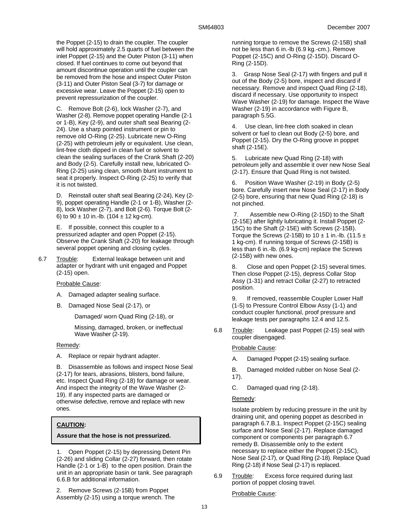the Poppet (2-15) to drain the coupler. The coupler will hold approximately 2.5 quarts of fuel between the inlet Poppet (2-15) and the Outer Piston (3-11) when closed. If fuel continues to come out beyond that amount discontinue operation until the coupler can be removed from the hose and inspect Outer Piston (3-11) and Outer Piston Seal (3-7) for damage or excessive wear. Leave the Poppet (2-15) open to prevent repressurization of the coupler.

C. Remove Bolt (2-6), lock Washer (2-7), and Washer (2-8). Remove poppet operating Handle (2-1 or 1-B), Key (2-9), and outer shaft seal Bearing (2- 24). Use a sharp pointed instrument or pin to remove old O-Ring (2-25). Lubricate new O-Ring (2-25) with petroleum jelly or equivalent. Use clean, lint-free cloth dipped in clean fuel or solvent to clean the sealing surfaces of the Crank Shaft (2-20) and Body (2-5). Carefully install new, lubricated O-Ring (2-25) using clean, smooth blunt instrument to seat it properly. Inspect O-Ring (2-25) to verify that it is not twisted.

D. Reinstall outer shaft seal Bearing (2-24), Key (2- 9), poppet operating Handle (2-1 or 1-B), Washer (2- 8), lock Washer (2-7), and Bolt (2-6). Torque Bolt (2- 6) to  $90 \pm 10$  in.-lb. (104  $\pm$  12 kg-cm).

E. If possible, connect this coupler to a pressurized adapter and open Poppet (2-15). Observe the Crank Shaft (2-20) for leakage through several poppet opening and closing cycles.

6.7 Trouble: External leakage between unit and adapter or hydrant with unit engaged and Poppet (2-15) open.

# Probable Cause:

- A. Damaged adapter sealing surface.
- B. Damaged Nose Seal (2-17), or

Damaged/ worn Quad Ring (2-18), or

Missing, damaged, broken, or ineffectual Wave Washer (2-19).

#### Remedy:

A. Replace or repair hydrant adapter.

B. Disassemble as follows and inspect Nose Seal (2-17) for tears, abrasions, blisters, bond failure, etc. Inspect Quad Ring (2-18) for damage or wear. And inspect the integrity of the Wave Washer (2- 19). If any inspected parts are damaged or otherwise defective, remove and replace with new ones.

# **CAUTION:**

#### **Assure that the hose is not pressurized.**

1. Open Poppet (2-15) by depressing Detent Pin (2-26) and sliding Collar (2-27) forward, then rotate Handle (2-1 or 1-B) to the open position. Drain the unit in an appropriate basin or tank. See paragraph 6.6.B for additional information.

2. Remove Screws (2-15B) from Poppet Assembly (2-15) using a torque wrench. The running torque to remove the Screws (2-15B) shall not be less than 6 in.-lb (6.9 kg.-cm.). Remove Poppet (2-15C) and O-Ring (2-15D). Discard O-Ring (2-15D).

3. Grasp Nose Seal (2-17) with fingers and pull it out of the Body (2-5) bore, inspect and discard if necessary. Remove and inspect Quad Ring (2-18), discard if necessary. Use opportunity to inspect Wave Washer (2-19) for damage. Inspect the Wave Washer (2-19) in accordance with Figure B, paragraph 5.5G.

4. Use clean, lint-free cloth soaked in clean solvent or fuel to clean out Body (2-5) bore, and Poppet (2-15). Dry the O-Ring groove in poppet shaft (2-15E).

5. Lubricate new Quad Ring (2-18) with petroleum jelly and assemble it over new Nose Seal (2-17). Ensure that Quad Ring is not twisted.

6. Position Wave Washer (2-19) in Body (2-5) bore. Carefully insert new Nose Seal (2-17) in Body (2-5) bore, ensuring that new Quad Ring (2-18) is not pinched.

 7. Assemble new O-Ring (2-15D) to the Shaft (2-15E) after lightly lubricating it. Install Poppet (2- 15C) to the Shaft (2-15E) with Screws (2-15B). Torque the Screws (2-15B) to  $10 \pm 1$  in.-lb. (11.5  $\pm$ 1 kg-cm). If running torque of Screws (2-15B) is less than 6 in.-lb. (6.9 kg-cm) replace the Screws (2-15B) with new ones.

8. Close and open Poppet (2-15) several times. Then close Poppet (2-15), depress Collar Stop Assy (1-31) and retract Collar (2-27) to retracted position.

9. If removed, reassemble Coupler Lower Half (1-5) to Pressure Control Elbow Assy (1-1) and conduct coupler functional, proof pressure and leakage tests per paragraphs 12.4 and 12.5.

6.8 Trouble: Leakage past Poppet (2-15) seal with coupler disengaged.

Probable Cause:

- A. Damaged Poppet (2-15) sealing surface.
- B. Damaged molded rubber on Nose Seal (2- 17).
- C. Damaged quad ring (2-18).

#### Remedy:

Isolate problem by reducing pressure in the unit by draining unit, and opening poppet as described in paragraph 6.7.B.1. Inspect Poppet (2-15C) sealing surface and Nose Seal (2-17). Replace damaged component or components per paragraph 6.7 remedy B. Disassemble only to the extent necessary to replace either the Poppet (2-15C), Nose Seal (2-17), or Quad Ring (2-18). Replace Quad Ring (2-18) if Nose Seal (2-17) is replaced.

6.9 Trouble: Excess force required during last portion of poppet closing travel.

Probable Cause: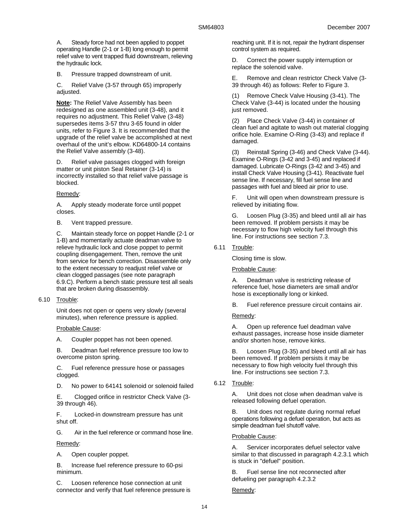A. Steady force had not been applied to poppet operating Handle (2-1 or 1-B) long enough to permit relief valve to vent trapped fluid downstream, relieving the hydraulic lock.

B. Pressure trapped downstream of unit.

C. Relief Valve (3-57 through 65) improperly adjusted.

**Note:** The Relief Valve Assembly has been redesigned as one assembled unit (3-48), and it requires no adjustment. This Relief Valve (3-48) supersedes items 3-57 thru 3-65 found in older units, refer to Figure 3. It is recommended that the upgrade of the relief valve be accomplished at next overhaul of the unit's elbow. KD64800-14 contains the Relief Valve assembly (3-48).

D. Relief valve passages clogged with foreign matter or unit piston Seal Retainer (3-14) is incorrectly installed so that relief valve passage is blocked.

# Remedy:

A. Apply steady moderate force until poppet closes.

B. Vent trapped pressure.

C. Maintain steady force on poppet Handle (2-1 or 1-B) and momentarily actuate deadman valve to relieve hydraulic lock and close poppet to permit coupling disengagement. Then, remove the unit from service for bench correction. Disassemble only to the extent necessary to readjust relief valve or clean clogged passages (see note paragraph 6.9.C). Perform a bench static pressure test all seals that are broken during disassembly.

6.10 Trouble:

Unit does not open or opens very slowly (several minutes), when reference pressure is applied.

Probable Cause:

A. Coupler poppet has not been opened.

B. Deadman fuel reference pressure too low to overcome piston spring.

C. Fuel reference pressure hose or passages clogged.

D. No power to 64141 solenoid or solenoid failed

E. Clogged orifice in restrictor Check Valve (3- 39 through 46).

F. Locked-in downstream pressure has unit shut off.

G. Air in the fuel reference or command hose line.

Remedy:

A. Open coupler poppet.

B. Increase fuel reference pressure to 60-psi minimum.

C. Loosen reference hose connection at unit connector and verify that fuel reference pressure is reaching unit. If it is not, repair the hydrant dispenser control system as required.

D. Correct the power supply interruption or replace the solenoid valve.

E. Remove and clean restrictor Check Valve (3- 39 through 46) as follows: Refer to Figure 3.

(1) Remove Check Valve Housing (3-41). The Check Valve (3-44) is located under the housing just removed.

(2) Place Check Valve (3-44) in container of clean fuel and agitate to wash out material clogging orifice hole. Examine O-Ring (3-43) and replace if damaged.

(3) Reinstall Spring (3-46) and Check Valve (3-44). Examine O-Rings (3-42 and 3-45) and replaced if damaged. Lubricate O-Rings (3-42 and 3-45) and install Check Valve Housing (3-41). Reactivate fuel sense line. If necessary, fill fuel sense line and passages with fuel and bleed air prior to use.

F. Unit will open when downstream pressure is relieved by initiating flow.

G. Loosen Plug (3-35) and bleed until all air has been removed. If problem persists it may be necessary to flow high velocity fuel through this line. For instructions see section 7.3.

6.11 Trouble:

Closing time is slow.

Probable Cause:

A. Deadman valve is restricting release of reference fuel, hose diameters are small and/or hose is exceptionally long or kinked.

B. Fuel reference pressure circuit contains air.

Remedy:

A. Open up reference fuel deadman valve exhaust passages, increase hose inside diameter and/or shorten hose, remove kinks.

B. Loosen Plug (3-35) and bleed until all air has been removed. If problem persists it may be necessary to flow high velocity fuel through this line. For instructions see section 7.3.

6.12 Trouble:

A. Unit does not close when deadman valve is released following defuel operation.

B. Unit does not regulate during normal refuel operations following a defuel operation, but acts as simple deadman fuel shutoff valve.

Probable Cause:

A. Servicer incorporates defuel selector valve similar to that discussed in paragraph 4.2.3.1 which is stuck in "defuel" position.

B. Fuel sense line not reconnected after defueling per paragraph 4.2.3.2

Remedy: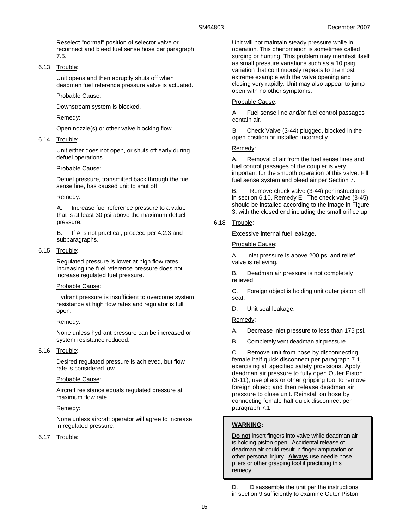Reselect "normal" position of selector valve or reconnect and bleed fuel sense hose per paragraph 7.5.

6.13 Trouble:

Unit opens and then abruptly shuts off when deadman fuel reference pressure valve is actuated.

### Probable Cause:

Downstream system is blocked.

# Remedy:

Open nozzle(s) or other valve blocking flow.

# 6.14 Trouble:

Unit either does not open, or shuts off early during defuel operations.

### Probable Cause:

Defuel pressure, transmitted back through the fuel sense line, has caused unit to shut off.

### Remedy:

A. Increase fuel reference pressure to a value that is at least 30 psi above the maximum defuel pressure.

B. If A is not practical, proceed per 4.2.3 and subparagraphs.

6.15 Trouble:

Regulated pressure is lower at high flow rates. Increasing the fuel reference pressure does not increase regulated fuel pressure.

#### Probable Cause:

Hydrant pressure is insufficient to overcome system resistance at high flow rates and regulator is full open.

#### Remedy:

None unless hydrant pressure can be increased or system resistance reduced.

6.16 Trouble:

Desired regulated pressure is achieved, but flow rate is considered low.

# Probable Cause:

Aircraft resistance equals regulated pressure at maximum flow rate.

# Remedy:

None unless aircraft operator will agree to increase in regulated pressure.

# 6.17 Trouble:

Unit will not maintain steady pressure while in operation. This phenomenon is sometimes called surging or hunting. This problem may manifest itself as small pressure variations such as a 10 psig variation that continuously repeats to the most extreme example with the valve opening and closing very rapidly. Unit may also appear to jump open with no other symptoms.

### Probable Cause:

A. Fuel sense line and/or fuel control passages contain air.

B. Check Valve (3-44) plugged, blocked in the open position or installed incorrectly.

# Remedy:

A. Removal of air from the fuel sense lines and fuel control passages of the coupler is very important for the smooth operation of this valve. Fill fuel sense system and bleed air per Section 7.

B. Remove check valve (3-44) per instructions in section 6.10, Remedy E. The check valve (3-45) should be installed according to the image in Figure 3, with the closed end including the small orifice up.

6.18 Trouble:

Excessive internal fuel leakage.

Probable Cause:

A. Inlet pressure is above 200 psi and relief valve is relieving.

B. Deadman air pressure is not completely relieved.

C. Foreign object is holding unit outer piston off seat.

D. Unit seal leakage.

Remedy:

- A. Decrease inlet pressure to less than 175 psi.
- B. Completely vent deadman air pressure.

C. Remove unit from hose by disconnecting female half quick disconnect per paragraph 7.1, exercising all specified safety provisions. Apply deadman air pressure to fully open Outer Piston (3-11); use pliers or other gripping tool to remove foreign object; and then release deadman air pressure to close unit. Reinstall on hose by connecting female half quick disconnect per paragraph 7.1.

# **WARNING:**

**Do not** insert fingers into valve while deadman air is holding piston open. Accidental release of deadman air could result in finger amputation or other personal injury. **Always** use needle nose pliers or other grasping tool if practicing this remedy.

D. Disassemble the unit per the instructions in section 9 sufficiently to examine Outer Piston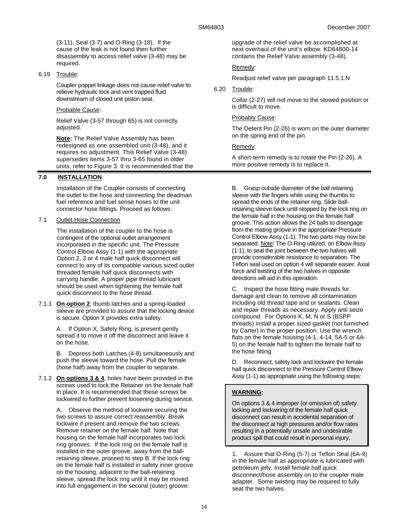(3-11), Seal (3-7) and O-Ring (3-18). If the cause of the leak is not found then further disassembly to access relief valve (3-48) may be required.

6.19 Trouble:

Coupler poppet linkage does not cause relief valve to relieve hydraulic lock and vent trapped fluid downstream of closed unit piston seat.

# Probable Cause:

Relief Valve (3-57 through 65) is not correctly adjusted.

**Note:** The Relief Valve Assembly has been redesigned as one assembled unit (3-48), and it requires no adjustment. This Relief Valve (3-48) supersedes items 3-57 thru 3-65 found in older units, refer to Figure 3. It is recommended that the

# **7.0 INSTALLATION**

Installation of the Coupler consists of connecting the outlet to the hose and connecting the deadman fuel reference and fuel sense hoses to the unit connector hose fittings. Proceed as follows:

# 7.1 Outlet Hose Connection

The installation of the coupler to the hose is contingent of the optional outlet arrangement incorporated in the specific unit. The Pressure Control Elbow Assy (1-1) with the appropriate Option 2, 3 or 4 male half quick disconnect will connect to any of its compatible various sized outlet threaded female half quick disconnects with carrying handle. A proper pipe thread lubricant should be used when tightening the female half quick disconnect to the hose thread.

7.1.1 **On option 2**, thumb latches and a spring-loaded sleeve are provided to assure that the locking device is secure. Option X provides extra safety.

> A. If Option X, Safety Ring, is present gently spread it to move it off the disconnect and leave it on the hose.

B. Depress both Latches (4-8) simultaneously and push the sleeve toward the hose. Pull the female (hose half) away from the coupler to separate.

7.1.2 **On options 3 & 4**, holes have been provided in the screws used to lock the Retainer on the female half in place. It is recommended that these screws be lockwired to further prevent loosening during service.

> A. Observe the method of lockwire securing the two screws to assure correct reassembly. Break lockwire if present and remove the two screws. Remove retainer on the female half. Note that housing on the female half incorporates two lock ring grooves. If the lock ring on the female half is installed in the outer groove, away from the ballretaining sleeve, proceed to step B. If the lock ring on the female half is installed in safety inner groove on the housing, adjacent to the ball-retaining sleeve, spread the lock ring until it may be moved into full engagement in the second (outer) groove.

upgrade of the relief valve be accomplished at next overhaul of the unit's elbow. KD64800-14 contains the Relief Valve assembly (3-48).

# Remedy:

Readjust relief valve per paragraph 11.5.1.N

# 6.20 Trouble:

Collar (2-27) will not move to the stowed position or is difficult to move.

# Probably Cause:

The Detent Pin (2-26) is worn on the outer diameter on the spring end of the pin.

# Remedy:

A short-term remedy is to rotate the Pin (2-26). A more positive remedy is to replace it.

B. Grasp outside diameter of the ball retaining sleeve with the fingers while using the thumbs to spread the ends of the retainer ring. Slide ballretaining sleeve back until stopped by the lock ring on the female half in the housing on the female half groove. This action allows the 24 balls to disengage from the mating groove in the appropriate Pressure Control Elbow Assy (1-1). The two parts may now be separated. Note: The O-Ring utilized, on Elbow Assy (1-1), to seal the joint between the two halves will provide considerable resistance to separation. The Teflon seal used on option 4 will separate easier. Axial force and twisting of the two halves in opposite directions will aid in this operation.

C. Inspect the hose fitting male threads for damage and clean to remove all contamination including old thread tape and or sealants. Clean and repair threads as necessary. Apply anti seize compound. For Options K, M, N or S (BSPP threads) install a proper sized gasket (not furnished by Carter) in the proper position. Use the wrench flats on the female housing (4-1, 4-14, 5A-5 or 6A-5) on the female half to tighten the female half to the hose fitting.

D. Reconnect, safety lock and lockwire the female half quick disconnect to the Pressure Control Elbow Assy (1-1) as appropriate using the following steps:

# **WARNING:**

On options 3 & 4 improper (or omission of) safety locking and lockwiring of the female half quick disconnect can result in accidental separation of the disconnect at high pressures and/or flow rates resulting in a potentially unsafe and undesirable product spill that could result in personal injury.

1. Assure that O-Ring (5-7) or Teflon Seal (6A-9) in the female half as appropriate is lubricated with petroleum jelly. Install female half quick disconnect/hose assembly on to the coupler male adapter. Some twisting may be required to fully seat the two halves.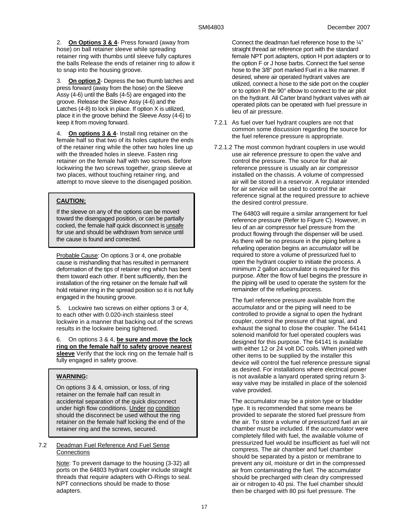2. **On Options 3 & 4**- Press forward (away from hose) on ball retainer sleeve while spreading retainer ring with thumbs until sleeve fully captures the balls Release the ends of retainer ring to allow it to snap into the housing groove.

3. **On option 2**- Depress the two thumb latches and press forward (away from the hose) on the Sleeve Assy (4-6) until the Balls (4-5) are engaged into the groove. Release the Sleeve Assy (4-6) and the Latches (4-8) to lock in place. If option X is utilized, place it in the groove behind the Sleeve Assy (4-6) to keep it from moving forward.

4. **On options 3 & 4**- Install ring retainer on the female half so that two of its holes capture the ends of the retainer ring while the other two holes line up with the threaded holes in sleeve. Fasten ring retainer on the female half with two screws. Before lockwiring the two screws together, grasp sleeve at two places, without touching retainer ring, and attempt to move sleeve to the disengaged position.

# **CAUTION:**

If the sleeve on any of the options can be moved toward the disengaged position, or can be partially cocked, the female half quick disconnect is unsafe for use and should be withdrawn from service until the cause is found and corrected.

Probable Cause: On options 3 or 4, one probable cause is mishandling that has resulted in permanent deformation of the tips of retainer ring which has bent them toward each other. If bent sufficiently, then the installation of the ring retainer on the female half will hold retainer ring in the spread position so it is not fully engaged in the housing groove.

5. Lockwire two screws on either options 3 or 4, to each other with 0.020-inch stainless steel lockwire in a manner that backing out of the screws results in the lockwire being tightened.

6. On options 3 & 4, **be sure and move the lock ring on the female half to safety groove nearest sleeve** Verify that the lock ring on the female half is fully engaged in safety groove.

# **WARNING:**

On options 3 & 4, omission, or loss, of ring retainer on the female half can result in accidental separation of the quick disconnect under high flow conditions. Under no condition should the disconnect be used without the ring retainer on the female half locking the end of the retainer ring and the screws, secured.

### 7.2 Deadman Fuel Reference And Fuel Sense **Connections**

Note: To prevent damage to the housing (3-32) all ports on the 64803 hydrant coupler include straight threads that require adapters with O-Rings to seal. NPT connections should be made to those adapters.

Connect the deadman fuel reference hose to the ¼" straight thread air reference port with the standard female NPT port adapters, option H port adapters or to the option F or J hose barbs. Connect the fuel sense hose to the 3/8" port marked Fuel in a like manner. If desired, where air operated hydrant valves are utilized, connect a hose to the side port on the coupler or to option R the 90° elbow to connect to the air pilot on the hydrant. All Carter brand hydrant valves with air operated pilots can be operated with fuel pressure in lieu of air pressure.

- 7.2.1 As fuel over fuel hydrant couplers are not that common some discussion regarding the source for the fuel reference pressure is appropriate.
- 7.2.1.2 The most common hydrant couplers in use would use air reference pressure to open the valve and control the pressure. The source for that air reference pressure is usually an air compressor installed on the chassis. A volume of compressed air will be stored in a reservoir. A regulator intended for air service will be used to control the air reference signal at the required pressure to achieve the desired control pressure.

The 64803 will require a similar arrangement for fuel reference pressure (Refer to Figure C). However, in lieu of an air compressor fuel pressure from the product flowing through the dispenser will be used. As there will be no pressure in the piping before a refueling operation begins an accumulator will be required to store a volume of pressurized fuel to open the hydrant coupler to initiate the process. A minimum 2 gallon accumulator is required for this purpose. After the flow of fuel begins the pressure in the piping will be used to operate the system for the remainder of the refueling process.

The fuel reference pressure available from the accumulator and or the piping will need to be controlled to provide a signal to open the hydrant coupler, control the pressure of that signal, and exhaust the signal to close the coupler. The 64141 solenoid manifold for fuel operated couplers was designed for this purpose. The 64141 is available with either 12 or 24 volt DC coils. When joined with other items to be supplied by the installer this device will control the fuel reference pressure signal as desired. For installations where electrical power is not available a lanyard operated spring return 3 way valve may be installed in place of the solenoid valve provided.

The accumulator may be a piston type or bladder type. It is recommended that some means be provided to separate the stored fuel pressure from the air. To store a volume of pressurized fuel an air chamber must be included. If the accumulator were completely filled with fuel, the available volume of pressurized fuel would be insufficient as fuel will not compress. The air chamber and fuel chamber should be separated by a piston or membrane to prevent any oil, moisture or dirt in the compressed air from contaminating the fuel. The accumulator should be precharged with clean dry compressed air or nitrogen to 40 psi. The fuel chamber should then be charged with 80 psi fuel pressure. The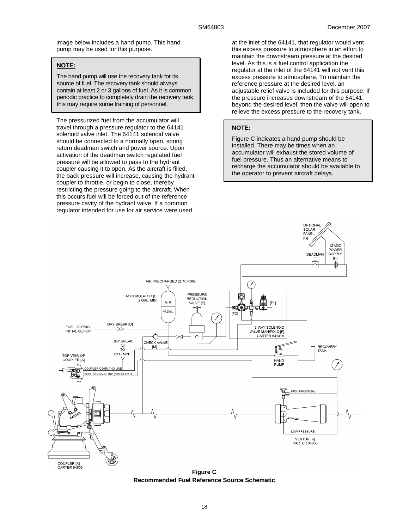image below includes a hand pump. This hand pump may be used for this purpose.

# **NOTE:**

The hand pump will use the recovery tank for its source of fuel. The recovery tank should always contain at least 2 or 3 gallons of fuel. As it is common periodic practice to completely drain the recovery tank, this may require some training of personnel.

The pressurized fuel from the accumulator will travel through a pressure regulator to the 64141 solenoid valve inlet. The 64141 solenoid valve should be connected to a normally open, spring return deadman switch and power source. Upon activation of the deadman switch regulated fuel pressure will be allowed to pass to the hydrant coupler causing it to open. As the aircraft is filled, the back pressure will increase, causing the hydrant coupler to throttle, or begin to close, thereby restricting the pressure going to the aircraft. When this occurs fuel will be forced out of the reference pressure cavity of the hydrant valve. If a common regulator intended for use for air service were used

at the inlet of the 64141, that regulator would vent this excess pressure to atmosphere in an effort to maintain the downstream pressure at the desired level. As this is a fuel control application the regulator at the inlet of the 64141 will not vent this excess pressure to atmosphere. To maintain the reference pressure at the desired level, an adjustable relief valve is included for this purpose. If the pressure increases downstream of the 64141, beyond the desired level, then the valve will open to relieve the excess pressure to the recovery tank.

#### **NOTE:**

Figure C indicates a hand pump should be installed. There may be times when an accumulator will exhaust the stored volume of fuel pressure. Thus an alternative means to recharge the accumulator should be available to the operator to prevent aircraft delays.



**Figure C Recommended Fuel Reference Source Schematic**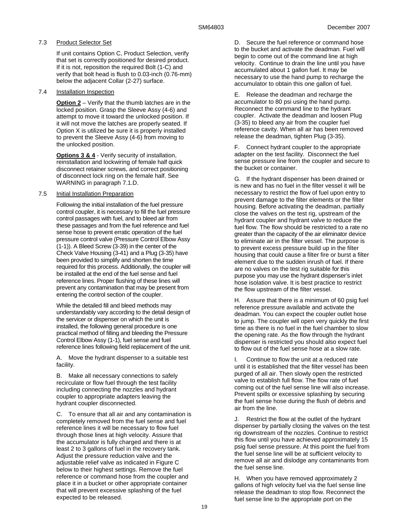# 7.3 Product Selector Set

If unit contains Option C, Product Selection, verify that set is correctly positioned for desired product. If it is not, reposition the required Bolt (1-C) and verify that bolt head is flush to 0.03-inch (0.76-mm) below the adjacent Collar (2-27) surface.

# 7.4 Installation Inspection

**Option 2** – Verify that the thumb latches are in the locked position. Grasp the Sleeve Assy (4-6) and attempt to move it toward the unlocked position. If it will not move the latches are properly seated. If Option X is utilized be sure it is properly installed to prevent the Sleeve Assy (4-6) from moving to the unlocked position.

**Options 3 & 4** - Verify security of installation, reinstallation and lockwiring of female half quick disconnect retainer screws, and correct positioning of disconnect lock ring on the female half. See WARNING in paragraph 7.1.D.

# 7.5 Initial Installation Preparation

Following the initial installation of the fuel pressure control coupler, it is necessary to fill the fuel pressure control passages with fuel, and to bleed air from these passages and from the fuel reference and fuel sense hose to prevent erratic operation of the fuel pressure control valve (Pressure Control Elbow Assy (1-1)). A Bleed Screw (3-39) in the center of the Check Valve Housing (3-41) and a Plug (3-35) have been provided to simplify and shorten the time required for this process. Additionally, the coupler will be installed at the end of the fuel sense and fuel reference lines. Proper flushing of these lines will prevent any contamination that may be present from entering the control section of the coupler.

While the detailed fill and bleed methods may understandably vary according to the detail design of the servicer or dispenser on which the unit is installed, the following general procedure is one practical method of filling and bleeding the Pressure Control Elbow Assy (1-1), fuel sense and fuel reference lines following field replacement of the unit.

A. Move the hydrant dispenser to a suitable test facility.

B. Make all necessary connections to safely recirculate or flow fuel through the test facility including connecting the nozzles and hydrant coupler to appropriate adapters leaving the hydrant coupler disconnected.

C. To ensure that all air and any contamination is completely removed from the fuel sense and fuel reference lines it will be necessary to flow fuel through those lines at high velocity. Assure that the accumulator is fully charged and there is at least 2 to 3 gallons of fuel in the recovery tank. Adjust the pressure reduction valve and the adjustable relief valve as indicated in Figure C below to their highest settings. Remove the fuel reference or command hose from the coupler and place it in a bucket or other appropriate container that will prevent excessive splashing of the fuel expected to be released.

D. Secure the fuel reference or command hose to the bucket and activate the deadman. Fuel will begin to come out of the command line at high velocity. Continue to drain the line until you have accumulated about 1 gallon fuel. It may be necessary to use the hand pump to recharge the accumulator to obtain this one gallon of fuel.

E. Release the deadman and recharge the accumulator to 80 psi using the hand pump. Reconnect the command line to the hydrant coupler. Activate the deadman and loosen Plug (3-35) to bleed any air from the coupler fuel reference cavity. When all air has been removed release the deadman, tighten Plug (3-35).

F. Connect hydrant coupler to the appropriate adapter on the test facility. Disconnect the fuel sense pressure line from the coupler and secure to the bucket or container.

G. If the hydrant dispenser has been drained or is new and has no fuel in the filter vessel it will be necessary to restrict the flow of fuel upon entry to prevent damage to the filter elements or the filter housing. Before activating the deadman, partially close the valves on the test rig, upstream of the hydrant coupler and hydrant valve to reduce the fuel flow. The flow should be restricted to a rate no greater than the capacity of the air eliminator device to eliminate air in the filter vessel. The purpose is to prevent excess pressure build up in the filter housing that could cause a filter fire or burst a filter element due to the sudden inrush of fuel. If there are no valves on the test rig suitable for this purpose you may use the hydrant dispenser's inlet hose isolation valve. It is best practice to restrict the flow upstream of the filter vessel.

H. Assure that there is a minimum of 60 psig fuel reference pressure available and activate the deadman. You can expect the coupler outlet hose to jump. The coupler will open very quickly the first time as there is no fuel in the fuel chamber to slow the opening rate. As the flow through the hydrant dispenser is restricted you should also expect fuel to flow out of the fuel sense hose at a slow rate.

I. Continue to flow the unit at a reduced rate until it is established that the filter vessel has been purged of all air. Then slowly open the restricted valve to establish full flow. The flow rate of fuel coming out of the fuel sense line will also increase. Prevent spills or excessive splashing by securing the fuel sense hose during the flush of debris and air from the line.

J. Restrict the flow at the outlet of the hydrant dispenser by partially closing the valves on the test rig downstream of the nozzles. Continue to restrict this flow until you have achieved approximately 15 psig fuel sense pressure. At this point the fuel from the fuel sense line will be at sufficient velocity to remove all air and dislodge any contaminants from the fuel sense line.

H. When you have removed approximately 2 gallons of high velocity fuel via the fuel sense line release the deadman to stop flow. Reconnect the fuel sense line to the appropriate port on the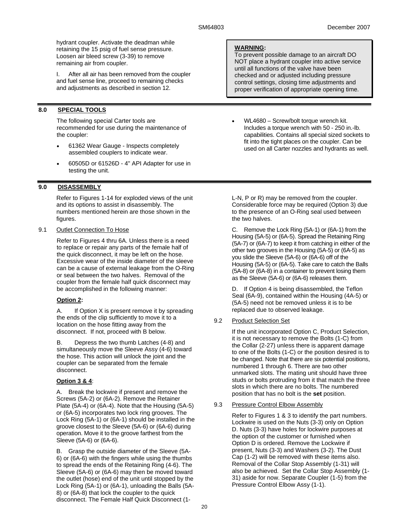hydrant coupler. Activate the deadman while retaining the 15 psig of fuel sense pressure. Loosen air bleed screw (3-39) to remove remaining air from coupler.

I. After all air has been removed from the coupler and fuel sense line, proceed to remaining checks and adjustments as described in section 12.

# **8.0 SPECIAL TOOLS**

The following special Carter tools are recommended for use during the maintenance of the coupler:

- 61362 Wear Gauge Inspects completely assembled couplers to indicate wear.
- 60505D or 61526D 4" API Adapter for use in testing the unit.

# **9.0 DISASSEMBLY**

Refer to Figures 1-14 for exploded views of the unit and its options to assist in disassembly. The numbers mentioned herein are those shown in the figures.

# 9.1 Outlet Connection To Hose

Refer to Figures 4 thru 6A. Unless there is a need to replace or repair any parts of the female half of the quick disconnect, it may be left on the hose. Excessive wear of the inside diameter of the sleeve can be a cause of external leakage from the O-Ring or seal between the two halves. Removal of the coupler from the female half quick disconnect may be accomplished in the following manner:

# **Option 2:**

A. If Option X is present remove it by spreading the ends of the clip sufficiently to move it to a location on the hose fitting away from the disconnect. If not, proceed with B below.

B. Depress the two thumb Latches (4-8) and simultaneously move the Sleeve Assy (4-6) toward the hose. This action will unlock the joint and the coupler can be separated from the female disconnect.

# **Option 3 & 4**:

A. Break the lockwire if present and remove the Screws (5A-2) or (6A-2). Remove the Retainer Plate (5A-4) or (6A-4). Note that the Housing (5A-5) or (6A-5) incorporates two lock ring grooves. The Lock Ring (5A-1) or (6A-1) should be installed in the groove closest to the Sleeve (5A-6) or (6A-6) during operation. Move it to the groove farthest from the Sleeve (5A-6) or (6A-6).

B. Grasp the outside diameter of the Sleeve (5A-6) or (6A-6) with the fingers while using the thumbs to spread the ends of the Retaining Ring (4-6). The Sleeve (5A-6) or (6A-6) may then be moved toward the outlet (hose) end of the unit until stopped by the Lock Ring (5A-1) or (6A-1), unloading the Balls (5A-8) or (6A-8) that lock the coupler to the quick disconnect. The Female Half Quick Disconnect (1-

# **WARNING:**

To prevent possible damage to an aircraft DO NOT place a hydrant coupler into active service until all functions of the valve have been checked and or adjusted including pressure control settings, closing time adjustments and proper verification of appropriate opening time.

• WL4680 – Screw/bolt torque wrench kit. Includes a torque wrench with 50 - 250 in.-lb. capabilities. Contains all special sized sockets to fit into the tight places on the coupler. Can be used on all Carter nozzles and hydrants as well.

L-N, P or R) may be removed from the coupler. Considerable force may be required (Option 3) due to the presence of an O-Ring seal used between the two halves.

C. Remove the Lock Ring (5A-1) or (6A-1) from the Housing (5A-5) or (6A-5). Spread the Retaining Ring (5A-7) or (6A-7) to keep it from catching in either of the other two grooves in the Housing (5A-5) or (6A-5) as you slide the Sleeve (5A-6) or (6A-6) off of the Housing (5A-5) or (6A-5). Take care to catch the Balls (5A-8) or (6A-8) in a container to prevent losing them as the Sleeve (5A-6) or (6A-6) releases them.

D. If Option 4 is being disassembled, the Teflon Seal (6A-9), contained within the Housing (4A-5) or (5A-5) need not be removed unless it is to be replaced due to observed leakage.

# 9.2 Product Selection Set

If the unit incorporated Option C, Product Selection, it is not necessary to remove the Bolts (1-C) from the Collar (2-27) unless there is apparent damage to one of the Bolts (1-C) or the position desired is to be changed. Note that there are six potential positions, numbered 1 through 6. There are two other unmarked slots. The mating unit should have three studs or bolts protruding from it that match the three slots in which there are no bolts. The numbered position that has no bolt is the **set** position.

# 9.3 Pressure Control Elbow Assembly

Refer to Figures 1 & 3 to identify the part numbers. Lockwire is used on the Nuts (3-3) only on Option D. Nuts (3-3) have holes for lockwire purposes at the option of the customer or furnished when Option D is ordered. Remove the Lockwire if present, Nuts (3-3) and Washers (3-2). The Dust Cap (1-2) will be removed with these items also. Removal of the Collar Stop Assembly (1-31) will also be achieved. Set the Collar Stop Assembly (1- 31) aside for now. Separate Coupler (1-5) from the Pressure Control Elbow Assy (1-1).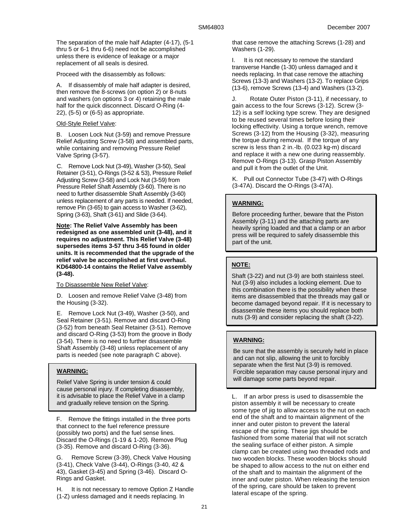The separation of the male half Adapter (4-17), (5-1 thru 5 or 6-1 thru 6-6) need not be accomplished unless there is evidence of leakage or a major replacement of all seals is desired.

Proceed with the disassembly as follows:

A. If disassembly of male half adapter is desired, then remove the 8-screws (on option 2) or 8-nuts and washers (on options 3 or 4) retaining the male half for the quick disconnect. Discard O-Ring (4- 22), (5-5) or (6-5) as appropriate.

# Old-Style Relief Valve:

B. Loosen Lock Nut (3-59) and remove Pressure Relief Adjusting Screw (3-58) and assembled parts, while containing and removing Pressure Relief Valve Spring (3-57).

C. Remove Lock Nut (3-49), Washer (3-50), Seal Retainer (3-51), O-Rings (3-52 & 53), Pressure Relief Adjusting Screw (3-58) and Lock Nut (3-59) from Pressure Relief Shaft Assembly (3-60). There is no need to further disassemble Shaft Assembly (3-60) unless replacement of any parts is needed. If needed, remove Pin (3-65) to gain access to Washer (3-62), Spring (3-63), Shaft (3-61) and Slide (3-64).

**Note: The Relief Valve Assembly has been redesigned as one assembled unit (3-48), and it requires no adjustment. This Relief Valve (3-48) supersedes items 3-57 thru 3-65 found in older units. It is recommended that the upgrade of the relief valve be accomplished at first overhaul. KD64800-14 contains the Relief Valve assembly (3-48).** 

# To Disassemble New Relief Valve:

D. Loosen and remove Relief Valve (3-48) from the Housing (3-32).

E. Remove Lock Nut (3-49), Washer (3-50), and Seal Retainer (3-51). Remove and discard O-Ring (3-52) from beneath Seal Retainer (3-51). Remove and discard O-Ring (3-53) from the groove in Body (3-54). There is no need to further disassemble Shaft Assembly (3-48) unless replacement of any parts is needed (see note paragraph C above).

# **WARNING:**

Relief Valve Spring is under tension & could cause personal injury. If completing disassembly, it is advisable to place the Relief Valve in a clamp and gradually relieve tension on the Spring.

F. Remove the fittings installed in the three ports that connect to the fuel reference pressure (possibly two ports) and the fuel sense lines. Discard the O-Rings (1-19 & 1-20). Remove Plug (3-35). Remove and discard O-Ring (3-36).

G. Remove Screw (3-39), Check Valve Housing (3-41), Check Valve (3-44), O-Rings (3-40, 42 & 43), Gasket (3-45) and Spring (3-46). Discard O-Rings and Gasket.

H. It is not necessary to remove Option Z Handle (1-Z) unless damaged and it needs replacing. In

that case remove the attaching Screws (1-28) and Washers (1-29).

I. It is not necessary to remove the standard transverse Handle (1-30) unless damaged and it needs replacing. In that case remove the attaching Screws (13-3) and Washers (13-2). To replace Grips (13-6), remove Screws (13-4) and Washers (13-2).

J. Rotate Outer Piston (3-11), if necessary, to gain access to the four Screws (3-12). Screw (3- 12) is a self locking type screw. They are designed to be reused several times before losing their locking effectivity. Using a torque wrench, remove Screws (3-12) from the Housing (3-32), measuring the torque during removal. If the torque of any screw is less than 2 in.-lb. (0.023 kg-m) discard and replace it with a new one during reassembly. Remove O-Rings (3-13). Grasp Piston Assembly and pull it from the outlet of the Unit.

K. Pull out Connector Tube (3-47) with O-Rings (3-47A). Discard the O-Rings (3-47A).

# **WARNING:**

Before proceeding further, beware that the Piston Assembly (3-11) and the attaching parts are heavily spring loaded and that a clamp or an arbor press will be required to safely disassemble this part of the unit.

# **NOTE:**

Shaft (3-22) and nut (3-9) are both stainless steel. Nut (3-9) also includes a locking element. Due to this combination there is the possibility when these items are disassembled that the threads may gall or become damaged beyond repair. If it is necessary to disassemble these items you should replace both nuts (3-9) and consider replacing the shaft (3-22).

# **WARNING:**

Be sure that the assembly is securely held in place and can not slip, allowing the unit to forcibly separate when the first Nut (3-9) is removed. Forcible separation may cause personal injury and will damage some parts beyond repair.

L. If an arbor press is used to disassemble the piston assembly it will be necessary to create some type of jig to allow access to the nut on each end of the shaft and to maintain alignment of the inner and outer piston to prevent the lateral escape of the spring. These jigs should be fashioned from some material that will not scratch the sealing surface of either piston. A simple clamp can be created using two threaded rods and two wooden blocks. These wooden blocks should be shaped to allow access to the nut on either end of the shaft and to maintain the alignment of the inner and outer piston. When releasing the tension of the spring, care should be taken to prevent lateral escape of the spring.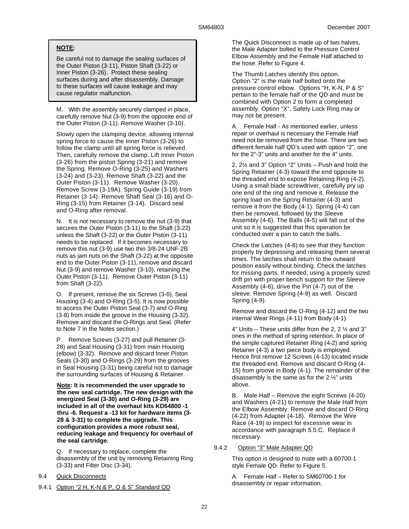# **NOTE:**

Be careful not to damage the sealing surfaces of the Outer Piston (3-11), Piston Shaft (3-22) or Inner Piston (3-26). Protect these sealing surfaces during and after disassembly. Damage to these surfaces will cause leakage and may cause regulator malfunction.

M. With the assembly securely clamped in place, carefully remove Nut (3-9) from the opposite end of the Outer Piston (3-11). Remove Washer (3-10).

Slowly open the clamping device, allowing internal spring force to cause the Inner Piston (3-26) to follow the clamp until all spring force is relieved. Then, carefully remove the clamp. Lift Inner Piston (3-26) from the piston Spring (3-21) and remove the Spring. Remove O-Ring (3-25) and Washers (3-24) and (3-23). Remove Shaft (3-22) and the Outer Piston (3-11). Remove Washer (3-20). Remove Screw (3-19A). Spring Guide (3-19) from Retainer (3-14). Remove Shaft Seal (3-16) and O-Ring (3-15) from Retainer (3-14). Discard seal and O-Ring after removal.

N. It is not necessary to remove the nut (3-9) that secures the Outer Piston (3-11) to the Shaft (3-22) unless the Shaft (3-22) or the Outer Piston (3-11) needs to be replaced. If it becomes necessary to remove this nut (3-9) use two thin 3/8-24 UNF-2B nuts as jam nuts on the Shaft (3-22) at the opposite end to the Outer Piston (3-11), remove and discard Nut (3-9) and remove Washer (3-10), retaining the Outer Piston (3-11). Remove Outer Piston (3-11) from Shaft (3-22).

O. If present, remove the six Screws (3-6), Seal Housing (3-4) and O-Ring (3-5). It is now possible to access the Outer Piston Seal (3-7) and O-Ring (3-8) from inside the groove in the Housing (3-32). Remove and discard the O-Rings and Seal. (Refer to Note 7 in the Notes section.)

Remove Screws (3-27) and pull Retainer (3-28) and Seal Housing (3-31) from main Housing (elbow) (3-32). Remove and discard Inner Piston Seals (3-30) and O-Rings (3-29) from the grooves in Seal Housing (3-31) being careful not to damage the surrounding surfaces of Housing & Retainer.

**Note: It is recommended the user upgrade to the new seal cartridge. The new design with the energized Seal (3-30) and O-Ring (3-29) are included in all of the overhaul kits KD64800 -1 thru -6. Request a -13 kit for hardware items (3- 28 & 3-31) to complete the upgrade. This configuration provides a more robust seal, reducing leakage and frequency for overhaul of the seal cartridge.** 

Q. If necessary to replace, complete the disassembly of the unit by removing Retaining Ring (3-33) and Filter Disc (3-34).

9.4 Quick Disconnects

9.4.1 Option "2 H, K-N & P, Q & S" Standard QD

The Quick Disconnect is made up of two halves, the Male Adapter bolted to the Pressure Control Elbow Assembly and the Female Half attached to the hose. Refer to Figure 4.

The Thumb Latches identify this option. Option "2" is the male half bolted onto the pressure control elbow. Options "H, K-N, P & S" pertain to the female half of the QD and must be combined with Option 2 to form a completed assembly. Option "X", Safety Lock Ring may or may not be present.

A. Female Half - As mentioned earlier, unless repair or overhaul is necessary the Female Half need not be removed from the hose. There are two different female half QD's used with option "2", one for the 2"-3" units and another for the 4" units.

2, 2½ and 3" Option "2" Units – Push and hold the Spring Retainer (4-3) toward the end opposite to the threaded end to expose Retaining Ring (4-2). Using a small blade screwdriver, carefully pry up one end of the ring and remove it. Release the spring load on the Spring Retainer (4-3) and remove it from the Body (4-1). Spring (4-4) can then be removed, followed by the Sleeve Assembly (4-6). The Balls (4-5) will fall out of the unit so it is suggested that this operation be conducted over a pan to catch the balls.

Check the Latches (4-8) to see that they function properly by depressing and releasing them several times. The latches shall return to the outward position easily without binding. Check the latches for missing parts. If needed, using a properly sized drift pin with proper bench support for the Sleeve Assembly (4-6), drive the Pin (4-7) out of the sleeve. Remove Spring (4-9) as well. Discard Spring (4-9).

Remove and discard the O-Ring (4-12) and the two internal Wear Rings (4-11) from Body (4-1).

4" Units – These units differ from the 2, 2 ½ and 3" ones in the method of spring retention. In place of the simple captured Retainer Ring (4-2) and spring Retainer (4-3) a two piece body is employed. Hence first remove 12 Screws (4-13) located inside the threaded end. Remove and discard O-Ring (4- 15) from groove in Body (4-1). The remainder of the disassembly is the same as for the 2 ½" units above.

B. Male Half – Remove the eight Screws (4-20) and Washers (4-21) to remove the Male Half from the Elbow Assembly. Remove and discard O-Ring (4-22) from Adapter (4-18). Remove the Wire Race (4-19) to inspect for excessive wear in accordance with paragraph 5.5.C. Replace if necessary.

# 9.4.2 Option "3" Male Adapter QD

This option is designed to mate with a 60700-1 style Female QD. Refer to Figure 5.

A. Female Half – Refer to SM60700-1 for disassembly or repair information.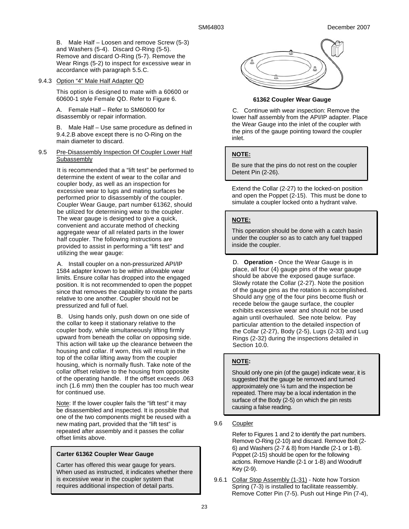B. Male Half – Loosen and remove Screw (5-3) and Washers (5-4). Discard O-Ring (5-5). Remove and discard O-Ring (5-7). Remove the Wear Rings (5-2) to inspect for excessive wear in accordance with paragraph 5.5.C.

# 9.4.3 Option "4" Male Half Adapter QD

This option is designed to mate with a 60600 or 60600-1 style Female QD. Refer to Figure 6.

A. Female Half – Refer to SM60600 for disassembly or repair information.

B. Male Half – Use same procedure as defined in 9.4.2.B above except there is no O-Ring on the main diameter to discard.

### 9.5 Pre-Disassembly Inspection Of Coupler Lower Half Subassembly

It is recommended that a "lift test" be performed to determine the extent of wear to the collar and coupler body, as well as an inspection for excessive wear to lugs and mating surfaces be performed prior to disassembly of the coupler. Coupler Wear Gauge, part number 61362, should be utilized for determining wear to the coupler. The wear gauge is designed to give a quick, convenient and accurate method of checking aggregate wear of all related parts in the lower half coupler. The following instructions are provided to assist in performing a "lift test" and utilizing the wear gauge:

A. Install coupler on a non-pressurized API/IP 1584 adapter known to be within allowable wear limits. Ensure collar has dropped into the engaged position. It is not recommended to open the poppet since that removes the capability to rotate the parts relative to one another. Coupler should not be pressurized and full of fuel.

B. Using hands only, push down on one side of the collar to keep it stationary relative to the coupler body, while simultaneously lifting firmly upward from beneath the collar on opposing side. This action will take up the clearance between the housing and collar. If worn, this will result in the top of the collar lifting away from the coupler housing, which is normally flush. Take note of the collar offset relative to the housing from opposite of the operating handle. If the offset exceeds .063 inch (1.6 mm) then the coupler has too much wear for continued use.

Note: If the lower coupler fails the "lift test" it may be disassembled and inspected. It is possible that one of the two components might be reused with a new mating part, provided that the "lift test" is repeated after assembly and it passes the collar offset limits above.

# **Carter 61362 Coupler Wear Gauge**

Carter has offered this wear gauge for years. When used as instructed, it indicates whether there is excessive wear in the coupler system that requires additional inspection of detail parts.



# **61362 Coupler Wear Gauge**

C. Continue with wear inspection: Remove the lower half assembly from the API/IP adapter. Place the Wear Gauge into the inlet of the coupler with the pins of the gauge pointing toward the coupler inlet.

# **NOTE:**

Be sure that the pins do not rest on the coupler Detent Pin (2-26).

Extend the Collar (2-27) to the locked-on position and open the Poppet (2-15). This must be done to simulate a coupler locked onto a hydrant valve.

# **NOTE:**

This operation should be done with a catch basin under the coupler so as to catch any fuel trapped inside the coupler.

D. **Operation** - Once the Wear Gauge is in place, all four (4) gauge pins of the wear gauge should be above the exposed gauge surface. Slowly rotate the Collar (2-27). Note the position of the gauge pins as the rotation is accomplished. Should any one of the four pins become flush or recede below the gauge surface, the coupler exhibits excessive wear and should not be used again until overhauled. See note below. Pay particular attention to the detailed inspection of the Collar (2-27), Body (2-5), Lugs (2-33) and Lug Rings (2-32) during the inspections detailed in Section 10.0.

# **NOTE:**

Should only one pin (of the gauge) indicate wear, it is suggested that the gauge be removed and turned approximately one ¼ turn and the inspection be repeated. There may be a local indentation in the surface of the Body (2-5) on which the pin rests causing a false reading.

# 9.6 Coupler

Refer to Figures 1 and 2 to identify the part numbers. Remove O-Ring (2-10) and discard. Remove Bolt (2- 6) and Washers (2-7 & 8) from Handle (2-1 or 1-B). Poppet (2-15) should be open for the following actions. Remove Handle (2-1 or 1-B) and Woodruff Key (2-9).

9.6.1 Collar Stop Assembly (1-31) - Note how Torsion Spring (7-3) is installed to facilitate reassembly. Remove Cotter Pin (7-5). Push out Hinge Pin (7-4),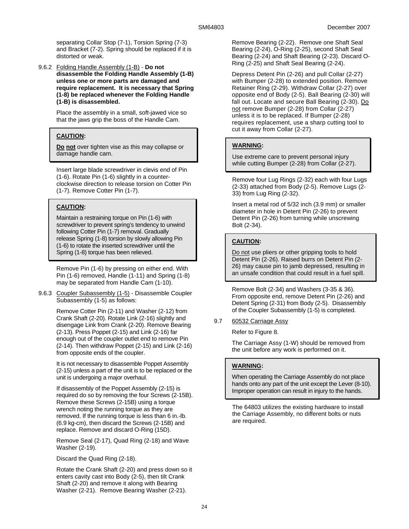separating Collar Stop (7-1), Torsion Spring (7-3) and Bracket (7-2). Spring should be replaced if it is distorted or weak.

9.6.2 Folding Handle Assembly (1-B) - **Do not disassemble the Folding Handle Assembly (1-B) unless one or more parts are damaged and require replacement. It is necessary that Spring (1-8) be replaced whenever the Folding Handle (1-B) is disassembled.**

> Place the assembly in a small, soft-jawed vice so that the jaws grip the boss of the Handle Cam.

# **CAUTION:**

**Do not** over tighten vise as this may collapse or damage handle cam.

Insert large blade screwdriver in clevis end of Pin (1-6). Rotate Pin (1-6) slightly in a counterclockwise direction to release torsion on Cotter Pin (1-7). Remove Cotter Pin (1-7).

### **CAUTION:**

Maintain a restraining torque on Pin (1-6) with screwdriver to prevent spring's tendency to unwind following Cotter Pin (1-7) removal. Gradually release Spring (1-8) torsion by slowly allowing Pin (1-6) to rotate the inserted screwdriver until the Spring (1-8) torque has been relieved.

Remove Pin (1-6) by pressing on either end. With Pin (1-6) removed, Handle (1-11) and Spring (1-8) may be separated from Handle Cam (1-10).

9.6.3 Coupler Subassembly (1-5) - Disassemble Coupler Subassembly (1-5) as follows:

> Remove Cotter Pin (2-11) and Washer (2-12) from Crank Shaft (2-20). Rotate Link (2-16) slightly and disengage Link from Crank (2-20). Remove Bearing (2-13). Press Poppet (2-15) and Link (2-16) far enough out of the coupler outlet end to remove Pin (2-14). Then withdraw Poppet (2-15) and Link (2-16) from opposite ends of the coupler.

> It is not necessary to disassemble Poppet Assembly (2-15) unless a part of the unit is to be replaced or the unit is undergoing a major overhaul.

> If disassembly of the Poppet Assembly (2-15) is required do so by removing the four Screws (2-15B). Remove these Screws (2-15B) using a torque wrench noting the running torque as they are removed. If the running torque is less than 6 in.-lb. (6.9 kg-cm), then discard the Screws (2-15B) and replace. Remove and discard O-Ring (15D).

Remove Seal (2-17), Quad Ring (2-18) and Wave Washer (2-19).

Discard the Quad Ring (2-18).

Rotate the Crank Shaft (2-20) and press down so it enters cavity cast into Body (2-5), then tilt Crank Shaft (2-20) and remove it along with Bearing Washer (2-21). Remove Bearing Washer (2-21).

Remove Bearing (2-22). Remove one Shaft Seal Bearing (2-24), O-Ring (2-25), second Shaft Seal Bearing (2-24) and Shaft Bearing (2-23). Discard O-Ring (2-25) and Shaft Seal Bearing (2-24).

Depress Detent Pin (2-26) and pull Collar (2-27) with Bumper (2-28) to extended position. Remove Retainer Ring (2-29). Withdraw Collar (2-27) over opposite end of Body (2-5). Ball Bearing (2-30) will fall out. Locate and secure Ball Bearing (2-30). Do not remove Bumper (2-28) from Collar (2-27) unless it is to be replaced. If Bumper (2-28) requires replacement, use a sharp cutting tool to cut it away from Collar (2-27).

### **WARNING:**

Use extreme care to prevent personal injury while cutting Bumper (2-28) from Collar (2-27).

Remove four Lug Rings (2-32) each with four Lugs (2-33) attached from Body (2-5). Remove Lugs (2- 33) from Lug Ring (2-32).

Insert a metal rod of 5/32 inch (3.9 mm) or smaller diameter in hole in Detent Pin (2-26) to prevent Detent Pin (2-26) from turning while unscrewing Bolt (2-34).

# **CAUTION:**

Do not use pliers or other gripping tools to hold Detent Pin (2-26). Raised burrs on Detent Pin (2- 26) may cause pin to jamb depressed, resulting in an unsafe condition that could result in a fuel spill.

Remove Bolt (2-34) and Washers (3-35 & 36). From opposite end, remove Detent Pin (2-26) and Detent Spring (2-31) from Body (2-5). Disassembly of the Coupler Subassembly (1-5) is completed.

9.7 60532 Carriage Assy

Refer to Figure 8.

The Carriage Assy (1-W) should be removed from the unit before any work is performed on it.

#### **WARNING:**

When operating the Carriage Assembly do not place hands onto any part of the unit except the Lever (8-10). Improper operation can result in injury to the hands.

The 64803 utilizes the existing hardware to install the Carriage Assembly, no different bolts or nuts are required.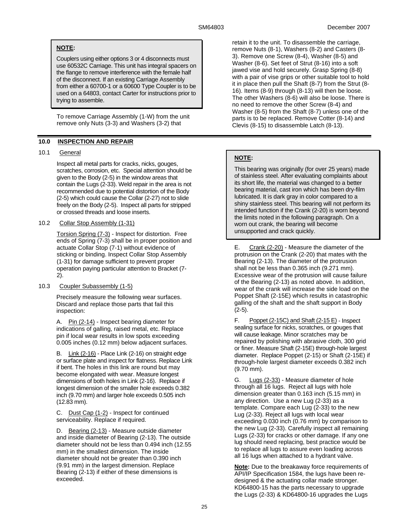# **NOTE:**

Couplers using either options 3 or 4 disconnects must use 60532C Carriage. This unit has integral spacers on the flange to remove interference with the female half of the disconnect. If an existing Carriage Assembly from either a 60700-1 or a 60600 Type Coupler is to be used on a 64803, contact Carter for instructions prior to trying to assemble.

To remove Carriage Assembly (1-W) from the unit remove only Nuts (3-3) and Washers (3-2) that

# **10.0 INSPECTION AND REPAIR**

# 10.1 General

Inspect all metal parts for cracks, nicks, gouges, scratches, corrosion, etc. Special attention should be given to the Body (2-5) in the window areas that contain the Lugs (2-33). Weld repair in the area is not recommended due to potential distortion of the Body (2-5) which could cause the Collar (2-27) not to slide freely on the Body (2-5). Inspect all parts for stripped or crossed threads and loose inserts.

# 10.2 Collar Stop Assembly (1-31)

Torsion Spring (7-3) - Inspect for distortion. Free ends of Spring (7-3) shall be in proper position and actuate Collar Stop (7-1) without evidence of sticking or binding. Inspect Collar Stop Assembly (1-31) for damage sufficient to prevent proper operation paying particular attention to Bracket (7- 2).

# 10.3 Coupler Subassembly (1-5)

Precisely measure the following wear surfaces. Discard and replace those parts that fail this inspection:

A. Pin (2-14) - Inspect bearing diameter for indications of galling, raised metal, etc. Replace pin if local wear results in low spots exceeding 0.005 inches (0.12 mm) below adjacent surfaces.

B. Link (2-16) - Place Link (2-16) on straight edge or surface plate and inspect for flatness. Replace Link if bent. The holes in this link are round but may become elongated with wear. Measure longest dimensions of both holes in Link (2-16). Replace if longest dimension of the smaller hole exceeds 0.382 inch (9.70 mm) and larger hole exceeds 0.505 inch (12.83 mm).

C. Dust Cap (1-2) - Inspect for continued serviceability. Replace if required.

D. Bearing (2-13) - Measure outside diameter and inside diameter of Bearing (2-13). The outside diameter should not be less than 0.494 inch (12.55 mm) in the smallest dimension. The inside diameter should not be greater than 0.390 inch (9.91 mm) in the largest dimension. Replace Bearing (2-13) if either of these dimensions is exceeded.

retain it to the unit. To disassemble the carriage, remove Nuts (8-1), Washers (8-2) and Casters (8- 3). Remove one Screw (8-4), Washer (8-5) and Washer (8-6). Set feet of Strut (8-16) into a soft jawed vise and hold securely. Grasp Spring (8-8) with a pair of vise grips or other suitable tool to hold it in place then pull the Shaft (8-7) from the Strut (8- 16). Items (8-9) through (8-13) will then be loose. The other Washers (8-6) will also be loose. There is no need to remove the other Screw (8-4) and Washer (8-5) from the Shaft (8-7) unless one of the parts is to be replaced. Remove Cotter (8-14) and Clevis (8-15) to disassemble Latch (8-13).

# **NOTE:**

This bearing was originally (for over 25 years) made of stainless steel. After evaluating complaints about its short life, the material was changed to a better bearing material, cast iron which has been dry-film lubricated. It is dark gray in color compared to a shiny stainless steel. This bearing will not perform its intended function if the Crank (2-20) is worn beyond the limits noted in the following paragraph. On a worn out crank, the bearing will become unsupported and crack quickly.

E. Crank (2-20) - Measure the diameter of the protrusion on the Crank (2-20) that mates with the Bearing (2-13). The diameter of the protrusion shall not be less than 0.365 inch (9.271 mm). Excessive wear of the protrusion will cause failure of the Bearing (2-13) as noted above. In addition, wear of the crank will increase the side load on the Poppet Shaft (2-15E) which results in catastrophic galling of the shaft and the shaft support in Body (2-5).

F. Poppet (2-15C) and Shaft (2-15 E) - Inspect sealing surface for nicks, scratches, or gouges that will cause leakage. Minor scratches may be repaired by polishing with abrasive cloth, 300 grid or finer. Measure Shaft (2-15E) through-hole largest diameter. Replace Poppet (2-15) or Shaft (2-15E) if through-hole largest diameter exceeds 0.382 inch (9.70 mm).

G. Lugs (2-33) - Measure diameter of hole through all 16 lugs. Reject all lugs with hole dimension greater than 0.163 inch (5.15 mm) in any direction. Use a new Lug (2-33) as a template. Compare each Lug (2-33) to the new Lug (2-33). Reject all lugs with local wear exceeding 0.030 inch (0.76 mm) by comparison to the new Lug (2-33). Carefully inspect all remaining Lugs (2-33) for cracks or other damage. If any one lug should need replacing, best practice would be to replace all lugs to assure even loading across all 16 lugs when attached to a hydrant valve.

**Note:** Due to the breakaway force requirements of API/IP Specification 1584, the lugs have been redesigned & the actuating collar made stronger. KD64800-15 has the parts necessary to upgrade the Lugs (2-33) & KD64800-16 upgrades the Lugs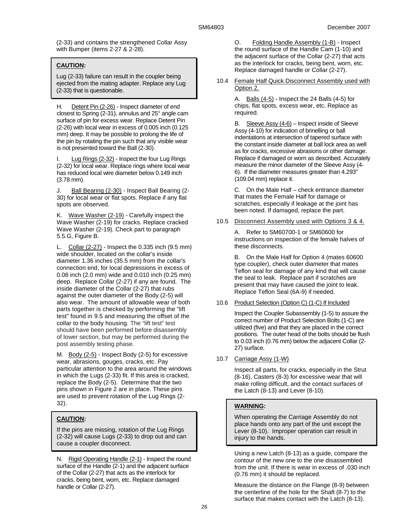(2-33) and contains the strengthened Collar Assy with Bumper (items 2-27 & 2-28).

# **CAUTION:**

Lug (2-33) failure can result in the coupler being ejected from the mating adapter. Replace any Lug (2-33) that is questionable.

H. Detent Pin (2-26) - Inspect diameter of end closest to Spring (2-31), annulus and 25° angle cam surface of pin for excess wear. Replace Detent Pin (2-26) with local wear in excess of 0.005 inch (0.125 mm) deep. It may be possible to prolong the life of the pin by rotating the pin such that any visible wear is not presented toward the Ball (2-30).

I. Lug Rings (2-32) - Inspect the four Lug Rings (2-32) for local wear. Replace rings where local wear has reduced local wire diameter below 0.149 inch (3.78 mm).

J. Ball Bearing (2-30) - Inspect Ball Bearing (2-30) for local wear or flat spots. Replace if any flat spots are observed.

K. Wave Washer (2-19) - Carefully inspect the Wave Washer (2-19) for cracks. Replace cracked Wave Washer (2-19). Check part to paragraph 5.5.G, Figure B.

L. Collar (2-27) - Inspect the 0.335 inch (9.5 mm) wide shoulder, located on the collar's inside diameter 1.36 inches (35.5 mm) from the collar's connection end, for local depressions in excess of 0.08 inch (2.0 mm) wide and 0.010 inch (0.25 mm) deep. Replace Collar (2-27) if any are found. The inside diameter of the Collar (2-27) that rubs against the outer diameter of the Body (2-5) will also wear. The amount of allowable wear of both parts together is checked by performing the "lift test" found in 9.5 and measuring the offset of the collar to the body housing. The "lift test" test should have been performed before disassembly of lower section, but may be performed during the post assembly testing phase.

M. Body (2-5) - Inspect Body (2-5) for excessive wear, abrasions, gouges, cracks, etc. Pay particular attention to the area around the windows in which the Lugs (2-33) fit. If this area is cracked, replace the Body (2-5). Determine that the two pins shown in Figure 2 are in place. These pins are used to prevent rotation of the Lug Rings (2- 32).

# **CAUTION:**

If the pins are missing, rotation of the Lug Rings (2-32) will cause Lugs (2-33) to drop out and can cause a coupler disconnect.

N. Rigid Operating Handle (2-1) - Inspect the round surface of the Handle (2-1) and the adjacent surface of the Collar (2-27) that acts as the interlock for cracks, being bent, worn, etc. Replace damaged handle or Collar (2-27).

O. Folding Handle Assembly (1-B) - Inspect the round surface of the Handle Cam (1-10) and the adjacent surface of the Collar (2-27) that acts as the interlock for cracks, being bent, worn, etc. Replace damaged handle or Collar (2-27).

10.4 Female Half Quick Disconnect Assembly used with Option 2.

> A. Balls  $(4-5)$  - Inspect the 24 Balls  $(4-5)$  for chips, flat spots, excess wear, etc. Replace as required.

B. Sleeve Assy (4-6) – Inspect inside of Sleeve Assy (4-10) for indication of brinelling or ball indentations at intersection of tapered surface with the constant inside diameter at ball lock area as well as for cracks, excessive abrasions or other damage. Replace if damaged or worn as described. Accurately measure the minor diameter of the Sleeve Assy (4- 6). If the diameter measures greater than 4.293" (109.04 mm) replace it.

C. On the Male Half – check entrance diameter that mates the Female Half for damage or scratches, especially if leakage at the joint has been noted. If damaged, replace the part.

10.5 Disconnect Assembly used with Options 3 & 4.

A. Refer to SM60700-1 or SM60600 for instructions on inspection of the female halves of these disconnects.

B. On the Male Half for Option 4 (mates 60600 type coupler), check outer diameter that mates Teflon seal for damage of any kind that will cause the seal to leak. Replace part if scratches are present that may have caused the joint to leak. Replace Teflon Seal (6A-9) if needed.

10.6 Product Selection (Option C) (1-C) If Included

Inspect the Coupler Subassembly (1-5) to assure the correct number of Product Selection Bolts (1-C) are utilized (five) and that they are placed in the correct positions. The outer head of the bolts should be flush to 0.03 inch (0.76 mm) below the adjacent Collar (2- 27) surface.

10.7 Carriage Assy (1-W)

Inspect all parts, for cracks, especially in the Strut (8-16), Casters (8-3) for excessive wear that will make rolling difficult, and the contact surfaces of the Latch (8-13) and Lever (8-10).

# **WARNING:**

When operating the Carriage Assembly do not place hands onto any part of the unit except the Lever (8-10). Improper operation can result in injury to the hands.

Using a new Latch (8-13) as a guide, compare the contour of the new one to the one disassembled from the unit. If there is wear in excess of .030 inch (0.76 mm) it should be replaced.

Measure the distance on the Flange (8-9) between the centerline of the hole for the Shaft (8-7) to the surface that makes contact with the Latch (8-13).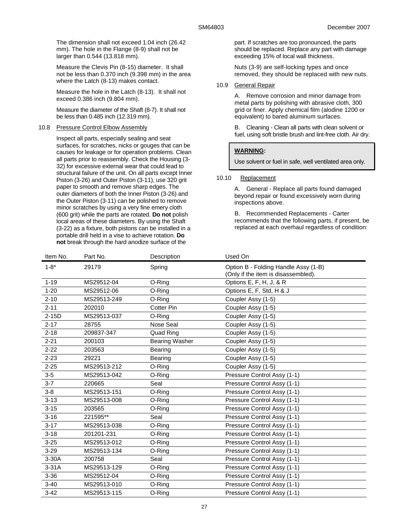The dimension shall not exceed 1.04 inch (26.42 mm). The hole in the Flange (8-9) shall not be larger than 0.544 (13.818 mm).

Measure the Clevis Pin (8-15) diameter. It shall not be less than 0.370 inch (9.398 mm) in the area where the Latch (8-13) makes contact.

Measure the hole in the Latch (8-13). It shall not exceed 0.386 inch (9.804 mm).

Measure the diameter of the Shaft (8-7). It shall not be less than 0.485 inch (12.319 mm).

# 10.8 Pressure Control Elbow Assembly

Inspect all parts, especially sealing and seat surfaces, for scratches, nicks or gouges that can be causes for leakage or for operation problems. Clean all parts prior to reassembly. Check the Housing (3- 32) for excessive external wear that could lead to structural failure of the unit. On all parts except Inner Piston (3-26) and Outer Piston (3-11), use 320 grit paper to smooth and remove sharp edges. The outer diameters of both the Inner Piston (3-26) and the Outer Piston (3-11) can be polished to remove minor scratches by using a very fine emery cloth (600 grit) while the parts are rotated. **Do not** polish local areas of these diameters. By using the Shaft (3-22) as a fixture, both pistons can be installed in a portable drill held in a vise to achieve rotation. **Do not** break through the hard anodize surface of the

part. If scratches are too pronounced, the parts should be replaced. Replace any part with damage exceeding 15% of local wall thickness.

Nuts (3-9) are self-locking types and once removed, they should be replaced with new nuts.

### 10.9 General Repair

A. Remove corrosion and minor damage from metal parts by polishing with abrasive cloth, 300 grid or finer. Apply chemical film (alodine 1200 or equivalent) to bared aluminum surfaces.

B. Cleaning - Clean all parts with clean solvent or fuel, using soft bristle brush and lint-free cloth. Air dry.

# **WARNING:**

Use solvent or fuel in safe, well ventilated area only.

### 10.10 Replacement

A. General - Replace all parts found damaged beyond repair or found excessively worn during inspections above.

B. Recommended Replacements - Carter recommends that the following parts, if present, be replaced at each overhaul regardless of condition:

| Item No. | Part No.    | Description           | Used On                                                                     |
|----------|-------------|-----------------------|-----------------------------------------------------------------------------|
| $1 - 8*$ | 29179       | Spring                | Option B - Folding Handle Assy (1-B)<br>(Only if the item is disassembled). |
| $1 - 19$ | MS29512-04  | O-Ring                | Options E, F, H, J, & R                                                     |
| $1 - 20$ | MS29512-06  | O-Ring                | Options E, F, Std, H & J                                                    |
| $2 - 10$ | MS29513-249 | O-Ring                | Coupler Assy (1-5)                                                          |
| $2 - 11$ | 202010      | <b>Cotter Pin</b>     | Coupler Assy (1-5)                                                          |
| $2-15D$  | MS29513-037 | O-Ring                | Coupler Assy (1-5)                                                          |
| $2 - 17$ | 28755       | <b>Nose Seal</b>      | Coupler Assy (1-5)                                                          |
| $2 - 18$ | 209837-347  | Quad Ring             | Coupler Assy (1-5)                                                          |
| $2 - 21$ | 200103      | <b>Bearing Washer</b> | Coupler Assy (1-5)                                                          |
| $2 - 22$ | 203563      | Bearing               | Coupler Assy (1-5)                                                          |
| $2 - 23$ | 29221       | Bearing               | Coupler Assy (1-5)                                                          |
| $2 - 25$ | MS29513-212 | O-Ring                | Coupler Assy (1-5)                                                          |
| $3-5$    | MS29513-042 | O-Ring                | Pressure Control Assy (1-1)                                                 |
| $3 - 7$  | 220665      | Seal                  | Pressure Control Assy (1-1)                                                 |
| $3 - 8$  | MS29513-151 | O-Ring                | Pressure Control Assy (1-1)                                                 |
| $3 - 13$ | MS29513-008 | O-Ring                | Pressure Control Assy (1-1)                                                 |
| $3 - 15$ | 203565      | O-Ring                | Pressure Control Assy (1-1)                                                 |
| $3 - 16$ | 221595**    | Seal                  | Pressure Control Assy (1-1)                                                 |
| $3 - 17$ | MS29513-038 | O-Ring                | Pressure Control Assy (1-1)                                                 |
| $3 - 18$ | 201201-231  | O-Ring                | Pressure Control Assy (1-1)                                                 |
| $3 - 25$ | MS29513-012 | O-Ring                | Pressure Control Assy (1-1)                                                 |
| $3 - 29$ | MS29513-134 | O-Ring                | Pressure Control Assy (1-1)                                                 |
| $3-30A$  | 200758      | Seal                  | Pressure Control Assy (1-1)                                                 |
| $3-31A$  | MS29513-129 | O-Ring                | Pressure Control Assy (1-1)                                                 |
| $3 - 36$ | MS29512-04  | O-Ring                | Pressure Control Assy (1-1)                                                 |
| $3 - 40$ | MS29513-010 | O-Ring                | Pressure Control Assy (1-1)                                                 |
| $3 - 42$ | MS29513-115 | O-Ring                | Pressure Control Assy (1-1)                                                 |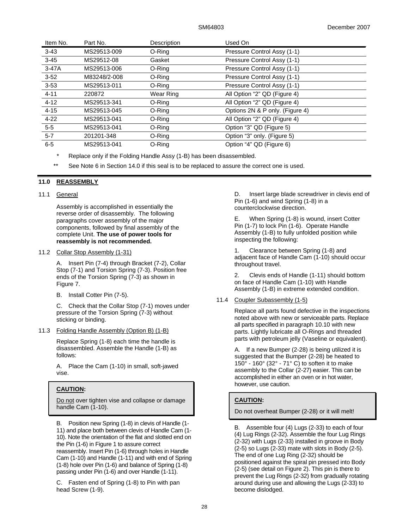| Item No. | Part No.     | Description | Used On                         |  |
|----------|--------------|-------------|---------------------------------|--|
| $3 - 43$ | MS29513-009  | O-Ring      | Pressure Control Assy (1-1)     |  |
| $3 - 45$ | MS29512-08   | Gasket      | Pressure Control Assy (1-1)     |  |
| $3-47A$  | MS29513-006  | O-Ring      | Pressure Control Assy (1-1)     |  |
| $3 - 52$ | M83248/2-008 | O-Ring      | Pressure Control Assy (1-1)     |  |
| $3 - 53$ | MS29513-011  | O-Ring      | Pressure Control Assy (1-1)     |  |
| $4 - 11$ | 220872       | Wear Ring   | All Option "2" QD (Figure 4)    |  |
| $4 - 12$ | MS29513-341  | O-Ring      | All Option "2" QD (Figure 4)    |  |
| $4 - 15$ | MS29513-045  | O-Ring      | Options 2N & P only. (Figure 4) |  |
| $4 - 22$ | MS29513-041  | O-Ring      | All Option "2" QD (Figure 4)    |  |
| $5-5$    | MS29513-041  | O-Ring      | Option "3" QD (Figure 5)        |  |
| $5 - 7$  | 201201-348   | O-Ring      | Option "3" only. (Figure 5)     |  |
| $6-5$    | MS29513-041  | O-Ring      | Option "4" QD (Figure 6)        |  |
|          |              |             |                                 |  |

Replace only if the Folding Handle Assy (1-B) has been disassembled.

\*\* See Note 6 in Section 14.0 if this seal is to be replaced to assure the correct one is used.

# **11.0 REASSEMBLY**

### 11.1 General

Assembly is accomplished in essentially the reverse order of disassembly. The following paragraphs cover assembly of the major components, followed by final assembly of the complete Unit. **The use of power tools for reassembly is not recommended.**

### 11.2 Collar Stop Assembly (1-31)

A. Insert Pin (7-4) through Bracket (7-2), Collar Stop (7-1) and Torsion Spring (7-3). Position free ends of the Torsion Spring (7-3) as shown in Figure 7.

B. Install Cotter Pin (7-5).

C. Check that the Collar Stop (7-1) moves under pressure of the Torsion Spring (7-3) without sticking or binding.

11.3 Folding Handle Assembly (Option B) (1-B)

Replace Spring (1-8) each time the handle is disassembled. Assemble the Handle (1-B) as follows:

A. Place the Cam (1-10) in small, soft-jawed vise.

# **CAUTION:**

Do not over tighten vise and collapse or damage handle Cam (1-10).

B. Position new Spring (1-8) in clevis of Handle (1- 11) and place both between clevis of Handle Cam (1- 10). Note the orientation of the flat and slotted end on the Pin (1-6) in Figure 1 to assure correct reassembly. Insert Pin (1-6) through holes in Handle Cam (1-10) and Handle (1-11) and with end of Spring (1-8) hole over Pin (1-6) and balance of Spring (1-8) passing under Pin (1-6) and over Handle (1-11).

C. Fasten end of Spring (1-8) to Pin with pan head Screw (1-9).

D. Insert large blade screwdriver in clevis end of Pin (1-6) and wind Spring (1-8) in a counterclockwise direction.

E. When Spring (1-8) is wound, insert Cotter Pin (1-7) to lock Pin (1-6). Operate Handle Assembly (1-B) to fully unfolded position while inspecting the following:

1. Clearance between Spring (1-8) and adjacent face of Handle Cam (1-10) should occur throughout travel.

2. Clevis ends of Handle (1-11) should bottom on face of Handle Cam (1-10) with Handle Assembly (1-B) in extreme extended condition.

# 11.4 Coupler Subassembly (1-5)

Replace all parts found defective in the inspections noted above with new or serviceable parts. Replace all parts specified in paragraph 10.10 with new parts. Lightly lubricate all O-Rings and threaded parts with petroleum jelly (Vaseline or equivalent).

A. If a new Bumper (2-28) is being utilized it is suggested that the Bumper (2-28) be heated to 150 $^{\circ}$  - 160 $^{\circ}$  (32 $^{\circ}$  - 71 $^{\circ}$  C) to soften it to make assembly to the Collar (2-27) easier. This can be accomplished in either an oven or in hot water, however, use caution.

# **CAUTION:**

Do not overheat Bumper (2-28) or it will melt!

B. Assemble four (4) Lugs (2-33) to each of four (4) Lug Rings (2-32). Assemble the four Lug Rings (2-32) with Lugs (2-33) installed in groove in Body (2-5) so Lugs (2-33) mate with slots in Body (2-5). The end of one Lug Ring (2-32) should be positioned against the spiral pin pressed into Body (2-5) (see detail on Figure 2). This pin is there to prevent the Lug Rings (2-32) from gradually rotating around during use and allowing the Lugs (2-33) to become dislodged.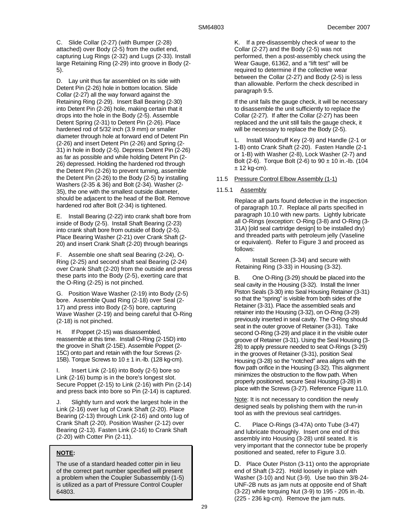C. Slide Collar (2-27) (with Bumper (2-28) attached) over Body (2-5) from the outlet end, capturing Lug Rings (2-32) and Lugs (2-33). Install large Retaining Ring (2-29) into groove in Body (2- 5).

D. Lay unit thus far assembled on its side with Detent Pin (2-26) hole in bottom location. Slide Collar (2-27) all the way forward against the Retaining Ring (2-29). Insert Ball Bearing (2-30) into Detent Pin (2-26) hole, making certain that it drops into the hole in the Body (2-5). Assemble Detent Spring (2-31) to Detent Pin (2-26). Place hardened rod of 5/32 inch (3.9 mm) or smaller diameter through hole at forward end of Detent Pin (2-26) and insert Detent Pin (2-26) and Spring (2- 31) in hole in Body (2-5). Depress Detent Pin (2-26) as far as possible and while holding Detent Pin (2- 26) depressed. Holding the hardened rod through the Detent Pin (2-26) to prevent turning, assemble the Detent Pin (2-26) to the Body (2-5) by installing Washers (2-35 & 36) and Bolt (2-34). Washer (2- 35), the one with the smallest outside diameter, should be adjacent to the head of the Bolt. Remove hardened rod after Bolt (2-34) is tightened.

E. Install Bearing (2-22) into crank shaft bore from inside of Body (2-5). Install Shaft Bearing (2-23) into crank shaft bore from outside of Body (2-5). Place Bearing Washer (2-21) over Crank Shaft (2- 20) and insert Crank Shaft (2-20) through bearings

F. Assemble one shaft seal Bearing (2-24), O-Ring (2-25) and second shaft seal Bearing (2-24) over Crank Shaft (2-20) from the outside and press these parts into the Body (2-5), exerting care that the O-Ring (2-25) is not pinched.

G. Position Wave Washer (2-19) into Body (2-5) bore. Assemble Quad Ring (2-18) over Seal (2- 17) and press into Body (2-5) bore, capturing Wave Washer (2-19) and being careful that O-Ring (2-18) is not pinched.

H. If Poppet (2-15) was disassembled, reassemble at this time. Install O-Ring (2-15D) into the groove in Shaft (2-15E). Assemble Poppet (2- 15C) onto part and retain with the four Screws (2- 15B). Torque Screws to  $10 \pm 1$  in.-lb. (128 kg-cm).

I. Insert Link (2-16) into Body (2-5) bore so Link (2-16) bump is in the bore's longest slot. Secure Poppet (2-15) to Link (2-16) with Pin (2-14) and press back into bore so Pin (2-14) is captured.

J. Slightly turn and work the largest hole in the Link (2-16) over lug of Crank Shaft (2-20). Place Bearing (2-13) through Link (2-16) and onto lug of Crank Shaft (2-20). Position Washer (2-12) over Bearing (2-13). Fasten Link (2-16) to Crank Shaft (2-20) with Cotter Pin (2-11).

# **NOTE:**

The use of a standard headed cotter pin in lieu of the correct part number specified will present a problem when the Coupler Subassembly (1-5) is utilized as a part of Pressure Control Coupler 64803.

K. If a pre-disassembly check of wear to the Collar (2-27) and the Body (2-5) was not performed, then a post-assembly check using the Wear Gauge, 61362, and a "lift test" will be required to determine if the collective wear between the Collar (2-27) and Body (2-5) is less than allowable. Perform the check described in paragraph 9.5.

If the unit fails the gauge check, it will be necessary to disassemble the unit sufficiently to replace the Collar (2-27). If after the Collar (2-27) has been replaced and the unit still fails the gauge check, it will be necessary to replace the Body (2-5).

L. Install Woodruff Key (2-9) and Handle (2-1 or 1-B) onto Crank Shaft (2-20). Fasten Handle (2-1 or 1-B) with Washer (2-8), Lock Washer (2-7) and Bolt (2-6). Torque Bolt (2-6) to  $90 \pm 10$  in.-lb. (104  $± 12$  kg-cm).

11.5 Pressure Control Elbow Assembly (1-1)

# 11.5.1 Assembly

Replace all parts found defective in the inspection of paragraph 10.7. Replace all parts specified in paragraph 10.10 with new parts. Lightly lubricate all O-Rings (exception: O-Ring (3-8) and O-Ring (3- 31A) [old seal cartridge design] to be installed dry) and threaded parts with petroleum jelly (Vaseline or equivalent). Refer to Figure 3 and proceed as follows:

A. Install Screen (3-34) and secure with Retaining Ring (3-33) in Housing (3-32).

B. One O-Ring (3-29) should be placed into the seal cavity in the Housing (3-32). Install the Inner Piston Seals (3-30) into Seal Housing Retainer (3-31) so that the "spring" is visible from both sides of the Retainer (3-31). Place the assembled seals and retainer into the Housing (3-32), on O-Ring (3-29) previously inserted in seal cavity. The O-Ring should seat in the outer groove of Retainer (3-31). Take second O-Ring (3-29) and place it in the visible outer groove of Retainer (3-31). Using the Seal Housing (3- 28) to apply pressure needed to seat O-Rings (3-29) in the grooves of Retainer (3-31), position Seal Housing (3-28) so the "notched" area aligns with the flow path orifice in the Housing (3-32). This alignment minimizes the obstruction to the flow path. When properly positioned, secure Seal Housing (3-28) in place with the Screws (3-27). Reference Figure 11.0.

Note: It is not necessary to condition the newly designed seals by polishing them with the run-in tool as with the previous seal cartridges.

C. Place O-Rings (3-47A) onto Tube (3-47) and lubricate thoroughly. Insert one end of this assembly into Housing (3-28) until seated. It is very important that the connector tube be properly positioned and seated, refer to Figure 3.0.

D. Place Outer Piston (3-11) onto the appropriate end of Shaft (3-22). Hold loosely in place with Washer (3-10) and Nut (3-9). Use two thin 3/8-24- UNF-2B nuts as jam nuts at opposite end of Shaft (3-22) while torquing Nut (3-9) to 195 - 205 in.-lb. (225 - 236 kg-cm). Remove the jam nuts.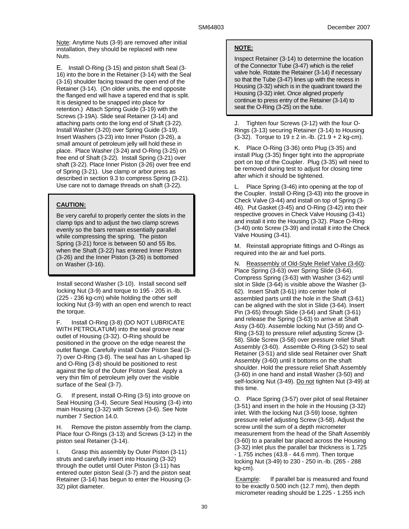Note: Anytime Nuts (3-9) are removed after initial installation, they should be replaced with new Nuts.

E. Install O-Ring (3-15) and piston shaft Seal (3- 16) into the bore in the Retainer (3-14) with the Seal (3-16) shoulder facing toward the open end of the Retainer (3-14). (On older units, the end opposite the flanged end will have a tapered end that is split. It is designed to be snapped into place for retention.) Attach Spring Guide (3-19) with the Screws (3-19A). Slide seal Retainer (3-14) and attaching parts onto the long end of Shaft (3-22). Install Washer (3-20) over Spring Guide (3-19). Insert Washers (3-23) into Inner Piston (3-26), a small amount of petroleum jelly will hold these in place. Place Washer (3-24) and O-Ring (3-25) on free end of Shaft (3-22). Install Spring (3-21) over shaft (3-22). Place Inner Piston (3-26) over free end of Spring (3-21). Use clamp or arbor press as described in section 9.3 to compress Spring (3-21). Use care not to damage threads on shaft (3-22).

# **CAUTION:**

Be very careful to properly center the slots in the clamp tips and to adjust the two clamp screws evenly so the bars remain essentially parallel while compressing the spring. The piston Spring (3-21) force is between 50 and 55 lbs. when the Shaft (3-22) has entered Inner Piston (3-26) and the Inner Piston (3-26) is bottomed on Washer (3-16).

Install second Washer (3-10). Install second self locking Nut (3-9) and torque to 195 - 205 in.-lb. (225 - 236 kg-cm) while holding the other self locking Nut (3-9) with an open end wrench to react the torque.

F. Install O-Ring (3-8) (DO NOT LUBRICATE WITH PETROLATUM) into the seal groove near outlet of Housing (3-32). O-Ring should be positioned in the groove on the edge nearest the outlet flange. Carefully install Outer Piston Seal (3- 7) over O-Ring (3-8). The seal has an L-shaped lip and O-Ring (3-8) should be positioned to rest against the lip of the Outer Piston Seal. Apply a very thin film of petroleum jelly over the visible surface of the Seal (3-7).

G. If present, install O-Ring (3-5) into groove on Seal Housing (3-4). Secure Seal Housing (3-4) into main Housing (3-32) with Screws (3-6). See Note number 7 Section 14.0.

H. Remove the piston assembly from the clamp. Place four O-Rings (3-13) and Screws (3-12) in the piston seal Retainer (3-14).

I. Grasp this assembly by Outer Piston (3-11) struts and carefully insert into Housing (3-32) through the outlet until Outer Piston (3-11) has entered outer piston Seal (3-7) and the piston seat Retainer (3-14) has begun to enter the Housing (3- 32) pilot diameter.

# **NOTE:**

Inspect Retainer (3-14) to determine the location of the Connector Tube (3-47) which is the relief valve hole. Rotate the Retainer (3-14) if necessary so that the Tube (3-47) lines up with the recess in Housing (3-32) which is in the quadrant toward the Housing (3-32) inlet. Once aligned properly continue to press entry of the Retainer (3-14) to seat the O-Ring (3-25) on the tube.

J. Tighten four Screws (3-12) with the four O-Rings (3-13) securing Retainer (3-14) to Housing  $(3-32)$ . Torque to  $19 \pm 2$  in.-lb.  $(21.9 + 2$  kg-cm).

K. Place O-Ring (3-36) onto Plug (3-35) and install Plug (3-35) finger tight into the appropriate port on top of the Coupler. Plug (3-35) will need to be removed during test to adjust for closing time after which it should be tightened.

L. Place Spring (3-46) into opening at the top of the Coupler. Install O-Ring (3-43) into the groove in Check Valve (3-44) and install on top of Spring (3- 46). Put Gasket (3-45) and O-Ring (3-42) into their respective grooves in Check Valve Housing (3-41) and install it into the Housing (3-32). Place O-Ring (3-40) onto Screw (3-39) and install it into the Check Valve Housing (3-41).

M. Reinstall appropriate fittings and O-Rings as required into the air and fuel ports.

N. Reassembly of Old-Style Relief Valve (3-60): Place Spring (3-63) over Spring Slide (3-64). Compress Spring (3-63) with Washer (3-62) until slot in Slide (3-64) is visible above the Washer (3- 62). Insert Shaft (3-61) into center hole of assembled parts until the hole in the Shaft (3-61) can be aligned with the slot in Slide (3-64). Insert Pin (3-65) through Slide (3-64) and Shaft (3-61) and release the Spring (3-63) to arrive at Shaft Assy (3-60). Assemble locking Nut (3-59) and O-Ring (3-53) to pressure relief adjusting Screw (3- 58). Slide Screw (3-58) over pressure relief Shaft Assembly (3-60). Assemble O-Ring (3-52) to seal Retainer (3-51) and slide seal Retainer over Shaft Assembly (3-60) until it bottoms on the shaft shoulder. Hold the pressure relief Shaft Assembly (3-60) in one hand and install Washer (3-50) and self-locking Nut (3-49). Do not tighten Nut (3-49) at this time.

O. Place Spring (3-57) over pilot of seal Retainer (3-51) and insert in the hole in the Housing (3-32) inlet. With the locking Nut (3-59) loose, tighten pressure relief adjusting Screw (3-58). Adjust the screw until the sum of a depth micrometer measurement from the head of the Shaft Assembly (3-60) to a parallel bar placed across the Housing (3-32) inlet plus the parallel bar thickness is 1.725 - 1.755 inches (43.8 - 44.6 mm). Then torque locking Nut (3-49) to 230 - 250 in.-lb. (265 - 288 kg-cm).

Example: If parallel bar is measured and found to be exactly 0.500 inch (12.7 mm), then depth micrometer reading should be 1.225 - 1.255 inch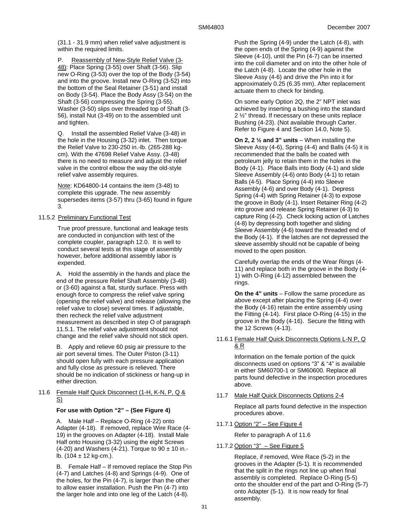(31.1 - 31.9 mm) when relief valve adjustment is within the required limits.

P. Reassembly of New-Style Relief Valve (3- 48): Place Spring (3-55) over Shaft (3-56). Slip new O-Ring (3-53) over the top of the Body (3-54) and into the groove. Install new O-Ring (3-52) into the bottom of the Seal Retainer (3-51) and install on Body (3-54). Place the Body Assy (3-54) on the Shaft (3-56) compressing the Spring (3-55). Washer (3-50) slips over threaded top of Shaft (3- 56), install Nut (3-49) on to the assembled unit and tighten.

Q. Install the assembled Relief Valve (3-48) in the hole in the Housing (3-32) inlet. Then torque the Relief Valve to 230-250 in.-lb. (265-288 kgcm). With the 47698 Relief Valve Assy. (3-48) there is no need to measure and adjust the relief valve in the control elbow the way the old-style relief valve assembly requires.

Note: KD64800-14 contains the item (3-48) to complete this upgrade. The new assembly supersedes items (3-57) thru (3-65) found in figure 3.

# 11.5.2 Preliminary Functional Test

True proof pressure, functional and leakage tests are conducted in conjunction with test of the complete coupler, paragraph 12.0. It is well to conduct several tests at this stage of assembly however, before additional assembly labor is expended.

A. Hold the assembly in the hands and place the end of the pressure Relief Shaft Assembly (3-48) or (3-60) against a flat, sturdy surface. Press with enough force to compress the relief valve spring (opening the relief valve) and release (allowing the relief valve to close) several times. If adjustable, then recheck the relief valve adjustment measurement as described in step O of paragraph 11.5.1. The relief valve adjustment should not change and the relief valve should not stick open.

B. Apply and relieve 60 psig air pressure to the air port several times. The Outer Piston (3-11) should open fully with each pressure application and fully close as pressure is relieved. There should be no indication of stickiness or hang-up in either direction.

11.6 Female Half Quick Disconnect (1-H, K-N, P, Q & S)

# **For use with Option "2" – (See Figure 4)**

A. Male Half – Replace O-Ring (4-22) onto Adapter (4-18). If removed, replace Wire Race (4- 19) in the grooves on Adapter (4-18). Install Male Half onto Housing (3-32) using the eight Screws (4-20) and Washers (4-21). Torque to  $90 \pm 10$  in.lb.  $(104 \pm 12 \text{ kg-cm.})$ .

B. Female Half – If removed replace the Stop Pin (4-7) and Latches (4-8) and Springs (4-9). One of the holes, for the Pin (4-7), is larger than the other to allow easier installation. Push the Pin (4-7) into the larger hole and into one leg of the Latch (4-8).

Push the Spring (4-9) under the Latch (4-8), with the open ends of the Spring (4-9) against the Sleeve (4-10), until the Pin (4-7) can be inserted into the coil diameter and on into the other hole of the Latch (4-8). Locate the other hole in the Sleeve Assy (4-6) and drive the Pin into it for approximately 0.25 (6.35 mm). After replacement actuate them to check for binding.

On some early Option 2Q, the 2" NPT inlet was achieved by inserting a bushing into the standard 2 ½" thread. If necessary on these units replace Bushing (4-23). (Not available through Carter. Refer to Figure 4 and Section 14.0, Note 5).

**On 2, 2 ½ and 3" units** – When installing the Sleeve Assy (4-6), Spring (4-4) and Balls (4-5) it is recommended that the balls be coated with petroleum jelly to retain them in the holes in the Body (4-1). Place Balls into Body (4-1) and slide Sleeve Assembly (4-6) onto Body (4-1) to retain Balls (4-5). Place Spring (4-4) into Sleeve Assembly (4-6) and over Body (4-1). Depress Spring (4-4) with Spring Retainer (4-3) to expose the groove in Body (4-1). Insert Retainer Ring (4-2) into groove and release Spring Retainer (4-3) to capture Ring (4-2). Check locking action of Latches (4-8) by depressing both together and sliding Sleeve Assembly (4-6) toward the threaded end of the Body (4-1). If the latches are not depressed the sleeve assembly should not be capable of being moved to the open position.

Carefully overlap the ends of the Wear Rings (4- 11) and replace both in the groove in the Body (4- 1) with O-Ring (4-12) assembled between the rings.

**On the 4" units** – Follow the same procedure as above except after placing the Spring (4-4) over the Body (4-16) retain the entire assembly using the Fitting (4-14). First place O-Ring (4-15) in the groove in the Body (4-16). Secure the fitting with the 12 Screws (4-13).

11.6.1 Female Half Quick Disconnects Options L-N P, Q & R

> Information on the female portion of the quick disconnects used on options "3" & "4" is available in either SM60700-1 or SM60600. Replace all parts found defective in the inspection procedures above.

11.7 Male Half Quick Disconnects Options 2-4

Replace all parts found defective in the inspection procedures above.

11.7.1 Option "2" – See Figure 4

Refer to paragraph A of 11.6

# 11.7.2 Option "3" – See Figure 5

Replace, if removed, Wire Race (5-2) in the grooves in the Adapter (5-1). It is recommended that the split in the rings not line up when final assembly is completed. Replace O-Ring (5-5) onto the shoulder end of the part and O-Ring (5-7) onto Adapter (5-1). It is now ready for final assembly.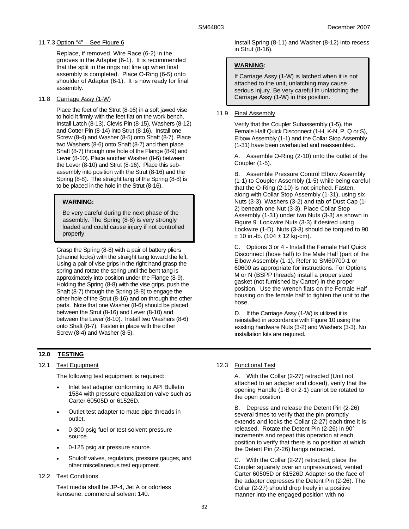# 11.7.3 Option "4" – See Figure 6

Replace, if removed, Wire Race (6-2) in the grooves in the Adapter (6-1). It is recommended that the split in the rings not line up when final assembly is completed. Place O-Ring (6-5) onto shoulder of Adapter (6-1). It is now ready for final assembly.

# 11.8 Carriage Assy (1-W)

Place the feet of the Strut (8-16) in a soft jawed vise to hold it firmly with the feet flat on the work bench. Install Latch (8-13), Clevis Pin (8-15), Washers (8-12) and Cotter Pin (8-14) into Strut (8-16). Install one Screw (8-4) and Washer (8-5) onto Shaft (8-7). Place two Washers (8-6) onto Shaft (8-7) and then place Shaft (8-7) through one hole of the Flange (8-9) and Lever (8-10). Place another Washer (8-6) between the Lever (8-10) and Strut (8-16). Place this subassembly into position with the Strut (8-16) and the Spring (8-8). The straight tang of the Spring (8-8) is to be placed in the hole in the Strut (8-16).

# **WARNING:**

Be very careful during the next phase of the assembly. The Spring (8-8) is very strongly loaded and could cause injury if not controlled properly.

Grasp the Spring (8-8) with a pair of battery pliers (channel locks) with the straight tang toward the left. Using a pair of vise grips in the right hand grasp the spring and rotate the spring until the bent tang is approximately into position under the Flange (8-9). Holding the Spring (8-8) with the vise grips, push the Shaft (8-7) through the Spring (8-8) to engage the other hole of the Strut (8-16) and on through the other parts. Note that one Washer (8-6) should be placed between the Strut (8-16) and Lever (8-10) and between the Lever (8-10). Install two Washers (8-6) onto Shaft (8-7). Fasten in place with the other Screw (8-4) and Washer (8-5).

# **12.0 TESTING**

# 12.1 Test Equipment

The following test equipment is required:

- Inlet test adapter conforming to API Bulletin 1584 with pressure equalization valve such as Carter 60505D or 61526D.
- Outlet test adapter to mate pipe threads in outlet.
- 0-300 psig fuel or test solvent pressure source.
- 0-125 psig air pressure source.
- Shutoff valves, regulators, pressure gauges, and other miscellaneous test equipment.
- 12.2 Test Conditions

Test media shall be JP-4, Jet A or odorless kerosene, commercial solvent 140.

Install Spring (8-11) and Washer (8-12) into recess in Strut (8-16).

# **WARNING:**

If Carriage Assy (1-W) is latched when it is not attached to the unit, unlatching may cause serious injury. Be very careful in unlatching the Carriage Assy (1-W) in this position.

# 11.9 Final Assembly

Verify that the Coupler Subassembly (1-5), the Female Half Quick Disconnect (1-H, K-N, P, Q or S), Elbow Assembly (1-1) and the Collar Stop Assembly (1-31) have been overhauled and reassembled.

A. Assemble O-Ring (2-10) onto the outlet of the Coupler (1-5).

B. Assemble Pressure Control Elbow Assembly (1-1) to Coupler Assembly (1-5) while being careful that the O-Ring (2-10) is not pinched. Fasten, along with Collar Stop Assembly (1-31), using six Nuts (3-3), Washers (3-2) and tab of Dust Cap (1- 2) beneath one Nut (3-3). Place Collar Stop Assembly (1-31) under two Nuts (3-3) as shown in Figure 9. Lockwire Nuts (3-3) if desired using Lockwire (1-D). Nuts (3-3) should be torqued to 90  $± 10$  in.-lb. (104  $± 12$  kg-cm).

C. Options 3 or 4 - Install the Female Half Quick Disconnect (hose half) to the Male Half (part of the Elbow Assembly (1-1). Refer to SM60700-1 or 60600 as appropriate for instructions. For Options M or N (BSPP threads) install a proper sized gasket (not furnished by Carter) in the proper position. Use the wrench flats on the Female Half housing on the female half to tighten the unit to the hose.

D. If the Carriage Assy (1-W) is utilized it is reinstalled in accordance with Figure 10 using the existing hardware Nuts (3-2) and Washers (3-3). No installation kits are required.

# 12.3 Functional Test

A. With the Collar (2-27) retracted (Unit not attached to an adapter and closed), verify that the opening Handle (1-B or 2-1) cannot be rotated to the open position.

B. Depress and release the Detent Pin (2-26) several times to verify that the pin promptly extends and locks the Collar (2-27) each time it is released. Rotate the Detent Pin (2-26) in 90° increments and repeat this operation at each position to verify that there is no position at which the Detent Pin (2-26) hangs retracted.

C. With the Collar (2-27) retracted, place the Coupler squarely over an unpressurized, vented Carter 60505D or 61526D Adapter so the face of the adapter depresses the Detent Pin (2-26). The Collar (2-27) should drop freely in a positive manner into the engaged position with no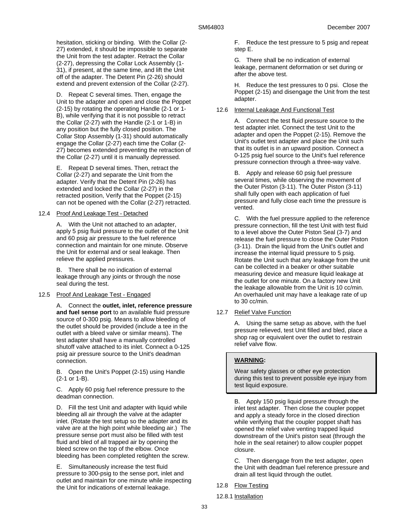hesitation, sticking or binding. With the Collar (2- 27) extended, it should be impossible to separate the Unit from the test adapter. Retract the Collar (2-27), depressing the Collar Lock Assembly (1- 31), if present, at the same time, and lift the Unit off of the adapter. The Detent Pin (2-26) should extend and prevent extension of the Collar (2-27).

D. Repeat C several times. Then, engage the Unit to the adapter and open and close the Poppet (2-15) by rotating the operating Handle (2-1 or 1- B), while verifying that it is not possible to retract the Collar (2-27) with the Handle (2-1 or 1-B) in any position but the fully closed position. The Collar Stop Assembly (1-31) should automatically engage the Collar (2-27) each time the Collar (2- 27) becomes extended preventing the retraction of the Collar (2-27) until it is manually depressed.

E. Repeat D several times. Then, retract the Collar (2-27) and separate the Unit from the adapter. Verify that the Detent Pin (2-26) has extended and locked the Collar (2-27) in the retracted position, Verify that the Poppet (2-15) can not be opened with the Collar (2-27) retracted.

### 12.4 Proof And Leakage Test - Detached

A. With the Unit not attached to an adapter, apply 5 psig fluid pressure to the outlet of the Unit and 60 psig air pressure to the fuel reference connection and maintain for one minute. Observe the Unit for external and or seal leakage. Then relieve the applied pressures.

B. There shall be no indication of external leakage through any joints or through the nose seal during the test.

#### 12.5 Proof And Leakage Test - Engaged

A. Connect the **outlet, inlet, reference pressure and fuel sense port** to an available fluid pressure source of 0-300 psig. Means to allow bleeding of the outlet should be provided (include a tee in the outlet with a bleed valve or similar means). The test adapter shall have a manually controlled shutoff valve attached to its inlet. Connect a 0-125 psig air pressure source to the Unit's deadman connection.

B. Open the Unit's Poppet (2-15) using Handle (2-1 or 1-B).

C. Apply 60 psig fuel reference pressure to the deadman connection.

D. Fill the test Unit and adapter with liquid while bleeding all air through the valve at the adapter inlet. (Rotate the test setup so the adapter and its valve are at the high point while bleeding air.) The pressure sense port must also be filled with test fluid and bled of all trapped air by opening the bleed screw on the top of the elbow. Once bleeding has been completed retighten the screw.

E. Simultaneously increase the test fluid pressure to 300-psig to the sense port, inlet and outlet and maintain for one minute while inspecting the Unit for indications of external leakage.

F. Reduce the test pressure to 5 psig and repeat step E.

G. There shall be no indication of external leakage, permanent deformation or set during or after the above test.

H. Reduce the test pressures to 0 psi. Close the Poppet (2-15) and disengage the Unit from the test adapter.

#### 12.6 Internal Leakage And Functional Test

A. Connect the test fluid pressure source to the test adapter inlet. Connect the test Unit to the adapter and open the Poppet (2-15). Remove the Unit's outlet test adapter and place the Unit such that its outlet is in an upward position. Connect a 0-125 psig fuel source to the Unit's fuel reference pressure connection through a three-way valve.

B. Apply and release 60 psig fuel pressure several times, while observing the movement of the Outer Piston (3-11). The Outer Piston (3-11) shall fully open with each application of fuel pressure and fully close each time the pressure is vented.

C. With the fuel pressure applied to the reference pressure connection, fill the test Unit with test fluid to a level above the Outer Piston Seal (3-7) and release the fuel pressure to close the Outer Piston (3-11). Drain the liquid from the Unit's outlet and increase the internal liquid pressure to 5 psig. Rotate the Unit such that any leakage from the unit can be collected in a beaker or other suitable measuring device and measure liquid leakage at the outlet for one minute. On a factory new Unit the leakage allowable from the Unit is 10 cc/min. An overhauled unit may have a leakage rate of up to 30 cc/min.

# 12.7 Relief Valve Function

A. Using the same setup as above, with the fuel pressure relieved, test Unit filled and bled, place a shop rag or equivalent over the outlet to restrain relief valve flow.

### **WARNING:**

Wear safety glasses or other eye protection during this test to prevent possible eye injury from test liquid exposure.

B. Apply 150 psig liquid pressure through the inlet test adapter. Then close the coupler poppet and apply a steady force in the closed direction while verifying that the coupler poppet shaft has opened the relief valve venting trapped liquid downstream of the Unit's piston seat (through the hole in the seal retainer) to allow coupler poppet closure.

C. Then disengage from the test adapter, open the Unit with deadman fuel reference pressure and drain all test liquid through the outlet.

- 12.8 Flow Testing
- 12.8.1 Installation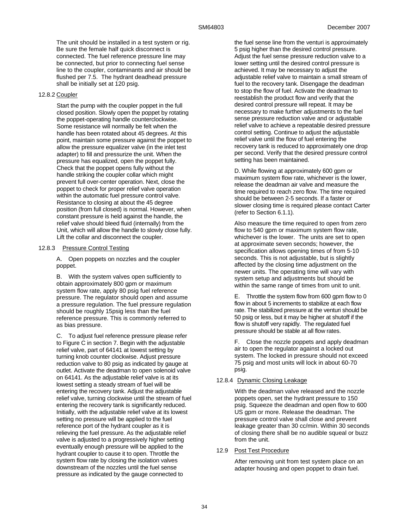The unit should be installed in a test system or rig. Be sure the female half quick disconnect is connected. The fuel reference pressure line may be connected, but prior to connecting fuel sense line to the coupler, contaminants and air should be flushed per 7.5. The hydrant deadhead pressure shall be initially set at 120 psig.

### 12.8.2 Coupler

Start the pump with the coupler poppet in the full closed position. Slowly open the poppet by rotating the poppet-operating handle counterclockwise. Some resistance will normally be felt when the handle has been rotated about 45 degrees. At this point, maintain some pressure against the poppet to allow the pressure equalizer valve (in the inlet test adapter) to fill and pressurize the unit. When the pressure has equalized, open the poppet fully. Check that the poppet opens fully without the handle striking the coupler collar which might prevent full over-center operation. Next, close the poppet to check for proper relief valve operation within the automatic fuel pressure control valve. Resistance to closing at about the 45 degree position (from full closed) is normal. However, when constant pressure is held against the handle, the relief valve should bleed fluid (internally) from the Unit, which will allow the handle to slowly close fully. Lift the collar and disconnect the coupler.

### 12.8.3 Pressure Control Testing

A. Open poppets on nozzles and the coupler poppet.

B. With the system valves open sufficiently to obtain approximately 800 gpm or maximum system flow rate, apply 80 psig fuel reference pressure. The regulator should open and assume a pressure regulation. The fuel pressure regulation should be roughly 15psig less than the fuel reference pressure. This is commonly referred to as bias pressure.

C. To adjust fuel reference pressure please refer to Figure C in section 7. Begin with the adjustable relief valve, part of 64141 at lowest setting by turning knob counter clockwise. Adjust pressure reduction valve to 80 psig as indicated by gauge at outlet. Activate the deadman to open solenoid valve on 64141. As the adjustable relief valve is at its lowest setting a steady stream of fuel will be entering the recovery tank. Adjust the adjustable relief valve, turning clockwise until the stream of fuel entering the recovery tank is significantly reduced. Initially, with the adjustable relief valve at its lowest setting no pressure will be applied to the fuel reference port of the hydrant coupler as it is relieving the fuel pressure. As the adjustable relief valve is adjusted to a progressively higher setting eventually enough pressure will be applied to the hydrant coupler to cause it to open. Throttle the system flow rate by closing the isolation valves downstream of the nozzles until the fuel sense pressure as indicated by the gauge connected to

the fuel sense line from the venturi is approximately 5 psig higher than the desired control pressure. Adjust the fuel sense pressure reduction valve to a lower setting until the desired control pressure is achieved. It may be necessary to adjust the adjustable relief valve to maintain a small stream of fuel to the recovery tank. Disengage the deadman to stop the flow of fuel. Activate the deadman to reestablish the product flow and verify that the desired control pressure will repeat. It may be necessary to make further adjustments to the fuel sense pressure reduction valve and or adjustable relief valve to achieve a repeatable desired pressure control setting. Continue to adjust the adjustable relief valve until the flow of fuel entering the recovery tank is reduced to approximately one drop per second. Verify that the desired pressure control setting has been maintained.

D. While flowing at approximately 600 gpm or maximum system flow rate, whichever is the lower, release the deadman air valve and measure the time required to reach zero flow. The time required should be between 2-5 seconds. If a faster or slower closing time is required please contact Carter (refer to Section 6.1.1).

Also measure the time required to open from zero flow to 540 gpm or maximum system flow rate, whichever is the lower. The units are set to open at approximate seven seconds; however, the specification allows opening times of from 5-10 seconds. This is not adjustable, but is slightly affected by the closing time adjustment on the newer units. The operating time will vary with system setup and adjustments but should be within the same range of times from unit to unit.

E. Throttle the system flow from 600 gpm flow to 0 flow in about 5 increments to stabilize at each flow rate. The stabilized pressure at the venturi should be 50 psig or less, but it may be higher at shutoff if the flow is shutoff very rapidly. The regulated fuel pressure should be stable at all flow rates.

F. Close the nozzle poppets and apply deadman air to open the regulator against a locked out system. The locked in pressure should not exceed 75 psig and most units will lock in about 60-70 psig.

#### 12.8.4 Dynamic Closing Leakage

With the deadman valve released and the nozzle poppets open, set the hydrant pressure to 150 psig. Squeeze the deadman and open flow to 600 US gpm or more. Release the deadman. The pressure control valve shall close and prevent leakage greater than 30 cc/min. Within 30 seconds of closing there shall be no audible squeal or buzz from the unit.

#### 12.9 Post Test Procedure

After removing unit from test system place on an adapter housing and open poppet to drain fuel.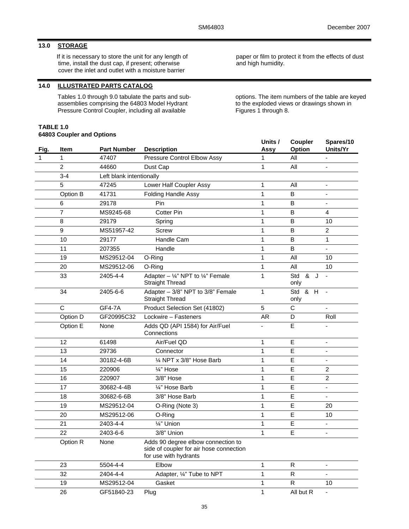# **13.0 STORAGE**

If it is necessary to store the unit for any length of time, install the dust cap, if present; otherwise cover the inlet and outlet with a moisture barrier

# **14.0 ILLUSTRATED PARTS CATALOG**

Tables 1.0 through 9.0 tabulate the parts and subassemblies comprising the 64803 Model Hydrant Pressure Control Coupler, including all available

### **TABLE 1.0 64803 Coupler and Options**

paper or film to protect it from the effects of dust and high humidity.

options. The item numbers of the table are keyed to the exploded views or drawings shown in Figures 1 through 8.

| Fig. | Item             | <b>Part Number</b>       | <b>Description</b>                                                                                     | Units /<br>Assy | Coupler<br>Option  | Spares/10<br>Units/Yr    |
|------|------------------|--------------------------|--------------------------------------------------------------------------------------------------------|-----------------|--------------------|--------------------------|
| 1    | 1                | 47407                    | <b>Pressure Control Elbow Assy</b>                                                                     | 1               | All                |                          |
|      | $\overline{c}$   | 44660                    | Dust Cap                                                                                               | $\mathbf{1}$    | All                | $\overline{\phantom{a}}$ |
|      | $3 - 4$          | Left blank intentionally |                                                                                                        |                 |                    |                          |
|      | 5                | 47245                    | Lower Half Coupler Assy                                                                                | 1               | All                | ÷,                       |
|      | Option B         | 41731                    | Folding Handle Assy                                                                                    | $\mathbf{1}$    | B                  | ä,                       |
|      | 6                | 29178                    | Pin                                                                                                    | 1               | B                  | $\overline{\phantom{a}}$ |
|      | $\overline{7}$   | MS9245-68                | <b>Cotter Pin</b>                                                                                      | 1               | B                  | 4                        |
|      | 8                | 29179                    | Spring                                                                                                 | 1               | $\sf B$            | 10                       |
|      | $\boldsymbol{9}$ | MS51957-42               | <b>Screw</b>                                                                                           | 1               | B                  | $\overline{c}$           |
|      | 10               | 29177                    | Handle Cam                                                                                             | $\mathbf{1}$    | B                  | 1                        |
|      | 11               | 207355                   | Handle                                                                                                 | 1               | B                  | $\blacksquare$           |
|      | 19               | MS29512-04               | O-Ring                                                                                                 | 1               | All                | 10                       |
|      | 20               | MS29512-06               | O-Ring                                                                                                 | 1               | All                | 10                       |
|      | 33               | 2405-4-4                 | Adapter - $\frac{1}{4}$ " NPT to $\frac{1}{4}$ " Female<br><b>Straight Thread</b>                      | 1               | Std<br>& J<br>only | $\blacksquare$           |
|      | 34               | 2405-6-6                 | Adapter - 3/8" NPT to 3/8" Female<br><b>Straight Thread</b>                                            | $\mathbf{1}$    | Std<br>& H<br>only | $\sim$                   |
|      | C                | <b>GF4-7A</b>            | Product Selection Set (41802)                                                                          | 5               | C                  | $\blacksquare$           |
|      | Option D         | GF20995C32               | Lockwire - Fasteners                                                                                   | AR              | D                  | Roll                     |
|      | Option E         | None                     | Adds QD (API 1584) for Air/Fuel<br>Connections                                                         |                 | E                  |                          |
|      | 12               | 61498                    | Air/Fuel QD                                                                                            | $\mathbf{1}$    | E                  |                          |
|      | 13               | 29736                    | Connector                                                                                              | $\mathbf{1}$    | E                  | $\blacksquare$           |
|      | 14               | 30182-4-6B               | 1/4 NPT x 3/8" Hose Barb                                                                               | 1               | E                  |                          |
|      | 15               | 220906                   | 1/4" Hose                                                                                              | 1               | E                  | $\overline{c}$           |
|      | 16               | 220907                   | 3/8" Hose                                                                                              | $\mathbf 1$     | E                  | $\overline{2}$           |
|      | 17               | 30682-4-4B               | 1/4" Hose Barb                                                                                         | 1               | E                  | $\overline{\phantom{a}}$ |
|      | 18               | 30682-6-6B               | 3/8" Hose Barb                                                                                         | 1               | E                  | $\blacksquare$           |
|      | 19               | MS29512-04               | O-Ring (Note 3)                                                                                        | 1               | E                  | 20                       |
|      | 20               | MS29512-06               | O-Ring                                                                                                 | $\mathbf{1}$    | E                  | 10                       |
|      | 21               | 2403-4-4                 | 1/4" Union                                                                                             | 1               | Е                  | $\blacksquare$           |
|      | 22               | 2403-6-6                 | 3/8" Union                                                                                             | 1               | E                  | $\blacksquare$           |
|      | Option R         | None                     | Adds 90 degree elbow connection to<br>side of coupler for air hose connection<br>for use with hydrants |                 |                    |                          |
|      | 23               | 5504-4-4                 | Elbow                                                                                                  | 1               | $\mathsf{R}$       | $\overline{\phantom{a}}$ |
|      | 32               | 2404-4-4                 | Adapter, 1/4" Tube to NPT                                                                              | $\mathbf{1}$    | ${\sf R}$          |                          |
|      | 19               | MS29512-04               | Gasket                                                                                                 | $\mathbf{1}$    | $\mathsf{R}$       | 10                       |
|      | 26               | GF51840-23               | Plug                                                                                                   | $\mathbf{1}$    | All but R          | $\overline{\phantom{a}}$ |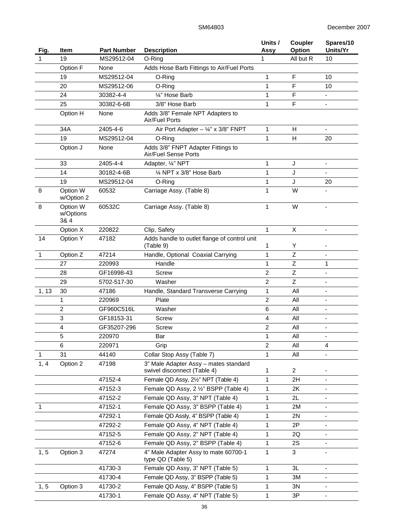| Fig.         | Item                          | <b>Part Number</b> | <b>Description</b>                                                   | Units /<br>Assy | Coupler<br><b>Option</b> | Spares/10<br>Units/Yr        |
|--------------|-------------------------------|--------------------|----------------------------------------------------------------------|-----------------|--------------------------|------------------------------|
| $\mathbf{1}$ | 19                            | MS29512-04         | O-Ring                                                               | $\mathbf{1}$    | All but R                | 10                           |
|              | Option F                      | None               | Adds Hose Barb Fittings to Air/Fuel Ports                            |                 |                          |                              |
|              | 19                            | MS29512-04         | O-Ring                                                               | 1               | $\mathsf F$              | 10                           |
|              | 20                            | MS29512-06         | O-Ring                                                               | 1               | F                        | 10                           |
|              | 24                            | 30382-4-4          | 1/4" Hose Barb                                                       | 1               | F                        | $\blacksquare$               |
|              | 25                            | 30382-6-6B         | 3/8" Hose Barb                                                       | 1               | F                        | $\blacksquare$               |
|              | Option H                      | None               | Adds 3/8" Female NPT Adapters to<br>Air/Fuel Ports                   |                 |                          |                              |
|              | 34A                           | 2405-4-6           | Air Port Adapter $-$ ¼" x 3/8" FNPT                                  | 1               | H                        | $\blacksquare$               |
|              | 19                            | MS29512-04         | O-Ring                                                               | 1               | H                        | 20                           |
|              | Option J                      | None               | Adds 3/8" FNPT Adapter Fittings to<br>Air/Fuel Sense Ports           |                 |                          |                              |
|              | 33                            | 2405-4-4           | Adapter, 1/4" NPT                                                    | 1               | J                        | $\blacksquare$               |
|              | 14                            | 30182-4-6B         | 1/4 NPT x 3/8" Hose Barb                                             | 1               | J                        |                              |
|              | 19                            | MS29512-04         | O-Ring                                                               | 1               | J                        | 20                           |
| 8            | Option W<br>w/Option 2        | 60532              | Carriage Assy. (Table 8)                                             | 1               | W                        |                              |
| 8            | Option W<br>w/Options<br>3& 4 | 60532C             | Carriage Assy. (Table 8)                                             | 1               | W                        | $\blacksquare$               |
|              | Option X                      | 220822             | Clip, Safety                                                         | $\mathbf{1}$    | X                        | Ξ.                           |
| 14           | <b>Option Y</b>               | 47182              | Adds handle to outlet flange of control unit<br>(Table 9)            | 1               | Υ                        |                              |
| 1            | Option Z                      | 47214              | Handle, Optional Coaxial Carrying                                    | 1               | Z                        |                              |
|              | 27                            | 220993             | Handle                                                               | 1               | Z                        | 1                            |
|              | 28                            | GF16998-43         | Screw                                                                | $\overline{c}$  | $\mathsf Z$              | ÷,                           |
|              | 29                            | 5702-517-30        | Washer                                                               | $\overline{c}$  | $\mathsf Z$              | $\overline{\phantom{a}}$     |
| 1, 13        | 30                            | 47186              | Handle, Standard Transverse Carrying                                 | 1               | All                      | $\blacksquare$               |
|              | 1                             | 220969             | Plate                                                                | $\overline{2}$  | All                      | $\blacksquare$               |
|              | $\overline{c}$                | GF960C516L         | Washer                                                               | 6               | All                      | ÷,                           |
|              | 3                             | GF18153-31         | Screw                                                                | 4               | All                      | $\qquad \qquad \blacksquare$ |
|              | 4                             | GF35207-296        | Screw                                                                | $\overline{c}$  | All                      | $\blacksquare$               |
|              | 5                             | 220970             | Bar                                                                  | 1               | All                      |                              |
|              | 6                             | 220971             | Grip                                                                 | $\overline{c}$  | All                      | 4                            |
| 1            | 31                            | 44140              | Collar Stop Assy (Table 7)                                           | 1               | All                      |                              |
| 1, 4         | Option 2                      | 47198              | 3" Male Adapter Assy - mates standard<br>swivel disconnect (Table 4) | 1               | $\overline{2}$           |                              |
|              |                               | 47152-4            | Female QD Assy, 21/2" NPT (Table 4)                                  | 1               | 2H                       | $\overline{\phantom{a}}$     |
|              |                               | 47152-3            | Female QD Assy, 2 1/2" BSPP (Table 4)                                | 1               | 2K                       |                              |
|              |                               | 47152-2            | Female QD Assy, 3" NPT (Table 4)                                     | 1               | 2L                       | $\overline{\phantom{a}}$     |
| 1            |                               | 47152-1            | Female QD Assy, 3" BSPP (Table 4)                                    | 1               | 2M                       | $\overline{\phantom{a}}$     |
|              |                               | 47292-1            | Female QD Assly, 4" BSPP (Table 4)                                   | 1               | 2N                       |                              |
|              |                               | 47292-2            | Female QD Assy, 4" NPT (Table 4)                                     | 1               | 2P                       |                              |
|              |                               | 47152-5            | Female QD Assy, 2" NPT (Table 4)                                     | 1               | 2Q                       | $\overline{\phantom{a}}$     |
|              |                               | 47152-6            | Female QD Assy, 2" BSPP (Table 4)                                    | 1               | 2S                       |                              |
| 1, 5         | Option 3                      | 47274              | 4" Male Adapter Assy to mate 60700-1<br>type QD (Table 5)            | 1               | 3                        |                              |
|              |                               | 41730-3            | Female QD Assy, 3" NPT (Table 5)                                     | 1               | 3L                       |                              |
|              |                               | 41730-4            | Female QD Assy, 3" BSPP (Table 5)                                    | 1               | 3M                       | -                            |
| 1, 5         | Option 3                      | 41730-2            | Female QD Assy, 4" BSPP (Table 5)                                    | 1               | 3N                       | ۰                            |
|              |                               | 41730-1            | Female QD Assy, 4" NPT (Table 5)                                     | 1               | 3P                       | $\blacksquare$               |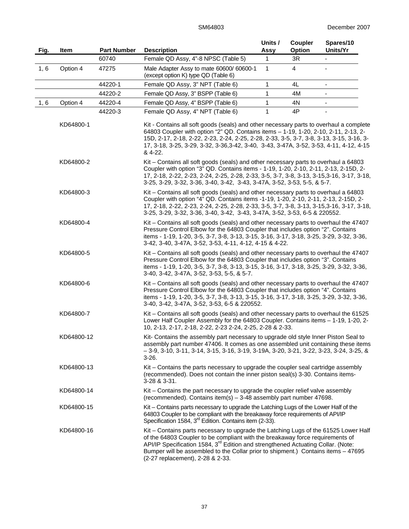| Fig. | Item       | <b>Part Number</b> | <b>Description</b>                                                                                                                                                                                                                                                                                                                                                                            | Units /<br>Assy | Coupler<br><b>Option</b> | Spares/10<br>Units/Yr    |
|------|------------|--------------------|-----------------------------------------------------------------------------------------------------------------------------------------------------------------------------------------------------------------------------------------------------------------------------------------------------------------------------------------------------------------------------------------------|-----------------|--------------------------|--------------------------|
|      |            | 60740              | Female QD Assy, 4"-8 NPSC (Table 5)                                                                                                                                                                                                                                                                                                                                                           | $\mathbf{1}$    | 3R                       |                          |
| 1, 6 | Option 4   | 47275              | Male Adapter Assy to mate 60600/60600-1<br>(except option K) type QD (Table 6)                                                                                                                                                                                                                                                                                                                | 1               | $\overline{4}$           |                          |
|      |            | 44220-1            | Female QD Assy, 3" NPT (Table 6)                                                                                                                                                                                                                                                                                                                                                              | 1               | 4L                       | $\overline{\phantom{a}}$ |
|      |            | 44220-2            | Female QD Assy, 3" BSPP (Table 6)                                                                                                                                                                                                                                                                                                                                                             | 1               | 4M                       |                          |
| 1, 6 | Option 4   | 44220-4            | Female QD Assy, 4" BSPP (Table 6)                                                                                                                                                                                                                                                                                                                                                             | 1               | 4N                       | $\overline{\phantom{a}}$ |
|      |            | 44220-3            | Female QD Assy, 4" NPT (Table 6)                                                                                                                                                                                                                                                                                                                                                              | 1               | 4P                       |                          |
|      | KD64800-1  |                    | Kit - Contains all soft goods (seals) and other necessary parts to overhaul a complete<br>64803 Coupler with option "2" QD. Contains items - 1-19, 1-20, 2-10, 2-11, 2-13, 2-<br>15D, 2-17, 2-18, 2-22, 2-23, 2-24, 2-25, 2-28, 2-33, 3-5, 3-7, 3-8, 3-13, 3-15, 3-16, 3-<br>17, 3-18, 3-25, 3-29, 3-32, 3-36, 3-42, 3-40, 3-43, 3-47A, 3-52, 3-53, 4-11, 4-12, 4-15<br>& 4-22.               |                 |                          |                          |
|      | KD64800-2  |                    | Kit – Contains all soft goods (seals) and other necessary parts to overhaul a 64803<br>Coupler with option "3" QD. Contains items - 1-19, 1-20, 2-10, 2-11, 2-13, 2-15D, 2-<br>17, 2-18, 2-22, 2-23, 2-24, 2-25, 2-28, 2-33, 3-5, 3-7, 3-8, 3-13, 3-15, 3-16, 3-17, 3-18,<br>3-25, 3-29, 3-32, 3-36, 3-40, 3-42, 3-43, 3-47A, 3-52, 3-53, 5-5, & 5-7.                                         |                 |                          |                          |
|      | KD64800-3  |                    | Kit - Contains all soft goods (seals) and other necessary parts to overhaul a 64803<br>Coupler with option "4" QD. Contains items -1-19, 1-20, 2-10, 2-11, 2-13, 2-15D, 2-<br>17, 2-18, 2-22, 2-23, 2-24, 2-25, 2-28, 2-33, 3-5, 3-7, 3-8, 3-13, 3-15, 3-16, 3-17, 3-18,<br>3-25, 3-29, 3-32, 3-36, 3-40, 3-42, 3-43, 3-47A, 3-52, 3-53, 6-5 & 220552.                                        |                 |                          |                          |
|      | KD64800-4  |                    | Kit – Contains all soft goods (seals) and other necessary parts to overhaul the 47407<br>Pressure Control Elbow for the 64803 Coupler that includes option "2". Contains<br>items - 1-19, 1-20, 3-5, 3-7, 3-8, 3-13, 3-15, 3-16, 3-17, 3-18, 3-25, 3-29, 3-32, 3-36,<br>3-42, 3-40, 3-47A, 3-52, 3-53, 4-11, 4-12, 4-15 & 4-22.                                                               |                 |                          |                          |
|      | KD64800-5  |                    | Kit - Contains all soft goods (seals) and other necessary parts to overhaul the 47407<br>Pressure Control Elbow for the 64803 Coupler that includes option "3". Contains<br>items - 1-19, 1-20, 3-5, 3-7, 3-8, 3-13, 3-15, 3-16, 3-17, 3-18, 3-25, 3-29, 3-32, 3-36,<br>3-40, 3-42, 3-47A, 3-52, 3-53, 5-5, & 5-7.                                                                            |                 |                          |                          |
|      | KD64800-6  |                    | Kit - Contains all soft goods (seals) and other necessary parts to overhaul the 47407<br>Pressure Control Elbow for the 64803 Coupler that includes option "4". Contains<br>items - 1-19, 1-20, 3-5, 3-7, 3-8, 3-13, 3-15, 3-16, 3-17, 3-18, 3-25, 3-29, 3-32, 3-36,<br>3-40, 3-42, 3-47A, 3-52, 3-53, 6-5 & 220552.                                                                          |                 |                          |                          |
|      | KD64800-7  |                    | Kit - Contains all soft goods (seals) and other necessary parts to overhaul the 61525<br>Lower Half Coupler Assembly for the 64803 Coupler. Contains items - 1-19, 1-20, 2-<br>10, 2-13, 2-17, 2-18, 2-22, 2-23 2-24, 2-25, 2-28 & 2-33.                                                                                                                                                      |                 |                          |                          |
|      | KD64800-12 |                    | Kit- Contains the assembly part necessary to upgrade old style Inner Piston Seal to<br>assembly part number 47406. It comes as one assembled unit containing these items<br>$-3-9$ , $3-10$ , $3-11$ , $3-14$ , $3-15$ , $3-16$ , $3-19$ , $3-19A$ , $3-20$ , $3-21$ , $3-22$ , $3-23$ , $3-24$ , $3-25$ , $8$<br>$3-26.$                                                                     |                 |                          |                          |
|      | KD64800-13 |                    | Kit – Contains the parts necessary to upgrade the coupler seal cartridge assembly<br>(recommended). Does not contain the inner piston seal(s) 3-30. Contains items-<br>3-28 & 3-31.                                                                                                                                                                                                           |                 |                          |                          |
|      | KD64800-14 |                    | Kit - Contains the part necessary to upgrade the coupler relief valve assembly<br>(recommended). Contains item(s) - 3-48 assembly part number 47698.                                                                                                                                                                                                                                          |                 |                          |                          |
|      | KD64800-15 |                    | Kit - Contains parts necessary to upgrade the Latching Lugs of the Lower Half of the<br>64803 Coupler to be compliant with the breakaway force requirements of API/IP<br>Specification 1584, 3 <sup>rd</sup> Edition. Contains item (2-33).                                                                                                                                                   |                 |                          |                          |
|      | KD64800-16 |                    | Kit - Contains parts necessary to upgrade the Latching Lugs of the 61525 Lower Half<br>of the 64803 Coupler to be compliant with the breakaway force requirements of<br>API/IP Specification 1584, 3 <sup>rd</sup> Edition and strengthened Actuating Collar. (Note:<br>Bumper will be assembled to the Collar prior to shipment.) Contains items - 47695<br>(2-27 replacement), 2-28 & 2-33. |                 |                          |                          |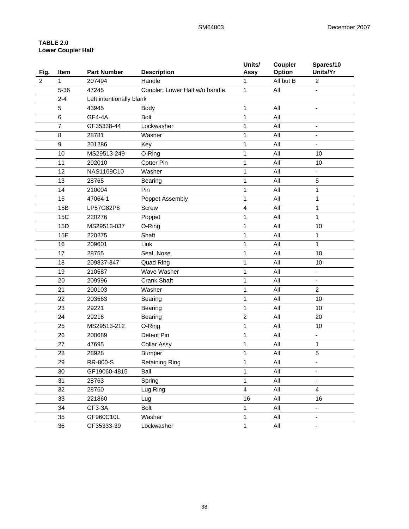# **TABLE 2.0 Lower Coupler Half**

| Fig.           | Item             | <b>Part Number</b>       | <b>Description</b>             | Units/<br>Assy | Coupler<br>Option | Spares/10<br>Units/Yr    |
|----------------|------------------|--------------------------|--------------------------------|----------------|-------------------|--------------------------|
| $\overline{2}$ | 1                | 207494                   | Handle                         | 1              | All but B         | $\overline{c}$           |
|                | $5 - 36$         | 47245                    | Coupler, Lower Half w/o handle | 1              | All               |                          |
|                | $2 - 4$          | Left intentionally blank |                                |                |                   |                          |
|                | 5                | 43945                    | Body                           | 1              | All               | ä,                       |
|                | $\,6$            | GF4-4A                   | <b>Bolt</b>                    | 1              | All               |                          |
|                | $\overline{7}$   | GF35338-44               | Lockwasher                     | $\mathbf{1}$   | All               |                          |
|                | 8                | 28781                    | Washer                         | 1              | All               | $\overline{\phantom{a}}$ |
|                | $\boldsymbol{9}$ | 201286                   | Key                            | 1              | All               | $\blacksquare$           |
|                | 10               | MS29513-249              | O-Ring                         | 1              | All               | 10                       |
|                | 11               | 202010                   | <b>Cotter Pin</b>              | 1              | All               | 10                       |
|                | 12               | NAS1169C10               | Washer                         | 1              | All               |                          |
|                | 13               | 28765                    | Bearing                        | 1              | All               | 5                        |
|                | 14               | 210004                   | Pin                            | 1              | All               | 1                        |
|                | 15               | 47064-1                  | Poppet Assembly                | 1              | All               | 1                        |
|                | 15B              | LP57G82P8                | Screw                          | 4              | All               | 1                        |
|                | 15C              | 220276                   | Poppet                         | 1              | All               | 1                        |
|                | 15D              | MS29513-037              | O-Ring                         | 1              | All               | 10                       |
|                | 15E              | 220275                   | Shaft                          | 1              | All               | 1                        |
|                | 16               | 209601                   | Link                           | 1              | All               | 1                        |
|                | 17               | 28755                    | Seal, Nose                     | 1              | All               | 10                       |
|                | 18               | 209837-347               | <b>Quad Ring</b>               | 1              | All               | 10                       |
|                | 19               | 210587                   | Wave Washer                    | 1              | All               | ۰                        |
|                | 20               | 209996                   | <b>Crank Shaft</b>             | 1              | All               | $\overline{\phantom{a}}$ |
|                | 21               | 200103                   | Washer                         | 1              | All               | $\overline{2}$           |
|                | 22               | 203563                   | <b>Bearing</b>                 | 1              | All               | 10                       |
|                | 23               | 29221                    | Bearing                        | 1              | All               | 10                       |
|                | 24               | 29216                    | <b>Bearing</b>                 | $\overline{2}$ | All               | 20                       |
|                | 25               | MS29513-212              | O-Ring                         | 1              | All               | 10                       |
|                | 26               | 200689                   | Detent Pin                     | 1              | All               |                          |
|                | 27               | 47695                    | <b>Collar Assy</b>             | 1              | All               | 1                        |
|                | 28               | 28928                    | <b>Bumper</b>                  | 1              | All               | 5                        |
|                | 29               | RR-800-S                 | <b>Retaining Ring</b>          | $\mathbf 1$    | $\mathsf{All}$    |                          |
|                | 30               | GF19060-4815             | Ball                           | 1              | All               |                          |
|                | 31               | 28763                    | Spring                         | $\mathbf{1}$   | All               | $\frac{1}{2}$            |
|                | 32               | 28760                    | Lug Ring                       | $\overline{4}$ | All               | $\overline{4}$           |
|                | 33               | 221860                   | Lug                            | 16             | All               | 16                       |
|                | 34               | GF3-3A                   | <b>Bolt</b>                    | $\mathbf{1}$   | All               | ۳                        |
|                | 35               | GF960C10L                | Washer                         | $\mathbf{1}$   | All               |                          |
|                | $36\,$           | GF35333-39               | Lockwasher                     | $\mathbf{1}$   | All               | ۰                        |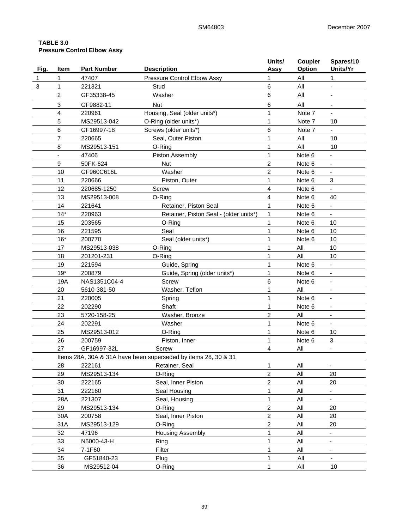# **TABLE 3.0 Pressure Control Elbow Assy**

| Fig.         | <b>Item</b>    | <b>Part Number</b> | <b>Description</b>                                             | Units/<br>Assy | Coupler<br>Option | Spares/10<br>Units/Yr    |
|--------------|----------------|--------------------|----------------------------------------------------------------|----------------|-------------------|--------------------------|
| $\mathbf{1}$ | 1              | 47407              | Pressure Control Elbow Assy                                    | 1              | All               | 1                        |
| 3            | 1              | 221321             | Stud                                                           | 6              | All               |                          |
|              | $\overline{c}$ | GF35338-45         | Washer                                                         | 6              | All               |                          |
|              | 3              | GF9882-11          | <b>Nut</b>                                                     | 6              | All               |                          |
|              | $\overline{4}$ | 220961             | Housing, Seal (older units*)                                   | 1              | Note 7            | $\overline{\phantom{a}}$ |
|              | 5              | MS29513-042        | O-Ring (older units*)                                          | 1              | Note 7            | 10                       |
|              | 6              | GF16997-18         | Screws (older units*)                                          | 6              | Note 7            | ÷.                       |
|              | $\overline{7}$ | 220665             | Seal, Outer Piston                                             | 1              | All               | 10                       |
|              | 8              | MS29513-151        | O-Ring                                                         | 1              | All               | 10                       |
|              |                | 47406              | Piston Assembly                                                | 1              | Note 6            |                          |
|              | 9              | 50FK-624           | <b>Nut</b>                                                     | $\overline{2}$ | Note 6            |                          |
|              | 10             | GF960C616L         | Washer                                                         | $\overline{2}$ | Note 6            |                          |
|              | 11             | 220666             | Piston, Outer                                                  | 1              | Note 6            | 3                        |
|              | 12             | 220685-1250        | Screw                                                          | 4              | Note 6            | $\overline{\phantom{a}}$ |
|              | 13             | MS29513-008        | O-Ring                                                         | 4              | Note 6            | 40                       |
|              | 14             | 221641             | Retainer, Piston Seal                                          | 1              | Note 6            | $\blacksquare$           |
|              | $14*$          | 220963             | Retainer, Piston Seal - (older units*)                         | 1              | Note 6            | $\blacksquare$           |
|              | 15             | 203565             | O-Ring                                                         | 1              | Note 6            | 10                       |
|              | 16             | 221595             | Seal                                                           | 1              | Note 6            | 10                       |
|              | $16*$          | 200770             | Seal (older units*)                                            | 1              | Note 6            | 10                       |
|              | 17             | MS29513-038        | O-Ring                                                         | 1              | All               | 10                       |
|              | 18             | 201201-231         | O-Ring                                                         | 1              | All               | 10                       |
|              | 19             | 221594             | Guide, Spring                                                  | 1              | Note 6            |                          |
|              | $19*$          | 200879             | Guide, Spring (older units*)                                   | 1              | Note 6            |                          |
|              | 19A            | NAS1351C04-4       | <b>Screw</b>                                                   | 6              | Note 6            | $\overline{\phantom{a}}$ |
|              | 20             | 5610-381-50        | Washer, Teflon                                                 | 1              | All               | $\overline{\phantom{a}}$ |
|              | 21             | 220005             | Spring                                                         | 1              | Note 6            | $\blacksquare$           |
|              | 22             | 202290             | Shaft                                                          | 1              | Note 6            |                          |
|              | 23             | 5720-158-25        | Washer, Bronze                                                 | $\overline{c}$ | All               |                          |
|              | 24             | 202291             | Washer                                                         | 1              | Note 6            |                          |
|              | 25             | MS29513-012        | O-Ring                                                         | 1              | Note 6            | 10                       |
|              | 26             | 200759             | Piston, Inner                                                  | 1              | Note 6            | 3                        |
|              | 27             | GF16997-32L        | Screw                                                          | 4              | All               |                          |
|              |                |                    | Items 28A, 30A & 31A have been superseded by items 28, 30 & 31 |                |                   |                          |
|              | 28             | 222161             | Retainer, Seal                                                 | 1              | All               | $\overline{\phantom{a}}$ |
|              | 29             | MS29513-134        | O-Ring                                                         | $\overline{c}$ | All               | 20                       |
|              | 30             | 222165             | Seal, Inner Piston                                             | $\overline{c}$ | All               | 20                       |
|              | 31             | 222160             | Seal Housing                                                   | 1              | All               |                          |
|              | 28A            | 221307             | Seal, Housing                                                  | $\mathbf{1}$   | All               |                          |
|              | 29             | MS29513-134        | O-Ring                                                         | $\overline{c}$ | All               | 20                       |
|              | 30A            | 200758             | Seal, Inner Piston                                             | $\overline{c}$ | All               | 20                       |
|              | 31A            | MS29513-129        | O-Ring                                                         | $\overline{2}$ | All               | 20                       |
|              | 32             | 47196              | <b>Housing Assembly</b>                                        | 1              | All               |                          |
|              | 33             | N5000-43-H         | Ring                                                           | 1              | All               | $\overline{\phantom{0}}$ |
|              | 34             | 7-1F60             | Filter                                                         | 1              | All               |                          |
|              | 35             | GF51840-23         | Plug                                                           | 1              | All               | $\overline{\phantom{a}}$ |
|              | 36             | MS29512-04         | O-Ring                                                         | 1              | All               | 10                       |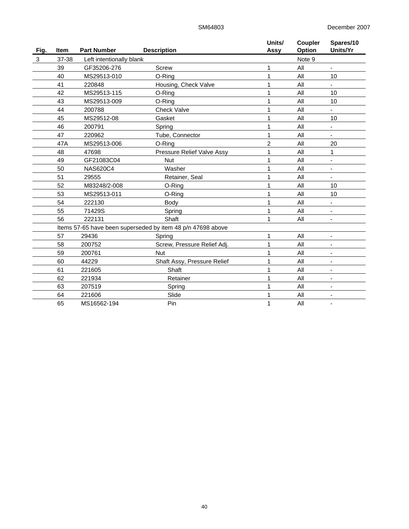| Fig. | Item  | <b>Part Number</b>       | <b>Description</b>                                          | Units/<br>Assy | Coupler<br>Option | Spares/10<br>Units/Yr    |
|------|-------|--------------------------|-------------------------------------------------------------|----------------|-------------------|--------------------------|
| 3    | 37-38 | Left intentionally blank |                                                             |                | Note 9            |                          |
|      | 39    | GF35206-276              | Screw                                                       |                | All               |                          |
|      | 40    | MS29513-010              | O-Ring                                                      |                | All               | 10                       |
|      | 41    | 220848                   | Housing, Check Valve                                        |                | All               |                          |
|      | 42    | MS29513-115              | O-Ring                                                      |                | All               | 10                       |
|      | 43    | MS29513-009              | O-Ring                                                      |                | All               | 10                       |
|      | 44    | 200788                   | <b>Check Valve</b>                                          |                | All               |                          |
|      | 45    | MS29512-08               | Gasket                                                      |                | All               | 10                       |
|      | 46    | 200791                   | Spring                                                      |                | All               | -                        |
|      | 47    | 220962                   | Tube, Connector                                             |                | All               |                          |
|      | 47A   | MS29513-006              | O-Ring                                                      | 2              | All               | 20                       |
|      | 48    | 47698                    | Pressure Relief Valve Assy                                  |                | All               | $\mathbf{1}$             |
|      | 49    | GF21083C04               | <b>Nut</b>                                                  |                | All               | $\blacksquare$           |
|      | 50    | <b>NAS620C4</b>          | Washer                                                      |                | All               | $\overline{\phantom{a}}$ |
|      | 51    | 29555                    | Retainer, Seal                                              |                | All               | $\blacksquare$           |
|      | 52    | M83248/2-008             | O-Ring                                                      |                | All               | 10                       |
|      | 53    | MS29513-011              | O-Ring                                                      |                | All               | 10                       |
|      | 54    | 222130                   | Body                                                        |                | All               |                          |
|      | 55    | 71429S                   | Spring                                                      |                | All               |                          |
|      | 56    | 222131                   | Shaft                                                       |                | All               | $\blacksquare$           |
|      |       |                          | Items 57-65 have been superseded by item 48 p/n 47698 above |                |                   |                          |
|      | 57    | 29436                    | Spring                                                      |                | All               |                          |
|      | 58    | 200752                   | Screw, Pressure Relief Adj.                                 |                | All               |                          |
|      | 59    | 200761                   | <b>Nut</b>                                                  |                | All               |                          |
|      | 60    | 44229                    | Shaft Assy, Pressure Relief                                 |                | All               |                          |
|      | 61    | 221605                   | Shaft                                                       |                | All               |                          |
|      | 62    | 221934                   | Retainer                                                    |                | All               |                          |
|      | 63    | 207519                   | Spring                                                      |                | All               |                          |
|      | 64    | 221606                   | Slide                                                       |                | All               |                          |
|      | 65    | MS16562-194              | Pin                                                         |                | All               |                          |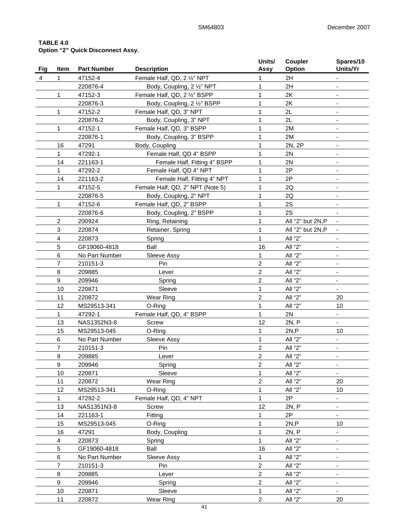# **TABLE 4.0 Option "2" Quick Disconnect Assy.**

| Fig | Item | <b>Part Number</b> | <b>Description</b>               | Units/<br>Assy          | Coupler<br>Option | Spares/10<br>Units/Yr        |
|-----|------|--------------------|----------------------------------|-------------------------|-------------------|------------------------------|
| 4   | 1    | 47152-4            | Female Half, QD, 2 1/2" NPT      | 1                       | 2H                |                              |
|     |      | 220876-4           | Body, Coupling, 2 1/2" NPT       | 1                       | 2H                | $\overline{\phantom{a}}$     |
|     | 1    | 47152-3            | Female Half, QD, 2 1/2" BSPP     | 1                       | 2K                |                              |
|     |      | 220876-3           | Body, Coupling, 2 1/2" BSPP      | 1                       | 2K                |                              |
|     | 1    | 47152-2            | Female Half, QD, 3" NPT          | $\mathbf{1}$            | 2L                |                              |
|     |      | 220876-2           | Body, Coupling, 3" NPT           | 1                       | 2L                |                              |
|     | 1    | 47152-1            | Female Half, QD, 3" BSPP         | $\mathbf{1}$            | 2M                |                              |
|     |      | 220876-1           | Body, Coupling, 3" BSPP          | $\mathbf{1}$            | 2M                |                              |
|     | 16   | 47291              | Body, Coupling                   | $\mathbf{1}$            | 2N, 2P            | $\overline{\phantom{0}}$     |
|     | 1    | 47292-1            | Female Half, QD 4" BSPP          | 1                       | 2N                | $\overline{\phantom{0}}$     |
|     | 14   | 221163-1           | Female Half, Fitting 4" BSPP     | 1                       | 2N                | $\qquad \qquad \blacksquare$ |
|     | 1    | 47292-2            | Female Half, QD 4" NPT           | 1                       | 2P                | $\overline{\phantom{a}}$     |
|     | 14   | 221163-2           | Female Half, Fitting 4" NPT      | 1                       | 2P                |                              |
|     | 1    | 47152-5            | Female Half, QD, 2" NPT (Note 5) | $\mathbf{1}$            | 2Q                |                              |
|     |      | 220876-5           | Body, Coupling, 2" NPT           | $\mathbf{1}$            | 2Q                |                              |
|     | 1    | 47152-6            | Female Half, QD, 2" BSPP         | 1                       | 2S                |                              |
|     |      | 220876-6           | Body, Coupling, 2" BSPP          | 1                       | 2S                |                              |
|     | 2    | 200924             | Ring, Retaining                  | 1                       | All "2" but 2N,P  |                              |
|     | 3    | 220874             | Retainer, Spring                 | 1                       | All "2" but 2N,P  |                              |
|     | 4    |                    |                                  | 1                       | All "2"           |                              |
|     |      | 220873             | Spring                           |                         |                   |                              |
|     | 5    | GF19060-4818       | Ball                             | 16                      | All "2"           | $\overline{\phantom{a}}$     |
|     | 6    | No Part Number     | Sleeve Assy                      | 1                       | All "2"           |                              |
|     | 7    | 210151-3           | Pin                              | $\overline{c}$          | All "2"           |                              |
|     | 8    | 209885             | Lever                            | $\overline{c}$          | All "2"           |                              |
|     | 9    | 209946             | Spring                           | $\overline{c}$          | All "2"           |                              |
|     | 10   | 220871             | Sleeve                           | 1                       | All "2"           | $\blacksquare$               |
|     | 11   | 220872             | Wear Ring                        | $\overline{\mathbf{c}}$ | All "2"           | 20                           |
|     | 12   | MS29513-341        | O-Ring                           | 1                       | All "2"           | 10                           |
|     | 1    | 47292-1            | Female Half, QD, 4" BSPP         | $\mathbf{1}$            | 2N                | $\overline{\phantom{a}}$     |
|     | 13   | NAS1352N3-8        | Screw                            | 12                      | 2N, P             | $\qquad \qquad \blacksquare$ |
|     | 15   | MS29513-045        | O-Ring                           | 1                       | 2N, P             | 10                           |
|     | 6    | No Part Number     | Sleeve Assy                      | 1                       | All "2"           | $\overline{\phantom{a}}$     |
|     | 7    | 210151-3           | Pin                              | $\overline{c}$          | All "2"           |                              |
|     | 8    | 209885             | Lever                            | $\overline{c}$          | All "2"           |                              |
|     | 9    | 209946             | Spring                           | $\overline{2}$          | All "2"           |                              |
|     | 10   | 220871             | Sleeve                           | $\mathbf{1}$            | All "2"           |                              |
|     | 11   | 220872             | Wear Ring                        | $\overline{c}$          | All "2"           | 20                           |
|     | 12   | MS29513-341        | O-Ring                           | 1                       | All "2"           | 10                           |
|     | 1    | 47292-2            | Female Half, QD, 4" NPT          | $\mathbf{1}$            | 2P                | $\overline{\phantom{0}}$     |
|     | 13   | NAS1351N3-8        | Screw                            | 12                      | 2N, P             |                              |
|     | 14   | 221163-1           | Fitting                          | 1                       | 2P                | $\overline{\phantom{a}}$     |
|     | 15   | MS29513-045        | O-Ring                           | $\mathbf{1}$            | 2N, P             | 10                           |
|     | 16   | 47291              | Body, Coupling                   | $\mathbf{1}$            | 2N, P             |                              |
|     | 4    | 220873             | Spring                           | $\mathbf{1}$            | All "2"           |                              |
|     | 5    | GF19060-4818       | Ball                             | 16                      | All "2"           |                              |
|     | 6    | No Part Number     | Sleeve Assy                      | $\mathbf{1}$            | All "2"           |                              |
|     | 7    | 210151-3           | Pin                              | $\overline{c}$          | All "2"           |                              |
|     | 8    | 209885             | Lever                            | $\boldsymbol{2}$        | All "2"           |                              |
|     | 9    | 209946             | Spring                           | $\overline{c}$          | All "2"           | -                            |
|     | 10   | 220871             | Sleeve                           | 1                       | All "2"           |                              |
|     | 11   | 220872             | Wear Ring                        | $\overline{c}$          | All "2"           | 20                           |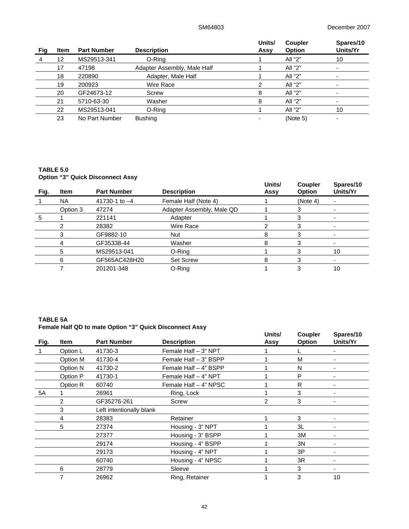|     |      |                    |                             | Units/ | <b>Coupler</b> | Spares/10 |
|-----|------|--------------------|-----------------------------|--------|----------------|-----------|
| Fig | Item | <b>Part Number</b> | <b>Description</b>          | Assy   | <b>Option</b>  | Units/Yr  |
|     | 12   | MS29513-341        | O-Ring                      |        | All "2"        | 10        |
|     | 17   | 47198              | Adapter Assembly, Male Half |        | All "2"        |           |
|     | 18   | 220890             | Adapter, Male Half          |        | All "2"        |           |
|     | 19   | 200923             | Wire Race                   | 2      | All "2"        |           |
|     | 20   | GF24673-12         | Screw                       | 8      | All "2"        |           |
|     | 21   | 5710-63-30         | Washer                      | 8      | All "2"        |           |
|     | 22   | MS29513-041        | O-Ring                      |        | All "2"        | 10        |
|     | 23   | No Part Number     | <b>Bushing</b>              |        | (Note 5)       |           |

# **TABLE 5.0 Option "3" Quick Disconnect Assy**

|      |             | <b>Option</b> of walch Disconnect Assy |                           |                |                                 |                       |
|------|-------------|----------------------------------------|---------------------------|----------------|---------------------------------|-----------------------|
| Fig. | <b>Item</b> | <b>Part Number</b>                     | <b>Description</b>        | Units/<br>Assy | <b>Coupler</b><br><b>Option</b> | Spares/10<br>Units/Yr |
|      | <b>NA</b>   | 41730-1 to $-4$                        | Female Half (Note 4)      |                | (Note 4)                        |                       |
|      | Option 3    | 47274                                  | Adapter Assembly, Male QD |                |                                 |                       |
| 5    |             | 221141                                 | Adapter                   |                |                                 |                       |
|      |             | 28382                                  | Wire Race                 |                |                                 |                       |
|      | 3           | GF9882-10                              | <b>Nut</b>                | 8              |                                 |                       |
|      | 4           | GF35338-44                             | Washer                    | 8              |                                 |                       |
|      | 5           | MS29513-041                            | O-Ring                    |                |                                 | 10                    |
|      | 6           | GF565AC428H20                          | <b>Set Screw</b>          | 8              |                                 |                       |
|      |             | 201201-348                             | O-Ring                    |                |                                 | 10                    |

# **TABLE 5A Female Half QD to mate Option "3" Quick Disconnect Assy**

|      |                | <b>Female Hall QD to mate Option 3 QUICK DISCOMMECT ASSY</b> |                       |                |                          |                       |
|------|----------------|--------------------------------------------------------------|-----------------------|----------------|--------------------------|-----------------------|
| Fig. | Item           | <b>Part Number</b>                                           | <b>Description</b>    | Units/<br>Assy | Coupler<br><b>Option</b> | Spares/10<br>Units/Yr |
|      | Option L       | 41730-3                                                      | Female Half - 3" NPT  |                |                          |                       |
|      | Option M       | 41730-4                                                      | Female Half - 3" BSPP |                | М                        |                       |
|      | Option N       | 41730-2                                                      | Female Half - 4" BSPP |                | N                        |                       |
|      | Option P       | 41730-1                                                      | Female Half - 4" NPT  |                | P                        |                       |
|      | Option R       | 60740                                                        | Female Half - 4" NPSC |                | R                        |                       |
| 5A   |                | 26961                                                        | Ring, Lock            |                | 3                        |                       |
|      | $\overline{2}$ | GF35276-261                                                  | Screw                 | $\overline{2}$ | 3                        |                       |
|      | 3              | Left intentionally blank                                     |                       |                |                          |                       |
|      | 4              | 28383                                                        | Retainer              |                | 3                        |                       |
|      | 5              | 27374                                                        | Housing - 3" NPT      |                | 3L                       |                       |
|      |                | 27377                                                        | Housing - 3" BSPP     |                | 3M                       |                       |
|      |                | 29174                                                        | Housing - 4" BSPP     |                | 3N                       |                       |
|      |                | 29173                                                        | Housing - 4" NPT      |                | 3P                       |                       |
|      |                | 60740                                                        | Housing - 4" NPSC     |                | 3R                       |                       |
|      | 6              | 28779                                                        | Sleeve                |                | 3                        |                       |
|      |                | 26962                                                        | Ring, Retainer        |                | 3                        | 10                    |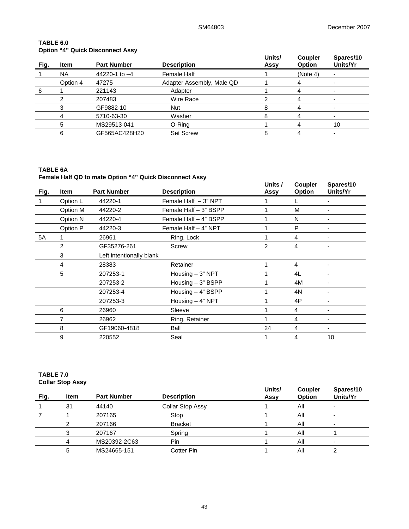# **TABLE 6.0 Option "4" Quick Disconnect Assy**

| Fig. | <b>Item</b> | <b>Part Number</b> | <b>Description</b>        | Units/<br>Assy | <b>Coupler</b><br><b>Option</b> | Spares/10<br>Units/Yr |
|------|-------------|--------------------|---------------------------|----------------|---------------------------------|-----------------------|
|      | <b>NA</b>   | 44220-1 to $-4$    | Female Half               |                | (Note 4)                        |                       |
|      | Option 4    | 47275              | Adapter Assembly, Male QD |                |                                 |                       |
| 6    |             | 221143             | Adapter                   |                |                                 |                       |
|      |             | 207483             | Wire Race                 |                |                                 |                       |
|      |             | GF9882-10          | Nut                       | 8              |                                 |                       |
|      |             | 5710-63-30         | Washer                    | 8              |                                 |                       |
|      | 5           | MS29513-041        | O-Ring                    |                |                                 | 10                    |
|      | 6           | GF565AC428H20      | <b>Set Screw</b>          | 8              |                                 |                       |

# **TABLE 6A Female Half QD to mate Option "4" Quick Disconnect Assy**

| Fig. | <b>Item</b> | <b>Part Number</b>       | <b>Description</b>     | Units /<br>Assy | <b>Coupler</b><br><b>Option</b> | Spares/10<br>Units/Yr |
|------|-------------|--------------------------|------------------------|-----------------|---------------------------------|-----------------------|
|      | Option L    | 44220-1                  | Female Half $-3$ " NPT |                 |                                 |                       |
|      | Option M    | 44220-2                  | Female Half - 3" BSPP  |                 | М                               |                       |
|      | Option N    | 44220-4                  | Female Half - 4" BSPP  |                 | N                               |                       |
|      | Option P    | 44220-3                  | Female Half - 4" NPT   |                 | P                               |                       |
| 5A   |             | 26961                    | Ring, Lock             |                 | 4                               | -                     |
|      | 2           | GF35276-261              | Screw                  | 2               | 4                               | $\blacksquare$        |
|      | 3           | Left intentionally blank |                        |                 |                                 |                       |
|      | 4           | 28383                    | Retainer               |                 | 4                               |                       |
|      | 5           | 207253-1                 | Housing $-3$ " NPT     |                 | 4L                              |                       |
|      |             | 207253-2                 | Housing - 3" BSPP      |                 | 4M                              |                       |
|      |             | 207253-4                 | Housing $-4$ " BSPP    |                 | 4N                              |                       |
|      |             | 207253-3                 | Housing $-$ 4" NPT     |                 | 4P                              | $\blacksquare$        |
|      | 6           | 26960                    | Sleeve                 |                 | 4                               | ۰                     |
|      | 7           | 26962                    | Ring, Retainer         |                 | 4                               | -                     |
|      | 8           | GF19060-4818             | Ball                   | 24              | 4                               |                       |
|      | 9           | 220552                   | Seal                   |                 | 4                               | 10                    |

# **TABLE 7.0 Collar Stop Assy**

| Fig. | <b>Item</b> | <b>Part Number</b> | <b>Description</b> | Units/<br>Assy | <b>Coupler</b><br><b>Option</b> | Spares/10<br>Units/Yr |
|------|-------------|--------------------|--------------------|----------------|---------------------------------|-----------------------|
|      | 31          | 44140              | Collar Stop Assy   |                | ΑIΙ                             |                       |
|      |             | 207165             | Stop               |                | Αll                             |                       |
|      |             | 207166             | <b>Bracket</b>     |                | All                             |                       |
|      |             | 207167             | Spring             |                | Αll                             |                       |
|      |             | MS20392-2C63       | Pin                |                | Αll                             |                       |
|      |             | MS24665-151        | Cotter Pin         |                | Αll                             |                       |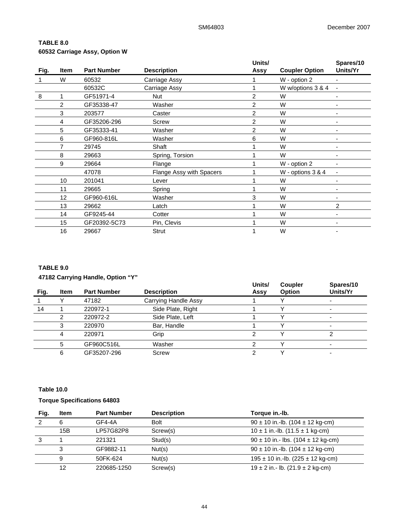# **TABLE 8.0 60532 Carriage Assy, Option W**

|      |                |                    |                          | Units/         |                       | Spares/10                |
|------|----------------|--------------------|--------------------------|----------------|-----------------------|--------------------------|
| Fig. | Item           | <b>Part Number</b> | <b>Description</b>       | Assy           | <b>Coupler Option</b> | Units/Yr                 |
|      | W              | 60532              | Carriage Assy            |                | W - option 2          | ٠                        |
|      |                | 60532C             | Carriage Assy            |                | W w/options 3 & 4     |                          |
| 8    |                | GF51971-4          | Nut                      | $\overline{2}$ | W                     |                          |
|      | $\overline{2}$ | GF35338-47         | Washer                   | $\overline{2}$ | W                     |                          |
|      | 3              | 203577             | Caster                   | 2              | W                     |                          |
|      | 4              | GF35206-296        | Screw                    | $\overline{2}$ | W                     | ۰                        |
|      | 5              | GF35333-41         | Washer                   | 2              | W                     |                          |
|      | 6              | GF960-816L         | Washer                   | 6              | W                     |                          |
|      |                | 29745              | Shaft                    |                | W                     |                          |
|      | 8              | 29663              | Spring, Torsion          |                | W                     |                          |
|      | 9              | 29664              | Flange                   |                | W - option 2          | ٠                        |
|      |                | 47078              | Flange Assy with Spacers |                | W - options 3 & 4     | $\overline{\phantom{0}}$ |
|      | 10             | 201041             | Lever                    |                | W                     |                          |
|      | 11             | 29665              | Spring                   |                | W                     |                          |
|      | 12             | GF960-616L         | Washer                   | 3              | W                     |                          |
|      | 13             | 29662              | Latch                    |                | W                     | 2                        |
|      | 14             | GF9245-44          | Cotter                   |                | W                     |                          |
|      | 15             | GF20392-5C73       | Pin, Clevis              |                | W                     |                          |
|      | 16             | 29667              | Strut                    |                | W                     |                          |

# **TABLE 9.0**

# **47182 Carrying Handle, Option "Y"**

|      |      |                    |                      | Units/ | <b>Coupler</b> | Spares/10 |
|------|------|--------------------|----------------------|--------|----------------|-----------|
| Fig. | Item | <b>Part Number</b> | <b>Description</b>   | Assy   | <b>Option</b>  | Units/Yr  |
|      |      | 47182              | Carrying Handle Assy |        |                |           |
| 14   |      | 220972-1           | Side Plate, Right    |        |                | ۰         |
|      |      | 220972-2           | Side Plate, Left     |        |                | -         |
|      |      | 220970             | Bar, Handle          |        |                | -         |
|      | 4    | 220971             | Grip                 |        |                |           |
|      | 5    | GF960C516L         | Washer               |        |                |           |
|      | 6    | GF35207-296        | Screw                |        |                | -         |

# **Table 10.0**

# **Torque Specifications 64803**

| Fig. | <b>Item</b> | <b>Part Number</b> | <b>Description</b> | Torque in.-lb.                             |
|------|-------------|--------------------|--------------------|--------------------------------------------|
|      | 6           | $GF4-4A$           | Bolt               | $90 \pm 10$ in.-lb. (104 $\pm$ 12 kg-cm)   |
|      | 15B         | LP57G82P8          | Screw(s)           | $10 \pm 1$ in.-lb. (11.5 $\pm$ 1 kg-cm)    |
| 3    |             | 221321             | Stud(s)            | $90 \pm 10$ in.- lbs. (104 $\pm$ 12 kg-cm) |
|      | 3           | GF9882-11          | Nut(s)             | $90 \pm 10$ in.-lb. (104 $\pm$ 12 kg-cm)   |
|      | 9           | 50FK-624           | Nut(s)             | $195 \pm 10$ in.-lb. (225 $\pm$ 12 kg-cm)  |
|      | 12          | 220685-1250        | Screw(s)           | $19 \pm 2$ in.- lb. (21.9 $\pm$ 2 kg-cm)   |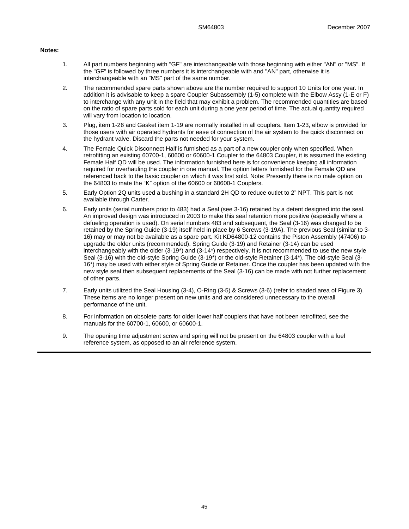#### **Notes:**

- 1. All part numbers beginning with "GF" are interchangeable with those beginning with either "AN" or "MS". If the "GF" is followed by three numbers it is interchangeable with and "AN" part, otherwise it is interchangeable with an "MS" part of the same number.
- 2. The recommended spare parts shown above are the number required to support 10 Units for one year. In addition it is advisable to keep a spare Coupler Subassembly (1-5) complete with the Elbow Assy (1-E or F) to interchange with any unit in the field that may exhibit a problem. The recommended quantities are based on the ratio of spare parts sold for each unit during a one year period of time. The actual quantity required will vary from location to location.
- 3. Plug, item 1-26 and Gasket item 1-19 are normally installed in all couplers. Item 1-23, elbow is provided for those users with air operated hydrants for ease of connection of the air system to the quick disconnect on the hydrant valve. Discard the parts not needed for your system.
- 4. The Female Quick Disconnect Half is furnished as a part of a new coupler only when specified. When retrofitting an existing 60700-1, 60600 or 60600-1 Coupler to the 64803 Coupler, it is assumed the existing Female Half QD will be used. The information furnished here is for convenience keeping all information required for overhauling the coupler in one manual. The option letters furnished for the Female QD are referenced back to the basic coupler on which it was first sold. Note: Presently there is no male option on the 64803 to mate the "K" option of the 60600 or 60600-1 Couplers.
- 5. Early Option 2Q units used a bushing in a standard 2H QD to reduce outlet to 2" NPT. This part is not available through Carter.
- 6. Early units (serial numbers prior to 483) had a Seal (see 3-16) retained by a detent designed into the seal. An improved design was introduced in 2003 to make this seal retention more positive (especially where a defueling operation is used). On serial numbers 483 and subsequent, the Seal (3-16) was changed to be retained by the Spring Guide (3-19) itself held in place by 6 Screws (3-19A). The previous Seal (similar to 3- 16) may or may not be available as a spare part. Kit KD64800-12 contains the Piston Assembly (47406) to upgrade the older units (recommended). Spring Guide (3-19) and Retainer (3-14) can be used interchangeably with the older (3-19\*) and (3-14\*) respectively. It is not recommended to use the new style Seal (3-16) with the old-style Spring Guide (3-19\*) or the old-style Retainer (3-14\*). The old-style Seal (3- 16\*) may be used with either style of Spring Guide or Retainer. Once the coupler has been updated with the new style seal then subsequent replacements of the Seal (3-16) can be made with not further replacement of other parts.
- 7. Early units utilized the Seal Housing (3-4), O-Ring (3-5) & Screws (3-6) (refer to shaded area of Figure 3). These items are no longer present on new units and are considered unnecessary to the overall performance of the unit.
- 8. For information on obsolete parts for older lower half couplers that have not been retrofitted, see the manuals for the 60700-1, 60600, or 60600-1.
- 9. The opening time adjustment screw and spring will not be present on the 64803 coupler with a fuel reference system, as opposed to an air reference system.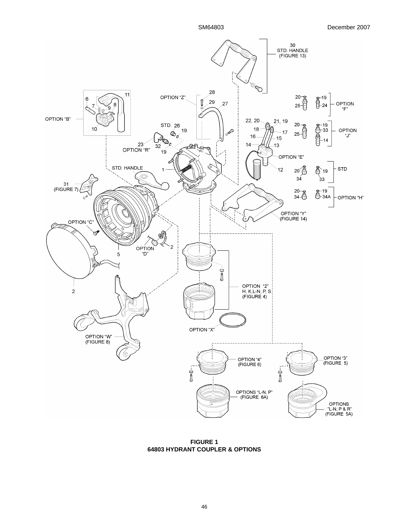

**FIGURE 1 64803 HYDRANT COUPLER & OPTIONS**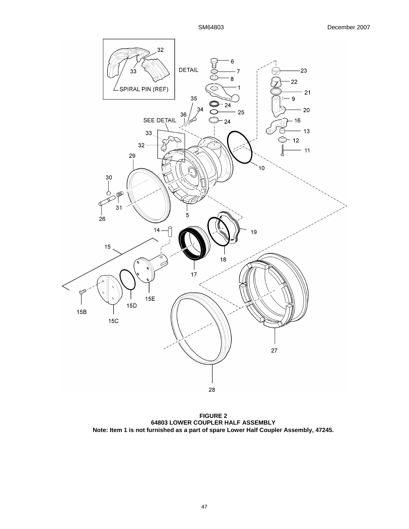

**FIGURE 2 64803 LOWER COUPLER HALF ASSEMBLY Note: Item 1 is not furnished as a part of spare Lower Half Coupler Assembly, 47245.**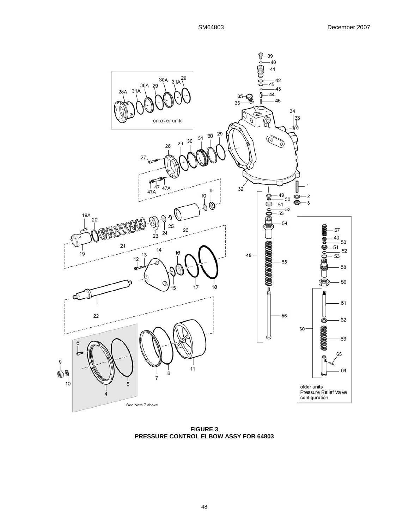

**FIGURE 3 PRESSURE CONTROL ELBOW ASSY FOR 64803**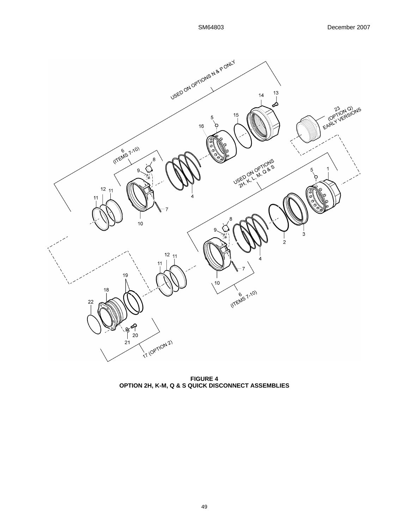

**FIGURE 4 OPTION 2H, K-M, Q & S QUICK DISCONNECT ASSEMBLIES**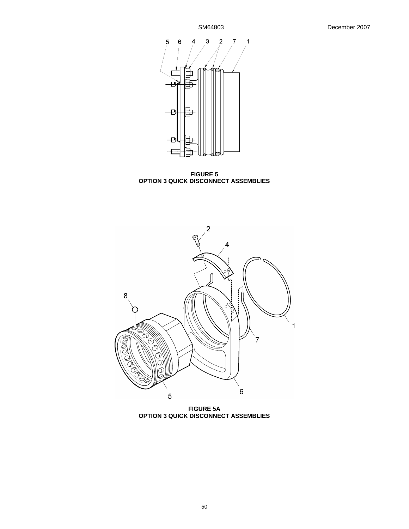

**FIGURE 5 OPTION 3 QUICK DISCONNECT ASSEMBLIES** 



**FIGURE 5A OPTION 3 QUICK DISCONNECT ASSEMBLIES**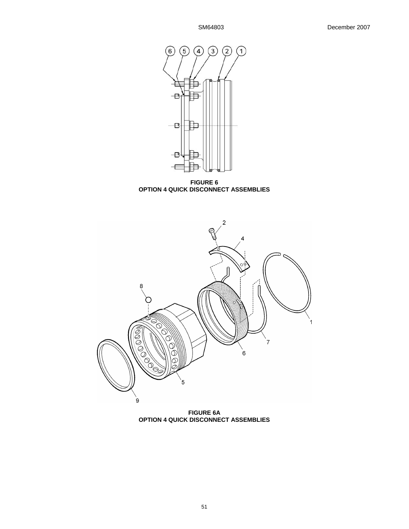

**FIGURE 6 OPTION 4 QUICK DISCONNECT ASSEMBLIES** 



**FIGURE 6A OPTION 4 QUICK DISCONNECT ASSEMBLIES**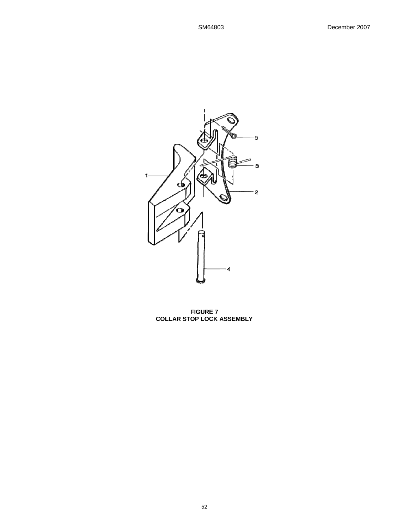

**FIGURE 7 COLLAR STOP LOCK ASSEMBLY**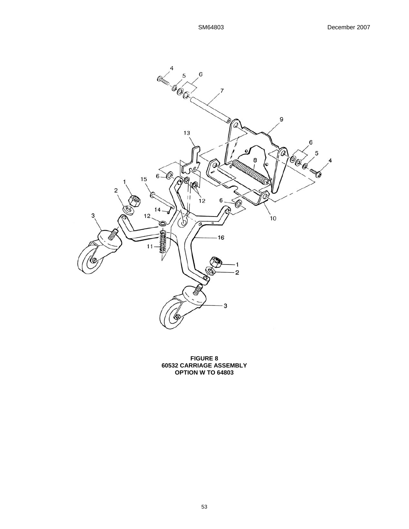

**FIGURE 8 60532 CARRIAGE ASSEMBLY OPTION W TO 64803**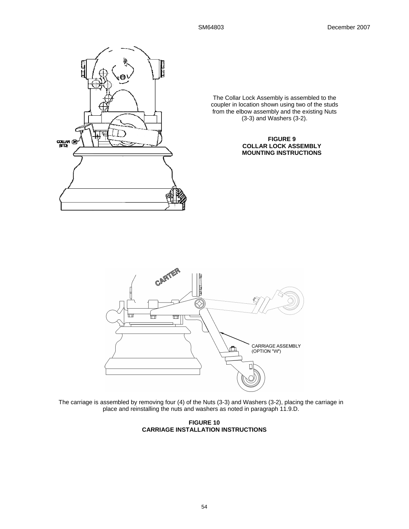

The Collar Lock Assembly is assembled to the coupler in location shown using two of the studs from the elbow assembly and the existing Nuts (3-3) and Washers (3-2).

# **FIGURE 9 COLLAR LOCK ASSEMBLY MOUNTING INSTRUCTIONS**



The carriage is assembled by removing four (4) of the Nuts (3-3) and Washers (3-2), placing the carriage in place and reinstalling the nuts and washers as noted in paragraph 11.9.D.

**FIGURE 10 CARRIAGE INSTALLATION INSTRUCTIONS**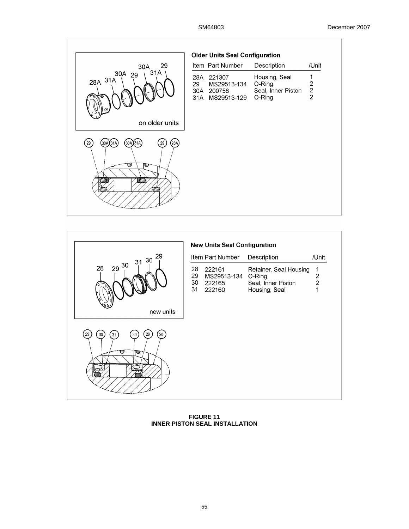|                                                         | <b>Older Units Seal Configuration</b>                                  |                                                         |                                               |
|---------------------------------------------------------|------------------------------------------------------------------------|---------------------------------------------------------|-----------------------------------------------|
| 29<br>30A                                               | Item Part Number                                                       | Description                                             | /Unit                                         |
| 31A<br>30A 29<br>28A 31A<br>ē                           | 221307<br>28A<br>MS29513-134<br>29<br>30A<br>200758<br>31A MS29513-129 | Housing, Seal<br>O-Ring<br>Seal, Inner Piston<br>O-Ring | 1<br>$\overline{\mathbf{c}}$<br>$\frac{2}{2}$ |
| on older units                                          |                                                                        |                                                         |                                               |
| 29<br>(30A)(31A)<br>(28A)<br>29<br>(30A)(31A)<br>⋓<br>Ø |                                                                        |                                                         |                                               |



**FIGURE 11 INNER PISTON SEAL INSTALLATION**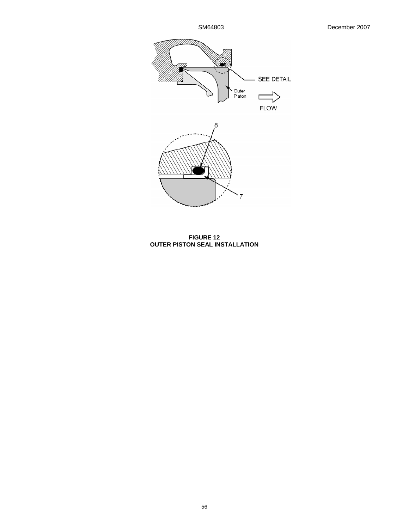

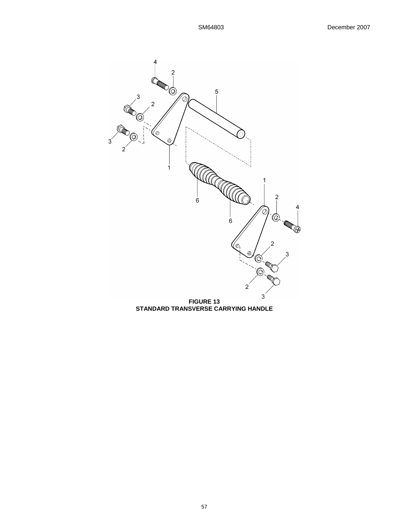

**STANDARD TRANSVERSE CARRYING HANDLE**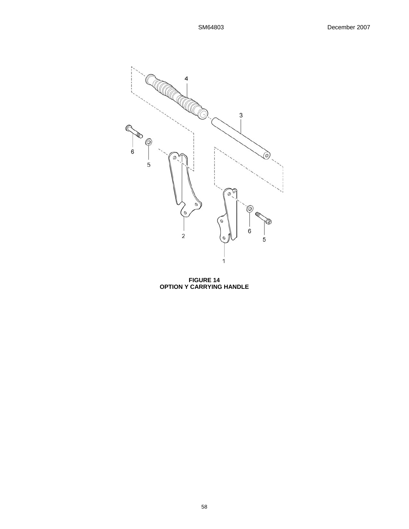

**FIGURE 14 OPTION Y CARRYING HANDLE**